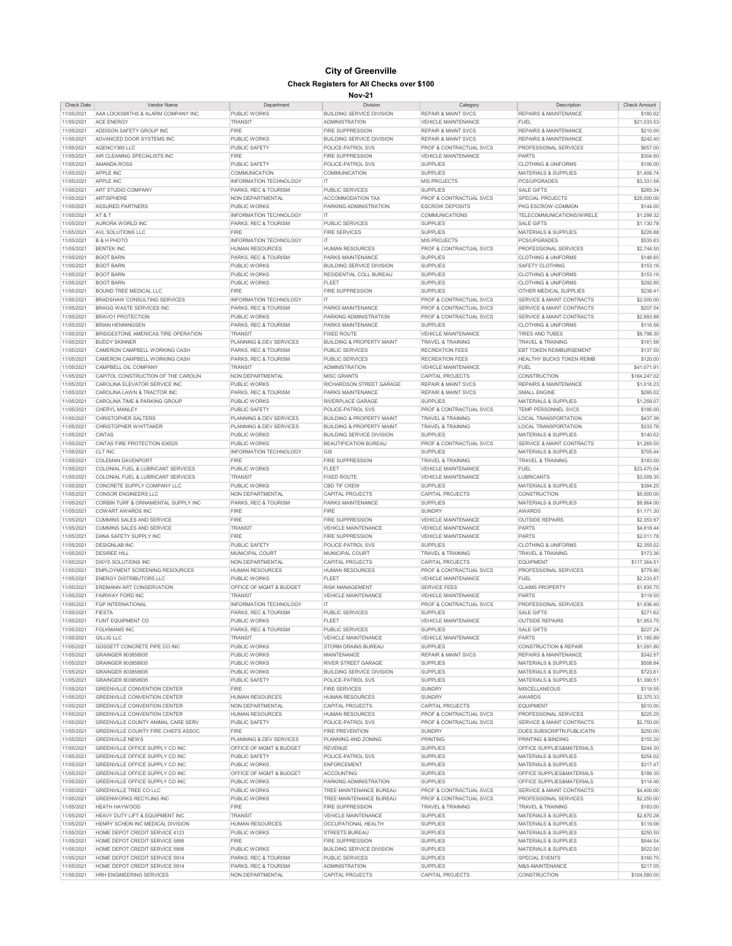## **City of Greenville Check Registers for All Checks over \$100**

## **Nov-21**

| <b>Check Date</b> | <b>Vendor Name</b>                    | Department                    | Division                             | Category                           | Description                          | Check Amount |
|-------------------|---------------------------------------|-------------------------------|--------------------------------------|------------------------------------|--------------------------------------|--------------|
| 11/05/2021        | AAA LOCKSMITHS & ALARM COMPANY INC    | PUBLIC WORKS                  | <b>BUILDING SERVICE DIVISION</b>     | <b>REPAIR &amp; MAINT SVCS</b>     | REPAIRS & MAINTENANCE                | \$180.62     |
|                   |                                       |                               |                                      |                                    |                                      |              |
| 11/05/2021        | <b>ACF ENFRGY</b>                     | <b>TRANSIT</b>                | <b>ADMINISTRATION</b>                | <b>VEHICLE MAINTENANCE</b>         | <b>FUEL</b>                          | \$21,033.53  |
| 11/05/2021        | ADDISON SAFETY GROUP INC              | <b>FIRE</b>                   | <b>FIRE SUPPRESSION</b>              | <b>REPAIR &amp; MAINT SVCS</b>     | <b>REPAIRS &amp; MAINTENANCE</b>     | \$210.00     |
|                   |                                       |                               |                                      |                                    |                                      |              |
| 11/05/2021        | ADVANCED DOOR SYSTEMS INC             | PUBLIC WORKS                  | <b>BUILDING SERVICE DIVISION</b>     | <b>REPAIR &amp; MAINT SVCS</b>     | <b>REPAIRS &amp; MAINTENANCE</b>     | \$242.40     |
| 11/05/2021        | AGENCY360 LLC                         | PUBLIC SAFETY                 | POLICE-PATROL SVS                    | PROF & CONTRACTUAL SVCS            | PROFESSIONAL SERVICES                | \$657.00     |
| 11/05/2021        | AIR CLEANING SPECIALISTS INC          | <b>FIRE</b>                   | <b>FIRE SUPPRESSION</b>              | VEHICLE MAINTENANCE                | <b>PARTS</b>                         | \$304.60     |
|                   |                                       |                               |                                      |                                    |                                      |              |
| 11/05/2021        | AMANDA ROSS                           | PUBLIC SAFETY                 | POLICE-PATROL SVS                    | <b>SUPPLIES</b>                    | <b>CLOTHING &amp; UNIFORMS</b>       | \$106.00     |
| 11/05/2021        | APPLE INC                             | <b>COMMUNICATION</b>          | <b>COMMUNICATION</b>                 | <b>SUPPLIES</b>                    | MATERIALS & SUPPLIES                 | \$1,408.74   |
| 11/05/2021        | APPLE INC                             | <b>INFORMATION TECHNOLOGY</b> | IT                                   | MIS PROJECTS                       | PCS/UPGRADES                         | \$3,331.58   |
|                   |                                       |                               |                                      |                                    |                                      |              |
| 11/05/2021        | ART STUDIO COMPANY                    | PARKS, REC & TOURISM          | PUBLIC SERVICES                      | <b>SUPPLIES</b>                    | <b>SALE GIFTS</b>                    | \$265.34     |
| 11/05/2021        | <b>ARTISPHERE</b>                     | NON DEPARTMENTAL              | <b>ACCOMMODATION TAX</b>             | PROF & CONTRACTUAL SVCS            | SPECIAL PROJECTS                     | \$25,000.00  |
|                   |                                       |                               |                                      |                                    |                                      |              |
| 11/05/2021        | <b>ASSURED PARTNERS</b>               | PUBLIC WORKS                  | PARKING ADMINISTRATION               | <b>ESCROW DEPOSITS</b>             | PKG ESCROW-COMMON                    | \$144.00     |
| 11/05/2021        | AT & T                                | <b>INFORMATION TECHNOLOGY</b> | IT                                   | COMMUNICATIONS                     | TELECOMMUNICATIONS/WIRELE            | \$1,299.32   |
| 11/05/2021        | AURORA WORLD INC                      | PARKS, REC & TOURISM          | PUBLIC SERVICES                      | <b>SUPPLIES</b>                    | <b>SALE GIFTS</b>                    | \$1.130.78   |
|                   |                                       |                               |                                      |                                    |                                      |              |
| 11/05/2021        | AVL SOLUTIONS LLC                     | <b>FIRE</b>                   | <b>FIRE SERVICES</b>                 | <b>SUPPLIES</b>                    | MATERIALS & SUPPLIES                 | \$228.88     |
| 11/05/2021        | <b>B &amp; H PHOTO</b>                | <b>INFORMATION TECHNOLOGY</b> | IT                                   | <b>MIS PROJECTS</b>                | PCS/UPGRADES                         | \$535.63     |
|                   |                                       |                               |                                      |                                    |                                      |              |
| 11/05/2021        | <b>BENTEK INC</b>                     | <b>HUMAN RESOURCES</b>        | <b>HUMAN RESOURCES</b>               | PROF & CONTRACTUAL SVCS            | PROFESSIONAL SERVICES                | \$2,744.50   |
| 11/05/2021        | <b>BOOT BARN</b>                      | PARKS, REC & TOURISM          | PARKS MAINTENANCE                    | SUPPLIES                           | <b>CLOTHING &amp; UNIFORMS</b>       | \$148.65     |
| 11/05/2021        | <b>BOOT BARN</b>                      | PUBLIC WORKS                  | <b>BUILDING SERVICE DIVISION</b>     | <b>SUPPLIES</b>                    | <b>SAFETY CLOTHING</b>               | \$153.16     |
|                   |                                       |                               |                                      |                                    |                                      |              |
| 11/05/2021        | <b>BOOT BARN</b>                      | PUBLIC WORKS                  | RESIDENTIAL COLL BUREAU              | <b>SUPPLIES</b>                    | <b>CLOTHING &amp; UNIFORMS</b>       | \$153.16     |
| 11/05/2021        | <b>BOOT BARN</b>                      | PUBLIC WORKS                  | <b>FLEET</b>                         | <b>SUPPLIES</b>                    | <b>CLOTHING &amp; UNIFORMS</b>       | \$292.80     |
|                   |                                       |                               |                                      |                                    |                                      |              |
| 11/05/2021        | BOUND TREE MEDICAL LLC                | <b>FIRE</b>                   | <b>FIRE SUPPRESSION</b>              | <b>SUPPLIES</b>                    | OTHER MEDICAL SUPPLIES               | \$238.41     |
| 11/05/2021        | BRADSHAW CONSULTING SERVICES          | <b>INFORMATION TECHNOLOGY</b> | IT                                   | <b>PROF &amp; CONTRACTUAL SVCS</b> | <b>SERVICE &amp; MAINT CONTRACTS</b> | \$2,000.00   |
| 11/05/2021        | BRAGG WASTE SERVICES INC              | PARKS, REC & TOURISM          | PARKS MAINTENANCE                    | PROF & CONTRACTUAL SVCS            | SERVICE & MAINT CONTRACTS            | \$207.54     |
|                   |                                       |                               |                                      |                                    |                                      |              |
| 11/05/2021        | BRAVO1 PROTECTION                     | PUBLIC WORKS                  | PARKING ADMINISTRATION               | PROF & CONTRACTUAL SVCS            | SERVICE & MAINT CONTRACTS            | \$2,893.88   |
| 11/05/2021        | <b>BRIAN HENNINGSEN</b>               | PARKS, REC & TOURISM          | PARKS MAINTENANCE                    | <b>SUPPLIES</b>                    | <b>CLOTHING &amp; UNIFORMS</b>       | \$116.58     |
|                   | BRIDGESTONE AMERICAS TIRE OPERATION   | <b>TRANSIT</b>                | <b>FIXED ROUTE</b>                   | VEHICLE MAINTENANCE                |                                      |              |
| 11/05/2021        |                                       |                               |                                      |                                    | TIRES AND TUBES                      | \$9,798.30   |
| 11/05/2021        | <b>BUDDY SKINNER</b>                  | PLANNING & DEV SERVICES       | <b>BUILDING &amp; PROPERTY MAINT</b> | TRAVEL & TRAINING                  | <b>TRAVEL &amp; TRAINING</b>         | \$161.56     |
| 11/05/2021        | CAMERON CAMPBELL WORKING CASH         | PARKS, REC & TOURISM          | PUBLIC SERVICES                      | <b>RECREATION FEES</b>             | <b>EBT TOKEN REIMBURSEMENT</b>       | \$137.50     |
|                   |                                       |                               |                                      |                                    |                                      |              |
| 11/05/2021        | CAMERON CAMPBELL WORKING CASH         | PARKS, REC & TOURISM          | <b>PUBLIC SERVICES</b>               | <b>RECREATION FEES</b>             | HEALTHY BUCKS TOKEN REIMB            | \$120.00     |
| 11/05/2021        | CAMPBELL OIL COMPANY                  | <b>TRANSIT</b>                | <b>ADMINISTRATION</b>                | VEHICLE MAINTENANCE                | <b>FUEL</b>                          | \$41,071.91  |
|                   |                                       |                               | <b>MISC GRANTS</b>                   |                                    |                                      | \$164,247.02 |
| 11/05/2021        | CAPITOL CONSTRUCTION OF THE CAROLIN   | NON DEPARTMENTAL              |                                      | CAPITAL PROJECTS                   | CONSTRUCTION                         |              |
| 11/05/2021        | CAROLINA ELEVATOR SERVICE INC         | PUBLIC WORKS                  | RICHARDSON STREET GARAGE             | <b>REPAIR &amp; MAINT SVCS</b>     | <b>REPAIRS &amp; MAINTENANCE</b>     | \$1,016.23   |
| 11/05/2021        | CAROLINA LAWN & TRACTOR INC           | PARKS, REC & TOURISM          | PARKS MAINTENANCE                    | <b>REPAIR &amp; MAINT SVCS</b>     | SMALL ENGINE                         | \$295.02     |
|                   |                                       |                               |                                      |                                    |                                      |              |
| 11/05/2021        | CAROLINA TIME & PARKING GROUP         | PUBLIC WORKS                  | <b>RIVERPLACE GARAGE</b>             | SUPPLIES                           | <b>MATERIALS &amp; SUPPLIES</b>      | \$1,258.07   |
| 11/05/2021        | CHERYL MANLEY                         | <b>PUBLIC SAFETY</b>          | POLICE-PATROL SVS                    | PROF & CONTRACTUAL SVCS            | <b>TEMP PERSONNEL SVCS</b>           | \$195.00     |
|                   | CHRISTOPHER SAI TERS                  |                               |                                      |                                    | <b>LOCAL TRANSPORTATION</b>          |              |
| 11/05/2021        |                                       | PLANNING & DEV SERVICES       | <b>BUILDING &amp; PROPERTY MAINT</b> | <b>TRAVEL &amp; TRAINING</b>       |                                      | \$437.36     |
| 11/05/2021        | CHRISTOPHER WHITTAKER                 | PLANNING & DEV SERVICES       | <b>BUILDING &amp; PROPERTY MAINT</b> | TRAVEL & TRAINING                  | LOCAL TRANSPORTATION                 | \$333.76     |
| 11/05/2021        | <b>CINTAS</b>                         | PUBLIC WORKS                  | <b>BUILDING SERVICE DIVISION</b>     | <b>SUPPLIES</b>                    | MATERIALS & SUPPLIES                 | \$140.62     |
|                   |                                       |                               |                                      |                                    |                                      |              |
| 11/05/2021        | CINTAS FIRE PROTECTION 636525         | PUBLIC WORKS                  | <b>BEAUTIFICATION BUREAU</b>         | PROF & CONTRACTUAL SVCS            | SERVICE & MAINT CONTRACTS            | \$1,269.50   |
| 11/05/2021        | CLT INC                               | <b>INFORMATION TECHNOLOGY</b> | GIS                                  | <b>SUPPLIES</b>                    | <b>MATERIALS &amp; SUPPLIES</b>      | \$705.44     |
| 11/05/2021        | COI FMAN DAVENPORT                    | FIRE                          | <b>FIRE SUPPRESSION</b>              | <b>TRAVEL &amp; TRAINING</b>       | TRAVEL & TRAINING                    | \$183.00     |
|                   |                                       |                               |                                      |                                    |                                      |              |
| 11/05/2021        | COLONIAL FUEL & LUBRICANT SERVICES    | PUBLIC WORKS                  | <b>FLEET</b>                         | VEHICLE MAINTENANCE                | <b>FUEL</b>                          | \$23,470.04  |
| 11/05/2021        | COLONIAL FUEL & LUBRICANT SERVICES    | <b>TRANSIT</b>                | <b>FIXED ROUTE</b>                   | VEHICLE MAINTENANCE                | <b>LUBRICANTS</b>                    | \$3,009.35   |
|                   |                                       |                               |                                      |                                    |                                      |              |
| 11/05/2021        | CONCRETE SUPPLY COMPANY LLC           | PUBLIC WORKS                  | CBD TIF CREW                         | <b>SUPPLIES</b>                    | MATERIALS & SUPPLIES                 | \$384.25     |
| 11/05/2021        | <b>CONSOR ENGINEERS LLC</b>           | NON DEPARTMENTAL              | <b>CAPITAL PROJECTS</b>              | CAPITAL PROJECTS                   | CONSTRUCTION                         | \$5,000.00   |
| 11/05/2021        | CORBIN TURF & ORNAMENTAL SUPPLY INC   | PARKS, REC & TOURISM          | PARKS MAINTENANCE                    | <b>SUPPLIES</b>                    | MATERIALS & SUPPLIES                 | \$9,964.00   |
|                   |                                       |                               |                                      |                                    |                                      |              |
| 11/05/2021        | <b>COWART AWARDS INC</b>              | <b>FIRE</b>                   | FIRE                                 | SUNDRY                             | AWARDS                               | \$1,171.30   |
| 11/05/2021        | CUMMINS SALES AND SERVICE             | <b>FIRE</b>                   | <b>FIRE SUPPRESSION</b>              | <b>VEHICLE MAINTENANCE</b>         | <b>OUTSIDE REPAIRS</b>               | \$2,353.97   |
|                   |                                       |                               |                                      |                                    |                                      |              |
| 11/05/2021        | CUMMINS SALES AND SERVICE             | <b>TRANSIT</b>                | <b>VEHICLE MAINTENANCE</b>           | VEHICLE MAINTENANCE                | PARTS                                | \$4,818.44   |
| 11/05/2021        | DANA SAFETY SUPPLY INC                | <b>FIRE</b>                   | <b>FIRE SUPPRESSION</b>              | VEHICLE MAINTENANCE                | PARTS                                | \$2,011.78   |
| 11/05/2021        | <b>DESIGNLAB INC</b>                  | PUBLIC SAFETY                 | POLICE-PATROL SVS                    | <b>SUPPLIES</b>                    | <b>CLOTHING &amp; UNIFORMS</b>       | \$2,355.02   |
|                   |                                       |                               |                                      |                                    |                                      |              |
| 11/05/2021        | DESIREE HILL                          | MUNICIPAL COURT               | MUNICIPAL COURT                      | <b>TRAVEL &amp; TRAINING</b>       | <b>TRAVEL &amp; TRAINING</b>         | \$173.36     |
| 11/05/2021        | <b>DISYS SOLUTIONS INC</b>            | NON DEPARTMENTAL              | <b>CAPITAL PROJECTS</b>              | CAPITAL PROJECTS                   | <b>EQUIPMENT</b>                     | \$117,364.51 |
|                   |                                       |                               |                                      |                                    |                                      |              |
| 11/05/2021        | <b>EMPLOYMENT SCREENING RESOURCES</b> | <b>HUMAN RESOURCES</b>        | <b>HUMAN RESOURCES</b>               | PROF & CONTRACTUAL SVCS            | PROFESSIONAL SERVICES                | \$779.90     |
| 11/05/2021        | <b>ENERGY DISTRIBUTORS LLC</b>        | PUBLIC WORKS                  | <b>FI FFT</b>                        | <b>VEHICLE MAINTENANCE</b>         | <b>FUEL</b>                          | \$2,233.67   |
| 11/05/2021        | ERDMANN ART CONSERVATION              | OFFICE OF MGMT & BUDGET       | <b>RISK MANAGEMENT</b>               | <b>SERVICE FEES</b>                | <b>CLAIMS PROPERTY</b>               | \$1,835.75   |
|                   |                                       |                               |                                      |                                    |                                      |              |
| 11/05/2021        | FAIRWAY FORD INC                      | <b>TRANSIT</b>                | <b>VEHICLE MAINTENANCE</b>           | VEHICLE MAINTENANCE                | <b>PARTS</b>                         | \$119.55     |
| 11/05/2021        | FGP INTERNATIONAL                     | <b>INFORMATION TECHNOLOGY</b> | IT                                   | <b>PROF &amp; CONTRACTUAL SVCS</b> | PROFESSIONAL SERVICES                | \$1,936.40   |
|                   | FIFSTA                                |                               |                                      | SUPPLIES                           |                                      |              |
| 11/05/2021        |                                       | PARKS, REC & TOURISM          | PUBLIC SERVICES                      |                                    | <b>SALE GIFTS</b>                    | \$271.62     |
| 11/05/2021        | FLINT EQUIPMENT CO                    | PUBLIC WORKS                  | FLEET                                | VEHICLE MAINTENANCE                | <b>OUTSIDE REPAIRS</b>               | \$1,953.75   |
| 11/05/2021        | <b>FOLKMANIS INC</b>                  | PARKS, REC & TOURISM          | PUBLIC SERVICES                      | <b>SUPPLIES</b>                    | <b>SALE GIFTS</b>                    | \$227.24     |
|                   |                                       |                               |                                      |                                    |                                      |              |
| 11/05/2021        | GIIIIGIIC                             | TRANSIT                       | VEHICLE MAINTENANCE                  | VEHICLE MAINTENANCE                | PARTS                                | \$1 185 80   |
| 11/05/2021        | GOSSETT CONCRETE PIPE CO INC          | PUBLIC WORKS                  | <b>STORM DRAINS BUREAU</b>           | <b>SUPPLIES</b>                    | <b>CONSTRUCTION &amp; REPAIR</b>     | \$1,091.80   |
| 11/05/2021        | GRAINGER 803858935                    | PUBLIC WORKS                  | MAINTENANCE                          | <b>REPAIR &amp; MAINT SVCS</b>     | <b>REPAIRS &amp; MAINTENANCE</b>     | \$342.57     |
|                   |                                       |                               |                                      |                                    |                                      |              |
| 11/05/2021        | GRAINGER 803858935                    | PUBLIC WORKS                  | RIVER STREET GARAGE                  | <b>SUPPLIES</b>                    | MATERIALS & SUPPLIES                 | \$508.84     |
| 11/05/2021        | GRAINGER 803858935                    | PUBLIC WORKS                  | BUILDING SERVICE DIVISION            | <b>SUPPLIES</b>                    | <b>MATERIALS &amp; SUPPLIES</b>      | \$723.61     |
|                   |                                       |                               |                                      |                                    |                                      | \$1,390.51   |
| 11/05/2021        | GRAINGER 803858935                    | PUBLIC SAFETY                 | POLICE-PATROL SVS                    | <b>SUPPLIES</b>                    | MATERIALS & SUPPLIES                 |              |
| 11/05/2021        | GREENVILLE CONVENTION CENTER          | <b>FIRE</b>                   | <b>FIRE SERVICES</b>                 | <b>SUNDRY</b>                      | <b>MISCELLANEOUS</b>                 | \$119.55     |
| 11/05/2021        | <b>GREENVILLE CONVENTION CENTER</b>   | HUMAN RESOURCES               | <b>HUMAN RESOURCES</b>               | <b>SUNDRY</b>                      | AWARDS                               | \$2,370.33   |
|                   |                                       |                               |                                      |                                    |                                      |              |
| 11/05/2021        | <b>GREENVILLE CONVENTION CENTER</b>   | NON DEPARTMENTAL              | CAPITAL PROJECTS                     | CAPITAL PROJECTS                   | <b>EQUIPMENT</b>                     | \$510.00     |
| 11/05/2021        | <b>GREENVILLE CONVENTION CENTER</b>   | <b>HUMAN RESOURCES</b>        | <b>HUMAN RESOURCES</b>               | <b>PROF &amp; CONTRACTUAL SVCS</b> | PROFESSIONAL SERVICES                | \$225.25     |
|                   |                                       |                               |                                      |                                    |                                      |              |
| 11/05/2021        | GREENVILLE COUNTY ANIMAL CARE SERV    | PUBLIC SAFETY                 | POLICE-PATROL SVS                    | PROF & CONTRACTUAL SVCS            | SERVICE & MAINT CONTRACTS            | \$2,750.00   |
| 11/05/2021        | GREENVILLE COUNTY FIRE CHIEFS ASSOC   | FIRE                          | <b>FIRE PREVENTION</b>               | <b>SUNDRY</b>                      | DUES, SUBSCRIPTN, PUBLICATN          | \$250.00     |
| 11/05/2021        | <b>GREENVILLE NEWS</b>                | PLANNING & DEV SERVICES       | PLANNING AND ZONING                  | <b>PRINTING</b>                    | PRINTING & BINDING                   | \$155.20     |
|                   |                                       |                               |                                      |                                    |                                      |              |
| 11/05/2021        | GREENVILLE OFFICE SUPPLY CO INC       | OFFICE OF MGMT & BUDGET       | <b>REVENUE</b>                       | <b>SUPPLIES</b>                    | OFFICE SUPPLIES&MATERIALS            | \$244.30     |
| 11/05/2021        | GREENVILLE OFFICE SUPPLY CO INC       | PUBLIC SAFETY                 | POLICE-PATROL SVS                    | <b>SUPPLIES</b>                    | MATERIALS & SUPPLIES                 | \$254.02     |
|                   |                                       |                               |                                      |                                    |                                      |              |
| 11/05/2021        | GREENVILLE OFFICE SUPPLY CO INC       | PUBLIC WORKS                  | <b>ENFORCEMENT</b>                   | <b>SUPPLIES</b>                    | <b>MATERIALS &amp; SUPPLIES</b>      | \$317.47     |
| 11/05/2021        | GREENVILLE OFFICE SUPPLY CO INC       | OFFICE OF MGMT & BUDGET       | <b>ACCOUNTING</b>                    | <b>SUPPLIES</b>                    | OFFICE SUPPLIES&MATERIALS            | \$199.30     |
| 11/05/2021        | GREENVILLE OFFICE SUPPLY CO INC       | <b>PUBLIC WORKS</b>           | PARKING ADMINISTRATION               | <b>SUPPLIES</b>                    | OFFICE SUPPLIES&MATERIALS            | \$114.46     |
|                   |                                       |                               |                                      |                                    |                                      |              |
| 11/05/2021        | GREENVILLE TREE COLLC                 | PUBLIC WORKS                  | TREE MAINTENANCE BUREAU              | PROF & CONTRACTUAL SVCS            | <b>SERVICE &amp; MAINT CONTRACTS</b> | \$4,400.00   |
| 11/05/2021        | GREENWORKS RECYLING INC               | PUBLIC WORKS                  | TREE MAINTENANCE BUREAU              | PROF & CONTRACTUAL SVCS            | PROFESSIONAL SERVICES                | \$2,250.00   |
|                   | <b>HEATH HAYWOOD</b>                  | <b>FIRE</b>                   | <b>FIRE SUPPRESSION</b>              | <b>TRAVEL &amp; TRAINING</b>       | <b>TRAVEL &amp; TRAINING</b>         |              |
| 11/05/2021        |                                       |                               |                                      |                                    |                                      | \$183.00     |
| 11/05/2021        | HEAVY DUTY LIFT & EQUIPMENT INC       | TRANSIT                       | <b>VEHICLE MAINTENANCE</b>           | <b>SUPPLIES</b>                    | MATERIALS & SUPPLIES                 | \$2,870.28   |
| 11/05/2021        | HENRY SCHEIN INC MEDICAL DIVISION     | HUMAN RESOURCES               | OCCUPATIONAL HEALTH                  | <b>SUPPLIES</b>                    | <b>MATERIALS &amp; SUPPLIES</b>      | \$119.06     |
|                   |                                       |                               |                                      |                                    |                                      |              |
| 11/05/2021        | HOME DEPOT CREDIT SERVICE 4123        | PUBLIC WORKS                  | STREETS BUREAU                       | <b>SUPPLIES</b>                    | MATERIALS & SUPPLIES                 | \$250.50     |
| 11/05/2021        | HOME DEPOT CREDIT SERVICE 5898        | <b>FIRE</b>                   | <b>FIRE SUPPRESSION</b>              | <b>SUPPLIES</b>                    | <b>MATERIALS &amp; SUPPLIES</b>      | \$544.54     |
|                   |                                       |                               |                                      |                                    |                                      |              |
| 11/05/2021        | HOME DEPOT CREDIT SERVICE 5906        | PUBLIC WORKS                  | <b>BUILDING SERVICE DIVISION</b>     | <b>SUPPLIES</b>                    | MATERIALS & SUPPLIES                 | \$522.00     |
| 11/05/2021        | HOME DEPOT CREDIT SERVICE 5914        | PARKS, REC & TOURISM          | <b>PUBLIC SERVICES</b>               | <b>SUPPLIES</b>                    | <b>SPECIAL EVENTS</b>                | \$160.75     |
| 11/05/2021        | HOME DEPOT CREDIT SERVICE 5914        | PARKS, REC & TOURISM          | <b>ADMINISTRATION</b>                | <b>SUPPLIES</b>                    | M&S-MAINTENANCE                      | \$217.05     |
|                   |                                       |                               |                                      |                                    |                                      |              |
| 11/05/2021        | HRH ENGINEERING SERVICES              | NON DEPARTMENTAL              | CAPITAL PROJECTS                     | CAPITAL PROJECTS                   | CONSTRUCTION                         | \$104,580.00 |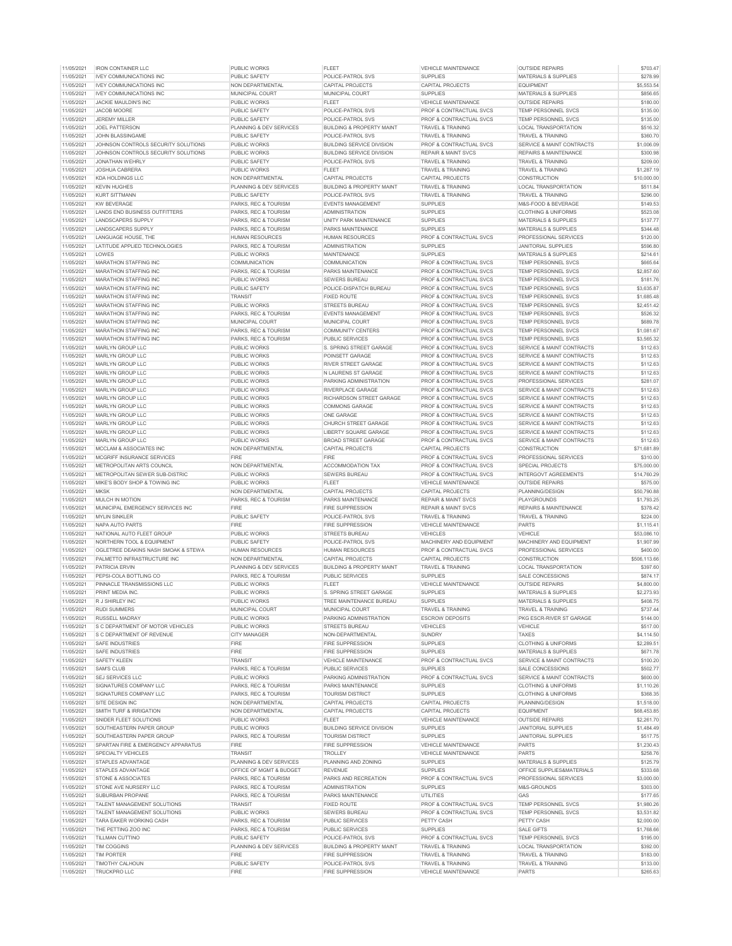|            | <b>IRON CONTAINER LLC</b>           | <b>PUBLIC WORKS</b>     | FLEET                                | <b>VEHICLE MAINTENANCE</b>     | <b>OUTSIDE REPAIRS</b>          | \$703.47     |
|------------|-------------------------------------|-------------------------|--------------------------------------|--------------------------------|---------------------------------|--------------|
| 11/05/2021 | <b>IVEY COMMUNICATIONS INC</b>      | PUBLIC SAFETY           | POLICE-PATROL SVS                    | <b>SUPPLIES</b>                | MATERIALS & SUPPLIES            | \$278.99     |
| 11/05/2021 | <b>IVEY COMMUNICATIONS INC</b>      | NON DEPARTMENTAL        | <b>CAPITAL PROJECTS</b>              | CAPITAL PROJECTS               | <b>EQUIPMENT</b>                | \$5,553.54   |
| 11/05/2021 | <b>IVEY COMMUNICATIONS INC</b>      | MUNICIPAL COURT         | MUNICIPAL COURT                      | <b>SUPPLIES</b>                | MATERIALS & SUPPLIES            | \$856.65     |
|            | JACKIE MAULDIN'S INC                |                         |                                      |                                |                                 |              |
| 11/05/2021 |                                     | PUBLIC WORKS            | <b>FIFFT</b>                         | VEHICLE MAINTENANCE            | <b>OUTSIDE REPAIRS</b>          | \$180.00     |
| 11/05/2021 | JACOB MOORE                         | PUBLIC SAFETY           | POLICE-PATROL SVS                    | PROF & CONTRACTUAL SVCS        | <b>TEMP PERSONNEL SVCS</b>      | \$135.00     |
| 11/05/2021 | <b>JEREMY MILLER</b>                | <b>PUBLIC SAFETY</b>    | POLICE-PATROL SVS                    | PROF & CONTRACTUAL SVCS        | TEMP PERSONNEL SVCS             | \$135.00     |
| 11/05/2021 | <b>JOEL PATTERSON</b>               | PLANNING & DEV SERVICES | <b>BUILDING &amp; PROPERTY MAINT</b> | <b>TRAVEL &amp; TRAINING</b>   | <b>LOCAL TRANSPORTATION</b>     | \$516.32     |
| 11/05/2021 | JOHN BLASSINGAME                    | PUBLIC SAFETY           | POLICE-PATROL SVS                    | TRAVEL & TRAINING              | TRAVEL & TRAINING               | \$360.70     |
| 11/05/2021 | JOHNSON CONTROLS SECURITY SOLUTIONS | PUBLIC WORKS            | <b>BUILDING SERVICE DIVISION</b>     | PROF & CONTRACTUAL SVCS        | SERVICE & MAINT CONTRACTS       | \$1,006.09   |
|            | JOHNSON CONTROLS SECURITY SOLUTIONS | PUBLIC WORKS            | <b>BUILDING SERVICE DIVISION</b>     |                                |                                 |              |
| 11/05/2021 |                                     |                         |                                      | <b>REPAIR &amp; MAINT SVCS</b> | REPAIRS & MAINTENANCE           | \$300.98     |
| 11/05/2021 | <b>JONATHAN WEHRLY</b>              | PUBLIC SAFETY           | POLICE-PATROL SVS                    | <b>TRAVEL &amp; TRAINING</b>   | <b>TRAVEL &amp; TRAINING</b>    | \$209.00     |
| 11/05/2021 | JOSHUA CABRERA                      | PUBLIC WORKS            | <b>FLEET</b>                         | TRAVEL & TRAINING              | TRAVEL & TRAINING               | \$1,287.19   |
| 11/05/2021 | <b>KDA HOLDINGS LLC</b>             | NON DEPARTMENTAL        | CAPITAL PROJECTS                     | <b>CAPITAL PROJECTS</b>        | <b>CONSTRUCTION</b>             | \$10,000.00  |
| 11/05/2021 | <b>KEVIN HUGHES</b>                 | PLANNING & DEV SERVICES | <b>BUILDING &amp; PROPERTY MAINT</b> | TRAVEL & TRAINING              | LOCAL TRANSPORTATION            | \$511.84     |
| 11/05/2021 | <b>KURT SITTMANN</b>                | <b>PUBLIC SAFETY</b>    | POLICE-PATROL SVS                    | <b>TRAVEL &amp; TRAINING</b>   | <b>TRAVEL &amp; TRAINING</b>    | \$296.00     |
|            |                                     |                         |                                      |                                |                                 |              |
| 11/05/2021 | <b>KW BEVERAGE</b>                  | PARKS, REC & TOURISM    | <b>EVENTS MANAGEMENT</b>             | <b>SUPPLIES</b>                | M&S-FOOD & BEVERAGE             | \$149.53     |
| 11/05/2021 | LANDS END BUSINESS OUTFITTERS       | PARKS, REC & TOURISM    | <b>ADMINISTRATION</b>                | <b>SUPPLIES</b>                | CLOTHING & UNIFORMS             | \$523.08     |
| 11/05/2021 | LANDSCAPERS SUPPLY                  | PARKS REC & TOURISM     | UNITY PARK MAINTENANCE               | <b>SUPPLIES</b>                | <b>MATERIALS &amp; SUPPLIES</b> | \$137.77     |
| 11/05/2021 | LANDSCAPERS SUPPLY                  | PARKS, REC & TOURISM    | PARKS MAINTENANCE                    | <b>SUPPLIES</b>                | <b>MATERIALS &amp; SUPPLIES</b> | \$344.48     |
| 11/05/2021 | LANGUAGE HOUSE, THE                 | <b>HUMAN RESOURCES</b>  | <b>HUMAN RESOURCES</b>               | PROF & CONTRACTUAL SVCS        | PROFESSIONAL SERVICES           | \$120.00     |
|            | LATITUDE APPLIED TECHNOLOGIES       |                         |                                      | <b>SUPPLIES</b>                | <b>JANITORIAL SUPPLIES</b>      |              |
| 11/05/2021 |                                     | PARKS, REC & TOURISM    | <b>ADMINISTRATION</b>                |                                |                                 | \$596.80     |
| 11/05/2021 | <b>I OWES</b>                       | PUBLIC WORKS            | MAINTENANCE                          | <b>SUPPLIES</b>                | <b>MATERIALS &amp; SUPPLIES</b> | \$214.61     |
| 11/05/2021 | MARATHON STAFFING INC               | COMMUNICATION           | COMMUNICATION                        | PROF & CONTRACTUAL SVCS        | TEMP PERSONNEL SVCS             | \$665.64     |
| 11/05/2021 | MARATHON STAFFING INC               | PARKS, REC & TOURISM    | PARKS MAINTENANCE                    | PROF & CONTRACTUAL SVCS        | TEMP PERSONNEL SVCS             | \$2,857.60   |
| 11/05/2021 | <b>MARATHON STAFFING INC</b>        | PUBLIC WORKS            | <b>SEWERS BUREAU</b>                 | PROF & CONTRACTUAL SVCS        | <b>TEMP PERSONNEL SVCS</b>      | \$181.76     |
| 11/05/2021 | MARATHON STAFFING INC               | PUBLIC SAFETY           | POLICE-DISPATCH BUREAU               | PROF & CONTRACTUAL SVCS        | TEMP PERSONNEL SVCS             | \$3,635.87   |
|            |                                     |                         |                                      |                                |                                 |              |
| 11/05/2021 | MARATHON STAFFING INC               | TRANSIT                 | <b>FIXED ROUTE</b>                   | PROF & CONTRACTUAL SVCS        | TEMP PERSONNEL SVCS             | \$1,685.48   |
| 11/05/2021 | MARATHON STAFFING INC               | PUBLIC WORKS            | <b>STREETS BUREAU</b>                | PROF & CONTRACTUAL SVCS        | <b>TEMP PERSONNEL SVCS</b>      | \$2,451.42   |
| 11/05/2021 | MARATHON STAFFING INC.              | PARKS REC & TOURISM     | <b>EVENTS MANAGEMENT</b>             | PROF & CONTRACTUAL SVCS        | TEMP PERSONNEL SVCS             | \$526.32     |
| 11/05/2021 | MARATHON STAFFING INC               | MUNICIPAL COURT         | MUNICIPAL COURT                      | PROF & CONTRACTUAL SVCS        | <b>TEMP PERSONNEL SVCS</b>      | \$689.78     |
| 11/05/2021 | <b>MARATHON STAFFING INC</b>        | PARKS, REC & TOURISM    | <b>COMMUNITY CENTERS</b>             | PROF & CONTRACTUAL SVCS        | TEMP PERSONNEL SVCS             | \$1,081.67   |
|            |                                     |                         |                                      |                                |                                 |              |
| 11/05/2021 | MARATHON STAFFING INC               | PARKS, REC & TOURISM    | PUBLIC SERVICES                      | PROF & CONTRACTUAL SVCS        | <b>TEMP PERSONNEL SVCS</b>      | \$3,565.32   |
| 11/05/2021 | MARLYN GROUP LLC                    | PUBLIC WORKS            | S. SPRING STREET GARAGE              | PROF & CONTRACTUAL SVCS        | SERVICE & MAINT CONTRACTS       | \$112.63     |
| 11/05/2021 | MARI YN GROUP LLC                   | PUBLIC WORKS            | POINSETT GARAGE                      | PROF & CONTRACTUAL SVCS        | SERVICE & MAINT CONTRACTS       | \$112.63     |
| 11/05/2021 | MARI YN GROUP LLC                   | PUBLIC WORKS            | RIVER STREET GARAGE                  | PROF & CONTRACTUAL SVCS        | SERVICE & MAINT CONTRACTS       | \$112.63     |
| 11/05/2021 | MARLYN GROUP LLC                    | PUBLIC WORKS            | N LAURENS ST GARAGE                  | PROF & CONTRACTUAL SVCS        | SERVICE & MAINT CONTRACTS       | \$112.63     |
| 11/05/2021 | MARLYN GROUP LLC                    | PUBLIC WORKS            | PARKING ADMINISTRATION               | PROF & CONTRACTUAL SVCS        | PROFESSIONAL SERVICES           | \$281.07     |
|            |                                     |                         |                                      |                                |                                 |              |
| 11/05/2021 | MARLYN GROUP LLC                    | PUBLIC WORKS            | <b>RIVERPLACE GARAGE</b>             | PROF & CONTRACTUAL SVCS        | SERVICE & MAINT CONTRACTS       | \$112.63     |
| 11/05/2021 | MARLYN GROUP LLC                    | PUBLIC WORKS            | RICHARDSON STREET GARAGE             | PROF & CONTRACTUAL SVCS        | SERVICE & MAINT CONTRACTS       | \$112.63     |
| 11/05/2021 | MARLYN GROUP LLC                    | PUBLIC WORKS            | <b>COMMONS GARAGE</b>                | PROF & CONTRACTUAL SVCS        | SERVICE & MAINT CONTRACTS       | \$112.63     |
| 11/05/2021 | MARLYN GROUP LLC                    | PUBLIC WORKS            | ONE GARAGE                           | PROF & CONTRACTUAL SVCS        | SERVICE & MAINT CONTRACTS       | \$112.63     |
| 11/05/2021 | MARLYN GROUP LLC                    |                         | CHURCH STREET GARAGE                 | PROF & CONTRACTUAL SVCS        | SERVICE & MAINT CONTRACTS       | \$112.63     |
|            |                                     | PUBLIC WORKS            |                                      |                                |                                 |              |
| 11/05/2021 | MARLYN GROUP LLC                    | PUBLIC WORKS            | <b>LIBERTY SQUARE GARAGE</b>         | PROF & CONTRACTUAL SVCS        | SERVICE & MAINT CONTRACTS       | \$112.63     |
| 11/05/2021 | MARLYN GROUP LLC                    | PUBLIC WORKS            | <b>BROAD STREET GARAGE</b>           | PROF & CONTRACTUAL SVCS        | SERVICE & MAINT CONTRACTS       | \$112.63     |
| 11/05/2021 | MCCLAM & ASSOCIATES INC             | NON DEPARTMENTAL        | CAPITAL PROJECTS                     | CAPITAL PROJECTS               | CONSTRUCTION                    | \$71,681.89  |
| 11/05/2021 | MCGRIFF INSURANCE SERVICES          | <b>FIRE</b>             | <b>FIRE</b>                          | PROF & CONTRACTUAL SVCS        | PROFESSIONAL SERVICES           | \$310.00     |
| 11/05/2021 | METROPOLITAN ARTS COUNCIL           | NON DEPARTMENTAL        | ACCOMMODATION TAX                    | PROF & CONTRACTUAL SVCS        | <b>SPECIAL PROJECTS</b>         | \$75,000.00  |
|            |                                     |                         |                                      |                                |                                 |              |
| 11/05/2021 | METROPOLITAN SEWER SUB-DISTRIC      | PUBLIC WORKS            | SEWERS BUREAU                        | PROF & CONTRACTUAL SVCS        | <b>INTERGOVT AGREEMENTS</b>     | \$14,760.29  |
| 11/05/2021 | MIKE'S BODY SHOP & TOWING INC       | PUBLIC WORKS            | <b>FLEET</b>                         | VEHICLE MAINTENANCE            | <b>OUTSIDE REPAIRS</b>          | \$575.00     |
| 11/05/2021 | <b>MKSK</b>                         | NON DEPARTMENTAL        | CAPITAL PROJECTS                     | CAPITAL PROJECTS               | PLANNING/DESIGN                 | \$50,790.88  |
| 11/05/2021 | MULCH IN MOTION                     | PARKS, REC & TOURISM    | <b>PARKS MAINTENANCE</b>             | <b>REPAIR &amp; MAINT SVCS</b> | PLAYGROUNDS                     | \$1,793.25   |
| 11/05/2021 | MUNICIPAL EMERGENCY SERVICES INC    | <b>FIRE</b>             | <b>FIRE SUPPRESSION</b>              | <b>REPAIR &amp; MAINT SVCS</b> | REPAIRS & MAINTENANCE           | \$378.42     |
|            |                                     |                         |                                      |                                |                                 |              |
| 11/05/2021 | <b>MYLIN SINKLER</b>                | PUBLIC SAFETY           | POLICE-PATROL SVS                    | <b>TRAVEL &amp; TRAINING</b>   | TRAVEL & TRAINING               | \$224.00     |
| 11/05/2021 | NAPA AUTO PARTS                     | FIRE                    | <b>FIRE SUPPRESSION</b>              |                                | PARTS                           | \$1,115.41   |
|            |                                     |                         |                                      | <b>VEHICLE MAINTENANCE</b>     |                                 |              |
| 11/05/2021 | NATIONAL AUTO FLEET GROUP           | PUBLIC WORKS            | <b>STREETS BUREAU</b>                | VEHICLES                       | VEHICLE                         | \$53,086.10  |
| 11/05/2021 | NORTHERN TOOL & EQUIPMENT           | PUBLIC SAFETY           | POLICE-PATROL SVS                    | MACHINERY AND EQUIPMENT        | MACHINERY AND EQUIPMENT         | \$1,907.99   |
|            |                                     |                         |                                      |                                |                                 |              |
| 11/05/2021 | OGLETREE DEAKINS NASH SMOAK & STEWA | <b>HUMAN RESOURCES</b>  | <b>HUMAN RESOURCES</b>               | PROF & CONTRACTUAL SVCS        | PROFESSIONAL SERVICES           | \$400.00     |
| 11/05/2021 | PALMETTO INFRASTRUCTURE INC         | <b>NON DEPARTMENTAL</b> | CAPITAL PROJECTS                     | <b>CAPITAL PROJECTS</b>        | <b>CONSTRUCTION</b>             | \$506,113.66 |
| 11/05/2021 | PATRICIA ERVIN                      | PLANNING & DEV SERVICES | <b>BUILDING &amp; PROPERTY MAINT</b> | TRAVEL & TRAINING              | <b>LOCAL TRANSPORTATION</b>     | \$397.60     |
| 11/05/2021 | PEPSI-COLA BOTTLING CO              | PARKS, REC & TOURISM    | PUBLIC SERVICES                      | SUPPLIES                       | SALE CONCESSIONS                | \$874.17     |
| 11/05/2021 | PINNACLE TRANSMISSIONS LLC          | PUBLIC WORKS            | <b>FIFFT</b>                         | <b>VEHICLE MAINTENANCE</b>     | <b>OUTSIDE REPAIRS</b>          | \$4,800.00   |
| 11/05/2021 | PRINT MEDIA INC.                    | PUBLIC WORKS            | S. SPRING STREET GARAGE              | <b>SUPPLIES</b>                | MATERIALS & SUPPLIES            | \$2,273.93   |
|            | R.J SHIRLEY INC.                    |                         |                                      |                                |                                 |              |
| 11/05/2021 |                                     | PUBLIC WORKS            | TREE MAINTENANCE BUREAU              | <b>SUPPLIES</b>                | <b>MATERIALS &amp; SUPPLIES</b> | \$408.75     |
| 11/05/2021 | <b>RUDI SUMMERS</b>                 | MUNICIPAL COURT         | MUNICIPAL COURT                      | TRAVEL & TRAINING              | TRAVEL & TRAINING               | \$737.44     |
| 11/05/2021 | <b>RUSSELL MADRAY</b>               | PUBLIC WORKS            | PARKING ADMINISTRATION               | <b>ESCROW DEPOSITS</b>         | PKG ESCR-RIVER ST GARAGE        | \$144.00     |
| 11/05/2021 | S C DEPARTMENT OF MOTOR VEHICLES    | PUBLIC WORKS            | <b>STREETS BUREAU</b>                | <b>VEHICLES</b>                | VEHICLE                         | \$517.00     |
| 11/05/2021 | S C DEPARTMENT OF REVENUE           | CITY MANAGER            | NON-DEPARTMENTAL                     | <b>SUNDRY</b>                  | <b>TAXES</b>                    | \$4,114.50   |
| 11/05/2021 | SAFE INDUSTRIES                     | <b>FIRE</b>             | <b>FIRE SUPPRESSION</b>              | <b>SUPPLIES</b>                | <b>CLOTHING &amp; UNIFORMS</b>  | \$2,289.51   |
|            |                                     |                         |                                      |                                |                                 |              |
| 11/05/2021 | <b>SAFE INDUSTRIES</b>              | <b>FIRE</b>             | <b>FIRE SUPPRESSION</b>              | <b>SUPPLIES</b>                | MATERIALS & SUPPLIES            | \$671.78     |
| 11/05/2021 | <b>SAFETY KLEEN</b>                 | <b>TRANSIT</b>          | <b>VEHICLE MAINTENANCE</b>           | PROF & CONTRACTUAL SVCS        | SERVICE & MAINT CONTRACTS       | \$100.20     |
| 11/05/2021 | <b>SAM'S CLUB</b>                   | PARKS, REC & TOURISM    | PUBLIC SERVICES                      | <b>SUPPLIES</b>                | SALE CONCESSIONS                | \$502.77     |
| 11/05/2021 | <b>SEJ SERVICES LLC</b>             | PUBLIC WORKS            | PARKING ADMINISTRATION               | PROF & CONTRACTUAL SVCS        | SERVICE & MAINT CONTRACTS       | \$600.00     |
| 11/05/2021 | SIGNATURES COMPANY LLC              | PARKS, REC & TOURISM    | PARKS MAINTENANCE                    | <b>SUPPLIES</b>                | <b>CLOTHING &amp; UNIFORMS</b>  | \$1,110.26   |
|            | SIGNATURES COMPANY LLC              | PARKS REC & TOURISM     | <b>TOURISM DISTRICT</b>              | <b>SUPPLIES</b>                | <b>CLOTHING &amp; UNIFORMS</b>  |              |
| 11/05/2021 |                                     |                         |                                      |                                |                                 | \$368.35     |
| 11/05/2021 | SITE DESIGN INC                     | NON DEPARTMENTAL        | <b>CAPITAL PROJECTS</b>              | CAPITAL PROJECTS               | PLANNING/DESIGN                 | \$1,518.00   |
| 11/05/2021 | SMITH TURF & IRRIGATION             | NON DEPARTMENTAL        | <b>CAPITAL PROJECTS</b>              | CAPITAL PROJECTS               | <b>EQUIPMENT</b>                | \$68,453.85  |
| 11/05/2021 | SNIDER FLEET SOLUTIONS              | PUBLIC WORKS            | <b>FLEET</b>                         | VEHICLE MAINTENANCE            | <b>OUTSIDE REPAIRS</b>          | \$2,261.70   |
| 11/05/2021 | SOUTHEASTERN PAPER GROUP            | <b>PUBLIC WORKS</b>     | <b>BUILDING SERVICE DIVISION</b>     | SUPPLIES                       | <b>JANITORIAL SUPPLIES</b>      | \$1,484.49   |
| 11/05/2021 | SOUTHEASTERN PAPER GROUP            | PARKS, REC & TOURISM    | <b>TOURISM DISTRICT</b>              | <b>SUPPLIES</b>                | <b>JANITORIAL SUPPLIES</b>      | \$517.75     |
|            | SPARTAN FIRE & EMERGENCY APPARATUS  |                         | <b>FIRE SUPPRESSION</b>              |                                |                                 |              |
| 11/05/2021 |                                     | <b>FIRE</b>             |                                      | VEHICLE MAINTENANCE            | PARTS                           | \$1,230.43   |
| 11/05/2021 | SPECIALTY VEHICLES                  | <b>TRANSIT</b>          | <b>TROLLEY</b>                       | VEHICLE MAINTENANCE            | PARTS                           | \$258.76     |
| 11/05/2021 | <b>STAPLES ADVANTAGE</b>            | PLANNING & DEV SERVICES | PLANNING AND ZONING                  | <b>SUPPLIES</b>                | MATERIALS & SUPPLIES            | \$125.79     |
| 11/05/2021 | <b>STAPLES ADVANTAGE</b>            | OFFICE OF MGMT & BUDGET | <b>REVENUE</b>                       | <b>SUPPLIES</b>                | OFFICE SUPPLIES&MATERIALS       | \$333.68     |
| 11/05/2021 | STONE & ASSOCIATES                  | PARKS, REC & TOURISM    | PARKS AND RECREATION                 | PROF & CONTRACTUAL SVCS        | PROFESSIONAL SERVICES           | \$3,000.00   |
|            |                                     |                         |                                      |                                |                                 |              |
| 11/05/2021 | STONE AVE NURSERY LLC               | PARKS, REC & TOURISM    | <b>ADMINISTRATION</b>                | <b>SUPPLIES</b>                | M&S-GROUNDS                     | \$303.00     |
| 11/05/2021 | SUBURBAN PROPANE                    | PARKS, REC & TOURISM    | PARKS MAINTENANCE                    | UTILITIES                      | GAS                             | \$177.65     |
| 11/05/2021 | TALENT MANAGEMENT SOLUTIONS         | <b>TRANSIT</b>          | <b>FIXED ROUTE</b>                   | PROF & CONTRACTUAL SVCS        | <b>TEMP PERSONNEL SVCS</b>      | \$1,980.26   |
| 11/05/2021 | TALENT MANAGEMENT SOLUTIONS         | PUBLIC WORKS            | <b>SEWERS BUREAU</b>                 | PROF & CONTRACTUAL SVCS        | <b>TEMP PERSONNEL SVCS</b>      | \$3,531.82   |
| 11/05/2021 | TARA EAKER WORKING CASH             | PARKS, REC & TOURISM    | PUBLIC SERVICES                      | PETTY CASH                     | PETTY CASH                      | \$2,000.00   |
|            | THE PETTING ZOO INC                 | PARKS, REC & TOURISM    | <b>PUBLIC SERVICES</b>               | SUPPLIES                       | SAI F GIFTS                     |              |
| 11/05/2021 |                                     |                         |                                      |                                |                                 | \$1,768.66   |
| 11/05/2021 | TILLMAN CUTTINO                     | PUBLIC SAFETY           | POLICE-PATROL SVS                    | PROF & CONTRACTUAL SVCS        | TEMP PERSONNEL SVCS             | \$195.00     |
| 11/05/2021 | <b>TIM COGGINS</b>                  | PLANNING & DEV SERVICES | <b>BUILDING &amp; PROPERTY MAINT</b> | <b>TRAVEL &amp; TRAINING</b>   | LOCAL TRANSPORTATION            | \$392.00     |
| 11/05/2021 | <b>TIM PORTER</b>                   | <b>FIRE</b>             | <b>FIRE SUPPRESSION</b>              | TRAVEL & TRAINING              | TRAVEL & TRAINING               | \$183.00     |
| 11/05/2021 | <b>TIMOTHY CALHOUN</b>              | PUBLIC SAFETY           | POLICE-PATROL SVS                    | TRAVEL & TRAINING              | TRAVEL & TRAINING               | \$133.00     |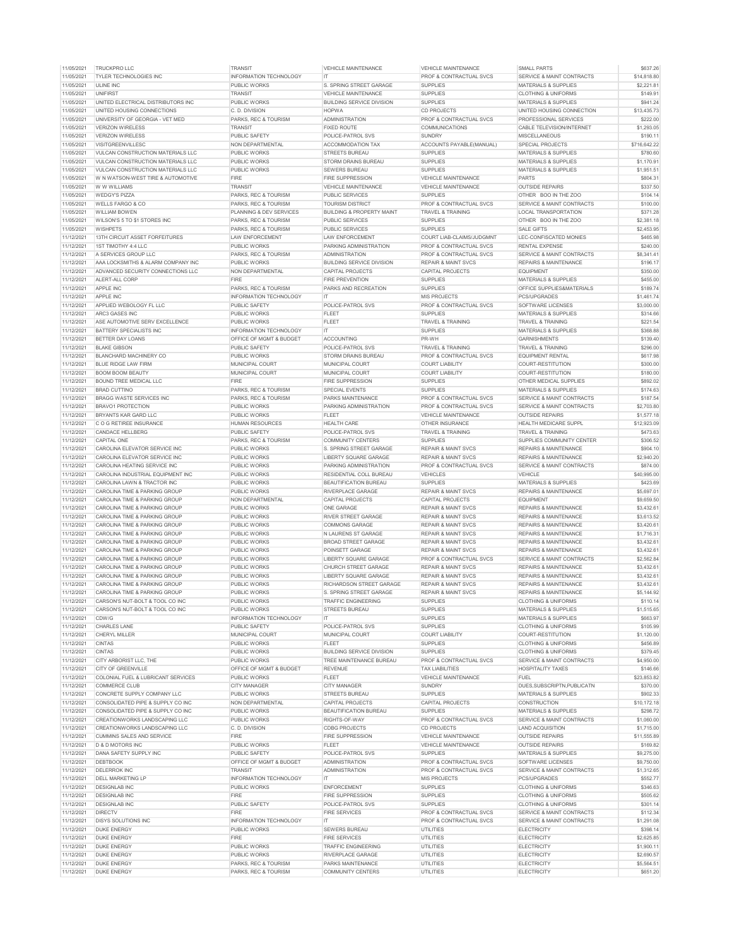| 11/05/2021               | <b>TRUCKPRO LLC</b>                      | <b>TRANSI</b>                                | <b>VEHICLE MAINTENANCE</b>                    | <b>VEHICLE MAINTENANCE</b>     | SMALL PARTS                       | \$637.26               |
|--------------------------|------------------------------------------|----------------------------------------------|-----------------------------------------------|--------------------------------|-----------------------------------|------------------------|
| 11/05/2021               | TYLER TECHNOLOGIES INC                   | <b>INFORMATION TECHNOLOGY</b>                | IT                                            | PROF & CONTRACTUAL SVCS        | SERVICE & MAINT CONTRACTS         | \$14,818.80            |
| 11/05/2021               | <b>ULINE INC</b>                         | PUBLIC WORKS                                 | S. SPRING STREET GARAGE                       | <b>SUPPLIES</b>                | MATERIALS & SUPPLIES              | \$2,221.81             |
| 11/05/2021               | <b>UNIFIRST</b>                          | <b>TRANSIT</b>                               | VEHICLE MAINTENANCE                           | <b>SUPPLIES</b>                | <b>CLOTHING &amp; UNIFORMS</b>    | \$149.91               |
| 11/05/2021               | UNITED ELECTRICAL DISTRIBUTORS INC       | PUBLIC WORKS                                 | <b>BUILDING SERVICE DIVISION</b>              | <b>SUPPLIES</b>                | MATERIALS & SUPPLIES              | \$941.24               |
|                          |                                          |                                              |                                               |                                |                                   |                        |
| 11/05/2021               | UNITED HOUSING CONNECTIONS               | C. D. DIVISION                               | <b>HOPWA</b>                                  | <b>CD PROJECTS</b>             | UNITED HOUSING CONNECTION         | \$13,435.73            |
| 11/05/2021               | UNIVERSITY OF GEORGIA - VET MED          | PARKS, REC & TOURISM                         | <b>ADMINISTRATION</b>                         | PROF & CONTRACTUAL SVCS        | PROFESSIONAL SERVICES             | \$222.00               |
| 11/05/2021               | <b>VERIZON WIRELESS</b>                  | TRANSIT                                      | <b>FIXED ROUTE</b>                            | COMMUNICATIONS                 | CABLE TELEVISION/INTERNET         | \$1,293.05             |
| 11/05/2021               | <b>VERIZON WIRELESS</b>                  | PUBLIC SAFETY                                | POLICE-PATROL SVS                             | <b>SUNDRY</b>                  | MISCELLANEOUS                     | \$190.11               |
| 11/05/2021               | VISITGREENVILLESC                        | NON DEPARTMENTAL                             | ACCOMMODATION TAX                             | ACCOUNTS PAYABLE(MANUAL)       | <b>SPECIAL PROJECTS</b>           | \$716,642.22           |
| 11/05/2021               | VULCAN CONSTRUCTION MATERIALS LLC        | <b>PUBLIC WORKS</b>                          | STREETS BUREAU                                | <b>SUPPLIES</b>                | <b>MATERIALS &amp; SUPPLIES</b>   | \$780.60               |
|                          |                                          |                                              |                                               |                                |                                   |                        |
| 11/05/2021               | VULCAN CONSTRUCTION MATERIALS LLC        | PUBLIC WORKS                                 | STORM DRAINS BUREAU                           | <b>SUPPLIES</b>                | MATERIALS & SUPPLIES              | \$1,170.91             |
| 11/05/2021               | VULCAN CONSTRUCTION MATERIALS LLC        | <b>PUBLIC WORKS</b>                          | <b>SEWERS BUREAU</b>                          | <b>SUPPLIES</b>                | MATERIALS & SUPPLIES              | \$1,951.51             |
| 11/05/2021               | W N WATSON-WEST TIRE & AUTOMOTIVE        | <b>FIRE</b>                                  | <b>FIRE SUPPRESSION</b>                       | <b>VEHICLE MAINTENANCE</b>     | <b>PARTS</b>                      | \$804.31               |
| 11/05/2021               | W W WILLIAMS                             | <b>TRANSIT</b>                               | VEHICLE MAINTENANCE                           | <b>VEHICLE MAINTENANCE</b>     | <b>OUTSIDE REPAIRS</b>            | \$337.50               |
| 11/05/2021               | <b>WEDGY'S PIZZA</b>                     | PARKS, REC & TOURISM                         | PUBLIC SERVICES                               | <b>SUPPLIES</b>                | OTHER BOO IN THE ZOO              | \$104.14               |
|                          |                                          |                                              |                                               |                                |                                   |                        |
| 11/05/2021               | WELLS FARGO & CO                         | PARKS, REC & TOURISM                         | <b>TOURISM DISTRICT</b>                       | PROF & CONTRACTUAL SVCS        | SERVICE & MAINT CONTRACTS         | \$100.00               |
| 11/05/2021               | WII I IAM BOWEN                          | PLANNING & DEV SERVICES                      | <b>BUILDING &amp; PROPERTY MAINT</b>          | <b>TRAVEL &amp; TRAINING</b>   | LOCAL TRANSPORTATION              | \$371.28               |
| 11/05/2021               | WILSON'S 5 TO \$1 STORES INC             | PARKS, REC & TOURISM                         | PUBLIC SERVICES                               | <b>SUPPLIES</b>                | OTHER BOO IN THE ZOO              | \$2.381.18             |
| 11/05/2021               | WISHPETS                                 | PARKS, REC & TOURISM                         | PUBLIC SERVICES                               | <b>SUPPLIES</b>                | <b>SALE GIFTS</b>                 | \$2,453.95             |
| 11/12/2021               | 13TH CIRCUIT ASSET FORFEITURES           | LAW ENFORCEMENT                              | <b>I AW ENFORCEMENT</b>                       | COURT LIAB-CLAIMS/JUDGMNT      | LEC-CONFISCATED MONIES            | \$465.98               |
|                          |                                          |                                              |                                               |                                |                                   |                        |
| 11/12/2021               | 1ST TIMOTHY 4:4 LLC                      | <b>PUBLIC WORKS</b>                          | PARKING ADMINISTRATION                        | PROF & CONTRACTUAL SVCS        | <b>RENTAL EXPENSE</b>             | \$240.00               |
| 11/12/2021               | A SERVICES GROUP LLC                     | PARKS, REC & TOURISM                         | <b>ADMINISTRATION</b>                         | PROF & CONTRACTUAL SVCS        | SERVICE & MAINT CONTRACTS         | \$8,341.41             |
| 11/12/2021               | AAA LOCKSMITHS & ALARM COMPANY INC       | <b>PUBLIC WORKS</b>                          | <b>BUILDING SERVICE DIVISION</b>              | <b>REPAIR &amp; MAINT SVCS</b> | REPAIRS & MAINTENANCE             | \$196.17               |
| 11/12/2021               | ADVANCED SECURITY CONNECTIONS LLC        | NON DEPARTMENTAL                             | CAPITAL PROJECTS                              | CAPITAL PROJECTS               | <b>EQUIPMENT</b>                  | \$350.00               |
| 11/12/2021               | ALERT-ALL CORP                           | <b>FIRE</b>                                  | <b>FIRE PREVENTION</b>                        | <b>SUPPLIES</b>                | MATERIALS & SUPPLIES              | \$455.00               |
| 11/12/2021               | APPLE INC                                | PARKS, REC & TOURISM                         | PARKS AND RECREATION                          | <b>SUPPLIES</b>                | OFFICE SUPPLIES&MATERIALS         | \$189.74               |
|                          |                                          |                                              |                                               |                                |                                   |                        |
| 11/12/2021               | APPLE INC                                | INFORMATION TECHNOLOGY                       | IT                                            | <b>MIS PROJECTS</b>            | PCS/UPGRADES                      | \$1,461.74             |
| 11/12/2021               | APPLIED WEBOLOGY FL LLC                  | PUBLIC SAFETY                                | POLICE-PATROL SVS                             | PROF & CONTRACTUAL SVCS        | SOFTWARE LICENSES                 | \$3,000.00             |
| 11/12/2021               | ARC3 GASES INC                           | PUBLIC WORKS                                 | FLEET                                         | <b>SUPPLIES</b>                | <b>MATERIALS &amp; SUPPLIES</b>   | \$314.66               |
| 11/12/2021               | ASE AUTOMOTIVE SERV EXCELLENCE           | PUBLIC WORKS                                 | <b>FLEET</b>                                  | <b>TRAVEL &amp; TRAINING</b>   | TRAVEL & TRAINING                 | \$221.54               |
| 11/12/2021               | BATTERY SPECIALISTS INC                  | INFORMATION TECHNOLOGY                       | $\mathsf{I}$                                  | <b>SUPPLIES</b>                | MATERIALS & SUPPLIES              | \$368.88               |
| 11/12/2021               | BETTER DAY LOANS                         | OFFICE OF MGMT & BUDGET                      | <b>ACCOUNTING</b>                             | PR-WH                          | <b>GARNISHMENTS</b>               | \$139.40               |
|                          |                                          |                                              |                                               |                                |                                   |                        |
| 11/12/2021               | <b>BLAKE GIBSON</b>                      | PUBLIC SAFETY                                | POLICE-PATROL SVS                             | TRAVEL & TRAINING              | <b>TRAVEL &amp; TRAINING</b>      | \$296.00               |
| 11/12/2021               | BLANCHARD MACHINERY CO                   | PUBLIC WORKS                                 | STORM DRAINS BUREAU                           | PROF & CONTRACTUAL SVCS        | <b>EQUIPMENT RENTAL</b>           | \$617.98               |
| 11/12/2021               | BLUE RIDGE LAW FIRM                      | MUNICIPAL COURT                              | MUNICIPAL COURT                               | <b>COURT LIABILITY</b>         | COURT-RESTITUTION                 | \$300.00               |
| 11/12/2021               | <b>BOOM BOOM BEAUTY</b>                  | MUNICIPAL COURT                              | MUNICIPAL COURT                               | <b>COURT LIABILITY</b>         | COURT-RESTITUTION                 | \$180.00               |
| 11/12/2021               | BOUND TREE MEDICAL LLC                   | <b>FIRE</b>                                  | <b>FIRE SUPPRESSION</b>                       | <b>SUPPLIES</b>                | OTHER MEDICAL SUPPLIES            | \$892.02               |
|                          |                                          |                                              |                                               |                                |                                   |                        |
| 11/12/2021               | <b>BRAD CUTTINO</b>                      | PARKS, REC & TOURISM                         | SPECIAL EVENTS                                | <b>SUPPLIES</b>                | MATERIALS & SUPPLIES              | \$174.63               |
| 11/12/2021               | BRAGG WASTE SERVICES INC                 | PARKS, REC & TOURISM                         | PARKS MAINTENANCE                             | PROF & CONTRACTUAL SVCS        | SERVICE & MAINT CONTRACTS         | \$187.54               |
| 11/12/2021               | <b>BRAVO1 PROTECTION</b>                 | PUBLIC WORKS                                 | PARKING ADMINISTRATION                        | PROF & CONTRACTUAL SVCS        | SERVICE & MAINT CONTRACTS         | \$2,703.80             |
| 11/12/2021               | BRYANTS KAR GARD LLC                     | PUBLIC WORKS                                 | <b>FLEET</b>                                  | VEHICLE MAINTENANCE            | <b>OUTSIDE REPAIRS</b>            | \$1,577.18             |
| 11/12/2021               | C O G RETIREE INSURANCE                  | <b>HUMAN RESOURCES</b>                       | HEALTH CARE                                   | <b>OTHER INSURANCE</b>         | HEALTH MEDICARE SUPPL             | \$12,923.09            |
| 11/12/2021               | CANDACE HELLBERG                         | PUBLIC SAFETY                                | POLICE-PATROL SVS                             | TRAVEL & TRAINING              | TRAVEL & TRAINING                 | \$473.63               |
|                          |                                          |                                              |                                               |                                |                                   |                        |
| 11/12/2021               | CAPITAL ONE                              | PARKS, REC & TOURISM                         | <b>COMMUNITY CENTERS</b>                      | <b>SUPPLIES</b>                | SUPPLIES COMMUNITY CENTER         | \$306.52               |
| 11/12/2021               | CAROLINA ELEVATOR SERVICE INC            | PUBLIC WORKS                                 | S. SPRING STREET GARAGE                       | <b>REPAIR &amp; MAINT SVCS</b> | <b>REPAIRS &amp; MAINTENANCE</b>  | \$904.10               |
| 11/12/2021               | CAROLINA FLEVATOR SERVICE INC.           | PUBLIC WORKS                                 | <b>LIBERTY SQUARE GARAGE</b>                  | <b>REPAIR &amp; MAINT SVCS</b> | <b>REPAIRS &amp; MAINTENANCE</b>  | \$2,940.20             |
| 11/12/2021               | CAROLINA HEATING SERVICE INC             | PUBLIC WORKS                                 | PARKING ADMINISTRATION                        | PROF & CONTRACTUAL SVCS        | SERVICE & MAINT CONTRACTS         | \$874.00               |
|                          |                                          |                                              |                                               |                                |                                   |                        |
|                          |                                          |                                              |                                               |                                |                                   |                        |
| 11/12/2021               | CAROLINA INDUSTRIAL EQUIPMENT INC        | PUBLIC WORKS                                 | RESIDENTIAL COLL BUREAU                       | <b>VEHICLES</b>                | VEHICLE                           | \$40,995.00            |
| 11/12/2021               | CAROLINA LAWN & TRACTOR INC              | PUBLIC WORKS                                 | <b>BEAUTIFICATION BUREAU</b>                  | <b>SUPPLIES</b>                | MATERIALS & SUPPLIES              | \$423.69               |
| 11/12/2021               | CAROLINA TIME & PARKING GROUP            | PUBLIC WORKS                                 | RIVERPLACE GARAGE                             | <b>REPAIR &amp; MAINT SVCS</b> | <b>REPAIRS &amp; MAINTENANCE</b>  | \$5,697.01             |
| 11/12/2021               | CAROLINA TIME & PARKING GROUP            | NON DEPARTMENTAL                             | CAPITAL PROJECTS                              | CAPITAL PROJECTS               | <b>EQUIPMENT</b>                  | \$9,659.50             |
|                          | CAROLINA TIME & PARKING GROUP            |                                              |                                               |                                |                                   |                        |
| 11/12/2021               |                                          | PUBLIC WORKS                                 | ONE GARAGE                                    | <b>REPAIR &amp; MAINT SVCS</b> | REPAIRS & MAINTENANCE             | \$3,432.61             |
| 11/12/2021               | CAROLINA TIME & PARKING GROUP            | PUBLIC WORKS                                 | RIVER STREET GARAGE                           | <b>REPAIR &amp; MAINT SVCS</b> | REPAIRS & MAINTENANCE             | \$3,613.52             |
| 11/12/2021               | CAROLINA TIME & PARKING GROUP            | PUBLIC WORKS                                 | COMMONS GARAGE                                | <b>REPAIR &amp; MAINT SVCS</b> | REPAIRS & MAINTENANCE             | \$3,420.61             |
| 11/12/2021               | CAROLINA TIME & PARKING GROUP            | PUBLIC WORKS                                 | N LAURENS ST GARAGE                           | <b>REPAIR &amp; MAINT SVCS</b> | <b>REPAIRS &amp; MAINTENANCE</b>  | \$1,716.31             |
| 11/12/2021               | CAROLINA TIME & PARKING GROUP            | PUBLIC WORKS                                 | <b>BROAD STREET GARAGE</b>                    | <b>REPAIR &amp; MAINT SVCS</b> | REPAIRS & MAINTENANCE             | \$3,432.61             |
| 11/12/2021               | CAROLINA TIME & PARKING GROUP            | PUBLIC WORKS                                 | POINSETT GARAGE                               | <b>REPAIR &amp; MAINT SVCS</b> | <b>REPAIRS &amp; MAINTENANCE</b>  | \$3,432.61             |
|                          |                                          |                                              | <b>LIBERTY SQUARE GARAGE</b>                  |                                |                                   |                        |
| 11/12/2021               | CAROLINA TIME & PARKING GROUP            | PUBLIC WORKS                                 |                                               | PROF & CONTRACTUAL SVCS        | SERVICE & MAINT CONTRACTS         | \$2,562.84             |
| 11/12/2021               | CAROLINA TIME & PARKING GROUP            | PUBLIC WORKS                                 | CHURCH STREET GARAGE                          | <b>REPAIR &amp; MAINT SVCS</b> | <b>REPAIRS &amp; MAINTENANCE</b>  | \$3,432.61             |
| 11/12/2021               | CAROLINA TIME & PARKING GROUP            | PUBLIC WORKS                                 | LIBERTY SQUARE GARAGE                         | <b>REPAIR &amp; MAINT SVCS</b> | REPAIRS & MAINTENANCE             | \$3,432.61             |
| 11/12/2021               | CAROLINA TIME & PARKING GROUP            | PUBLIC WORKS                                 | RICHARDSON STREET GARAGE                      | <b>REPAIR &amp; MAINT SVCS</b> | REPAIRS & MAINTENANCE             | \$3,432.61             |
| 11/12/2021               | CAROLINA TIME & PARKING GROUP            | PUBLIC WORKS                                 | S. SPRING STREET GARAGE                       | <b>REPAIR &amp; MAINT SVCS</b> | REPAIRS & MAINTENANCE             | \$5,144.92             |
| 11/12/2021               | CARSON'S NUT-BOLT & TOOL CO INC          | PUBLIC WORKS                                 | <b>TRAFFIC ENGINEERING</b>                    | <b>SUPPLIES</b>                | <b>CLOTHING &amp; UNIFORMS</b>    | \$110.14               |
|                          | CARSON'S NUT-BOLT & TOOL CO INC          | <b>PUBLIC WORKS</b>                          | <b>STREETS BUREAU</b>                         | <b>SUPPLIES</b>                | MATERIALS & SUPPLIES              |                        |
| 11/12/2021               |                                          |                                              |                                               |                                |                                   | \$1,515.65             |
| 11/12/2021               | CDW/G                                    | <b>INFORMATION TECHNOLOGY</b>                | IT                                            | <b>SUPPLIES</b>                | MATERIALS & SUPPLIES              | \$663.97               |
| 11/12/2021               | CHARLES LANE                             | <b>PUBLIC SAFETY</b>                         | POLICE-PATROL SVS                             | <b>SUPPLIES</b>                | <b>CLOTHING &amp; UNIFORMS</b>    | \$105.99               |
| 11/12/2021               | CHERYL MILLER                            | MUNICIPAL COURT                              | MUNICIPAL COURT                               | <b>COURT LIABILITY</b>         | COURT-RESTITUTION                 | \$1,120.00             |
| 11/12/2021               | <b>CINTAS</b>                            | <b>PUBLIC WORKS</b>                          | <b>FLEET</b>                                  | <b>SUPPLIES</b>                | CLOTHING & UNIFORMS               | \$456.89               |
| 11/12/2021               | <b>CINTAS</b>                            | PUBLIC WORKS                                 | <b>BUILDING SERVICE DIVISION</b>              | <b>SUPPLIES</b>                | <b>CLOTHING &amp; UNIFORMS</b>    | \$379.45               |
| 11/12/2021               | CITY ARBORIST LLC, THE                   | PUBLIC WORKS                                 | TREE MAINTENANCE BUREAU                       | PROF & CONTRACTUAL SVCS        | SERVICE & MAINT CONTRACTS         | \$4,950.00             |
| 11/12/2021               | CITY OF GREENVILLE                       |                                              | <b>REVENUE</b>                                | TAX I JABILITIES               | <b>HOSPITALITY TAXES</b>          | \$146.66               |
|                          |                                          | OFFICE OF MGMT & BUDGET                      |                                               |                                |                                   |                        |
| 11/12/2021               | COLONIAL FUEL & LUBRICANT SERVICES       | PUBLIC WORKS                                 | FLEET                                         | VEHICLE MAINTENANCE            | <b>FUEL</b>                       | \$23,853.82            |
| 11/12/2021               | <b>COMMERCE CLUB</b>                     | CITY MANAGER                                 | CITY MANAGER                                  | <b>SUNDRY</b>                  | DUES, SUBSCRIPTN, PUBLICATN       | \$370.00               |
| 11/12/2021               | CONCRETE SUPPLY COMPANY LLC              | PUBLIC WORKS                                 | STREETS BUREAU                                | <b>SUPPLIES</b>                | MATERIALS & SUPPLIES              | \$902.33               |
| 11/12/2021               | CONSOLIDATED PIPE & SUPPLY CO INC        | NON DEPARTMENTAL                             | CAPITAL PROJECTS                              | CAPITAL PROJECTS               | <b>CONSTRUCTION</b>               | \$10,172.18            |
| 11/12/2021               | CONSOLIDATED PIPE & SUPPLY CO INC        | PUBLIC WORKS                                 | <b>BEAUTIFICATION BUREAU</b>                  | <b>SUPPLIES</b>                | MATERIALS & SUPPLIES              | \$298.72               |
|                          |                                          |                                              | RIGHTS-OF-WAY                                 |                                |                                   |                        |
| 11/12/2021               | CREATIONWORKS LANDSCAPING LLC            | PUBLIC WORKS                                 |                                               | PROF & CONTRACTUAL SVCS        | SERVICE & MAINT CONTRACTS         | \$1,060.00             |
| 11/12/2021               | CREATIONWORKS LANDSCAPING LLC            | C. D. DIVISION                               | <b>CDBG PROJECTS</b>                          | CD PROJECTS                    | LAND ACQUISITION                  | \$1,715.00             |
| 11/12/2021               | CUMMINS SALES AND SERVICE                | FIRE                                         | FIRE SUPPRESSION                              | VEHICLE MAINTENANCE            | <b>OUTSIDE REPAIRS</b>            | \$11,555.89            |
| 11/12/2021               | <b>D &amp; D MOTORS INC</b>              | PUBLIC WORKS                                 | <b>FLEET</b>                                  | VEHICLE MAINTENANCE            | <b>OUTSIDE REPAIRS</b>            | \$169.82               |
| 11/12/2021               | DANA SAFETY SUPPLY INC                   | PUBLIC SAFETY                                | POLICE-PATROL SVS                             | <b>SUPPLIES</b>                | MATERIALS & SUPPLIES              | \$9,275.00             |
| 11/12/2021               | <b>DEBTBOOK</b>                          | OFFICE OF MGMT & BUDGET                      | <b>ADMINISTRATION</b>                         | PROF & CONTRACTUAL SVCS        | SOFTWARE LICENSES                 | \$9,750.00             |
|                          |                                          |                                              |                                               |                                |                                   |                        |
| 11/12/2021               | <b>DELERROK INC</b>                      | <b>TRANSIT</b>                               | <b>ADMINISTRATION</b>                         | PROF & CONTRACTUAL SVCS        | SERVICE & MAINT CONTRACTS         | \$1,312.65             |
| 11/12/2021               | DELL MARKETING LP                        | <b>INFORMATION TECHNOLOGY</b>                | $\mathsf{I}$                                  | MIS PROJECTS                   | <b>PCS/UPGRADES</b>               | \$552.77               |
| 11/12/2021               | <b>DESIGNLAB INC</b>                     | PUBLIC WORKS                                 | <b>ENFORCEMENT</b>                            | <b>SUPPLIES</b>                | <b>CLOTHING &amp; UNIFORMS</b>    | \$346.63               |
| 11/12/2021               | <b>DESIGNLAB INC</b>                     | <b>FIRE</b>                                  | <b>FIRE SUPPRESSION</b>                       | <b>SUPPLIES</b>                | <b>CLOTHING &amp; UNIFORMS</b>    | \$505.62               |
| 11/12/2021               | <b>DESIGNLAB INC</b>                     | PUBLIC SAFETY                                | POLICE-PATROL SVS                             | <b>SUPPLIES</b>                | <b>CLOTHING &amp; UNIFORMS</b>    | \$301.14               |
|                          | <b>DIRECTV</b>                           | <b>FIRE</b>                                  |                                               |                                |                                   |                        |
| 11/12/2021               |                                          |                                              | FIRE SERVICES                                 | PROF & CONTRACTUAL SVCS        | SERVICE & MAINT CONTRACTS         | \$112.34               |
| 11/12/2021               | DISYS SOLUTIONS INC                      | INFORMATION TECHNOLOGY                       | <b>IT</b>                                     | PROF & CONTRACTUAL SVCS        | SERVICE & MAINT CONTRACTS         | \$1,291.08             |
| 11/12/2021               | <b>DUKE ENERGY</b>                       | PUBLIC WORKS                                 | SEWERS BUREAU                                 | <b>UTILITIES</b>               | <b>ELECTRICITY</b>                | \$398.14               |
| 11/12/2021               | <b>DUKE ENERGY</b>                       | <b>FIRE</b>                                  | <b>FIRE SERVICES</b>                          | UTILITIES                      | <b>ELECTRICITY</b>                | \$2,625.85             |
| 11/12/2021               | <b>DUKE ENERGY</b>                       | PUBLIC WORKS                                 | <b>TRAFFIC ENGINEERING</b>                    | UTILITIES                      | ELECTRICITY                       | \$1,900.11             |
| 11/12/2021               | <b>DUKE ENERGY</b>                       | <b>PUBLIC WORKS</b>                          | RIVERPLACE GARAGE                             |                                | <b>ELECTRICITY</b>                |                        |
|                          |                                          |                                              |                                               | UTILITIES                      |                                   | \$2,690.57             |
| 11/12/2021<br>11/12/2021 | <b>DUKE ENERGY</b><br><b>DUKE ENERGY</b> | PARKS, REC & TOURISM<br>PARKS, REC & TOURISM | PARKS MAINTENANCE<br><b>COMMUNITY CENTERS</b> | UTILITIES<br>UTILITIES         | <b>ELECTRICITY</b><br>ELECTRICITY | \$5,564.51<br>\$651.20 |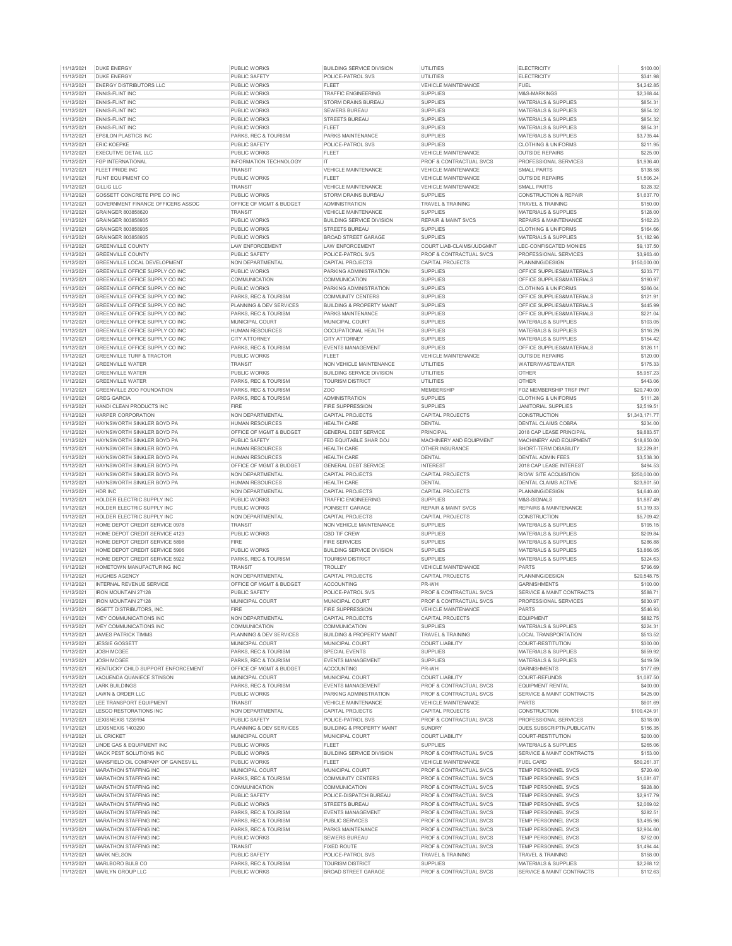| 11/12/2021               | <b>DUKE ENERGY</b>                   | PUBLIC WORKS                         | <b>BUILDING SERVICE DIVISION</b>                      | UTILITIES                                  | <b>ELECTRICITY</b>                                | \$100.00               |
|--------------------------|--------------------------------------|--------------------------------------|-------------------------------------------------------|--------------------------------------------|---------------------------------------------------|------------------------|
| 11/12/2021               | <b>DUKE ENERGY</b>                   | PUBLIC SAFETY                        | POLICE-PATROL SVS                                     | UTILITIES                                  | <b>ELECTRICITY</b>                                | \$341.98               |
| 11/12/2021               | <b>ENERGY DISTRIBUTORS LLC</b>       | PUBLIC WORKS                         | <b>FLEET</b>                                          | VEHICLE MAINTENANCE                        | <b>FUEL</b>                                       | \$4,242.85             |
| 11/12/2021               | <b>ENNIS-FLINT INC</b>               | PUBLIC WORKS                         | <b>TRAFFIC ENGINEERING</b>                            | <b>SUPPLIES</b>                            | M&S-MARKINGS                                      | \$2,368.44             |
| 11/12/2021               | <b>ENNIS-FLINT INC</b>               | PUBLIC WORKS                         | STORM DRAINS BUREAU                                   | <b>SUPPLIES</b>                            | MATERIALS & SUPPLIES                              | \$854.31               |
|                          |                                      |                                      |                                                       |                                            |                                                   |                        |
| 11/12/2021               | <b>ENNIS-FLINT INC</b>               | PUBLIC WORKS                         | SEWERS BUREAU                                         | <b>SUPPLIES</b>                            | MATERIALS & SUPPLIES                              | \$854.32               |
| 11/12/2021               | <b>ENNIS-FLINT INC</b>               | PUBLIC WORKS                         | STREETS BUREAU                                        | <b>SUPPLIES</b>                            | <b>MATERIALS &amp; SUPPLIES</b>                   | \$854.32               |
| 11/12/2021               | <b>ENNIS-FLINT INC</b>               | PUBLIC WORKS                         | FLEET                                                 | <b>SUPPLIES</b>                            | MATERIALS & SUPPLIES                              | \$854.31               |
| 11/12/2021               | <b>EPSILON PLASTICS INC</b>          | PARKS, REC & TOURISM                 | PARKS MAINTENANCE                                     | <b>SUPPLIES</b>                            | <b>MATERIALS &amp; SUPPLIES</b>                   | \$3,735.44             |
| 11/12/2021               | <b>ERIC KOEPKE</b>                   | PUBLIC SAFETY                        | POLICE-PATROL SVS                                     | <b>SUPPLIES</b>                            | <b>CLOTHING &amp; UNIFORMS</b>                    | \$211.95               |
|                          |                                      |                                      |                                                       |                                            |                                                   |                        |
| 11/12/2021               | <b>EXECUTIVE DETAIL LLC</b>          | <b>PUBLIC WORKS</b>                  | FLEET                                                 | VEHICLE MAINTENANCE                        | <b>OUTSIDE REPAIRS</b>                            | \$225.00               |
| 11/12/2021               | FGP INTERNATIONAL                    | <b>INFORMATION TECHNOLOGY</b>        | $\mathsf{I}\mathsf{T}$                                | PROF & CONTRACTUAL SVCS                    | PROFESSIONAL SERVICES                             | \$1,936.40             |
| 11/12/2021               | FLEET PRIDE INC                      | <b>TRANSIT</b>                       | VEHICLE MAINTENANCE                                   | VEHICLE MAINTENANCE                        | <b>SMALL PARTS</b>                                | \$138.58               |
| 11/12/2021               | FLINT EQUIPMENT CO                   | PUBLIC WORKS                         | <b>FLEET</b>                                          | VEHICLE MAINTENANCE                        | <b>OUTSIDE REPAIRS</b>                            | \$1,506.24             |
| 11/12/2021               | GIIIGIIC                             | <b>TRANSIT</b>                       | <b>VEHICLE MAINTENANCE</b>                            | <b>VEHICLE MAINTENANCE</b>                 | <b>SMALL PARTS</b>                                | \$328.32               |
|                          | GOSSETT CONCRETE PIPE CO INC         |                                      |                                                       |                                            | <b>CONSTRUCTION &amp; REPAIR</b>                  |                        |
| 11/12/2021               |                                      | PUBLIC WORKS                         | STORM DRAINS BUREAU                                   | <b>SUPPLIES</b>                            |                                                   | \$1,637.70             |
| 11/12/2021               | GOVERNMENT FINANCE OFFICERS ASSOC    | OFFICE OF MGMT & BUDGET              | <b>ADMINISTRATION</b>                                 | TRAVEL & TRAINING                          | <b>TRAVEL &amp; TRAINING</b>                      | \$150.00               |
| 11/12/2021               | GRAINGER 803858620                   | <b>TRANSIT</b>                       | VEHICLE MAINTENANCE                                   | <b>SUPPLIES</b>                            | MATERIALS & SUPPLIES                              | \$128.00               |
| 11/12/2021               | GRAINGER 803858935                   | PUBLIC WORKS                         | <b>BUILDING SERVICE DIVISION</b>                      | <b>REPAIR &amp; MAINT SVCS</b>             | REPAIRS & MAINTENANCE                             | \$162.23               |
| 11/12/2021               | GRAINGER 803858935                   | PUBLIC WORKS                         | <b>STREETS BUREAL</b>                                 | <b>SUPPLIES</b>                            | CLOTHING & UNIFORMS                               | \$164.66               |
|                          |                                      |                                      | <b>BROAD STREET GARAGE</b>                            | <b>SUPPLIES</b>                            |                                                   | \$1,182.96             |
| 11/12/2021               | GRAINGER 803858935                   | PUBLIC WORKS                         |                                                       |                                            | MATERIALS & SUPPLIES                              |                        |
| 11/12/2021               | <b>GREENVILLE COUNTY</b>             | <b>LAW ENFORCEMENT</b>               | <b>LAW ENFORCEMENT</b>                                | COURT LIAB-CLAIMS/JUDGMNT                  | LEC-CONFISCATED MONIES                            | \$9,137.50             |
| 11/12/2021               | <b>GREENVILLE COUNTY</b>             | PUBLIC SAFETY                        | POLICE-PATROL SVS                                     | PROF & CONTRACTUAL SVCS                    | PROFESSIONAL SERVICES                             | \$3,963.40             |
| 11/12/2021               | GREENVILLE LOCAL DEVELOPMENT         | NON DEPARTMENTAL                     | <b>CAPITAL PROJECTS</b>                               | CAPITAL PROJECTS                           | PLANNING/DESIGN                                   | \$150,000.00           |
| 11/12/2021               | GREENVILLE OFFICE SUPPLY CO INC      | PUBLIC WORKS                         | PARKING ADMINISTRATION                                | <b>SUPPLIES</b>                            | OFFICE SUPPLIES&MATERIALS                         | \$233.77               |
| 11/12/2021               | GREENVILLE OFFICE SUPPLY CO INC      | COMMUNICATION                        | COMMUNICATION                                         | <b>SUPPLIES</b>                            | OFFICE SUPPLIES&MATERIALS                         | \$190.97               |
|                          |                                      |                                      |                                                       |                                            |                                                   |                        |
| 11/12/2021               | GREENVILLE OFFICE SUPPLY CO INC      | PUBLIC WORKS                         | PARKING ADMINISTRATION                                | <b>SUPPLIES</b>                            | <b>CLOTHING &amp; UNIFORMS</b>                    | \$266.04               |
| 11/12/2021               | GREENVILLE OFFICE SUPPLY CO INC      | PARKS, REC & TOURISM                 | <b>COMMUNITY CENTERS</b>                              | <b>SUPPLIES</b>                            | OFFICE SUPPLIES&MATERIALS                         | \$121.91               |
| 11/12/2021               | GREENVILLE OFFICE SUPPLY CO INC      | PLANNING & DEV SERVICES              | <b>BUILDING &amp; PROPERTY MAINT</b>                  | <b>SUPPLIES</b>                            | OFFICE SUPPLIES&MATERIALS                         | \$445.99               |
| 11/12/2021               | GREENVILLE OFFICE SUPPLY CO INC      | PARKS, REC & TOURISM                 | PARKS MAINTENANCE                                     | <b>SUPPLIES</b>                            | OFFICE SUPPLIES&MATERIALS                         | \$221.04               |
| 11/12/2021               | GREENVILLE OFFICE SUPPLY CO INC      | MUNICIPAL COURT                      | MUNICIPAL COURT                                       | <b>SUPPLIES</b>                            | <b>MATERIALS &amp; SUPPLIES</b>                   | \$103.05               |
|                          |                                      |                                      |                                                       |                                            |                                                   |                        |
| 11/12/2021               | GREENVILLE OFFICE SUPPLY CO INC      | <b>HUMAN RESOURCES</b>               | OCCUPATIONAL HEALTH                                   | <b>SUPPLIES</b>                            | <b>MATERIALS &amp; SUPPLIES</b>                   | \$116.29               |
| 11/12/2021               | GREENVILLE OFFICE SUPPLY CO INC.     | <b>CITY ATTORNEY</b>                 | <b>CITY ATTORNEY</b>                                  | <b>SUPPLIES</b>                            | MATERIALS & SUPPLIES                              | \$154.42               |
| 11/12/2021               | GREENVILLE OFFICE SUPPLY CO INC      | PARKS, REC & TOURISM                 | <b>EVENTS MANAGEMENT</b>                              | <b>SUPPLIES</b>                            | OFFICE SUPPLIES&MATERIALS                         | \$126.11               |
| 11/12/2021               | <b>GREENVILLE TURF &amp; TRACTOR</b> | PUBLIC WORKS                         | FI FFT                                                | VEHICLE MAINTENANCE                        | <b>OUTSIDE REPAIRS</b>                            | \$120.00               |
|                          |                                      |                                      |                                                       |                                            |                                                   |                        |
| 11/12/2021               | <b>GREENVILLE WATER</b>              | TRANSIT                              | NON VEHICLE MAINTENANCE                               | <b>UTILITIES</b>                           | WATER/WASTEWATER                                  | \$175.33               |
| 11/12/2021               | <b>GREENVILLE WATER</b>              | PUBLIC WORKS                         | <b>BUILDING SERVICE DIVISION</b>                      | <b>UTILITIES</b>                           | OTHER                                             | \$5,957.23             |
| 11/12/2021               | <b>GREENVILLE WATER</b>              | PARKS, REC & TOURISM                 | <b>TOURISM DISTRICT</b>                               | <b>UTILITIES</b>                           | <b>OTHER</b>                                      | \$443.06               |
| 11/12/2021               | GREENVILLE ZOO FOUNDATION            | PARKS, REC & TOURISM                 | Z <sub>O</sub> O                                      | MEMBERSHIP                                 | FOZ MEMBERSHIP TRSF PMT                           | \$20,740.00            |
|                          |                                      |                                      |                                                       |                                            |                                                   |                        |
| 11/12/2021               | <b>GREG GARCIA</b>                   | <b>PARKS REC &amp; TOURISM</b>       | <b>ADMINISTRATION</b>                                 | <b>SUPPLIES</b>                            | <b>CLOTHING &amp; UNIFORMS</b>                    | \$111.28               |
| 11/12/2021               | HANDI CLEAN PRODUCTS INC             | FIRE                                 | FIRE SUPPRESSION                                      | <b>SUPPLIES</b>                            | <b>JANITORIAL SUPPLIES</b>                        | \$2,519.51             |
| 11/12/2021               | HARPER CORPORATION                   | <b>NON DEPARTMENTAL</b>              | CAPITAL PROJECTS                                      | CAPITAL PROJECTS                           | CONSTRUCTION                                      | \$1,343,171.77         |
| 11/12/2021               | HAYNSWORTH SINKLER BOYD PA           | <b>HUMAN RESOURCES</b>               | <b>HEALTH CARE</b>                                    | DENTAL                                     | DENTAL CLAIMS COBRA                               | \$234.00               |
| 11/12/2021               | HAYNSWORTH SINKLER BOYD PA           | OFFICE OF MGMT & BUDGET              | <b>GENERAL DEBT SERVICE</b>                           | PRINCIPAL                                  | 2018 CAP LEASE PRINCIPAL                          | \$9,883.57             |
|                          |                                      |                                      |                                                       |                                            |                                                   |                        |
| 11/12/2021               | HAYNSWORTH SINKLER BOYD PA           | PUBLIC SAFETY                        | FED EQUITABLE SHAR DOJ                                | MACHINERY AND EQUIPMENT                    | MACHINERY AND EQUIPMENT                           | \$18,850.00            |
| 11/12/2021               | HAYNSWORTH SINKLER BOYD PA           | <b>HUMAN RESOURCES</b>               | HEALTH CARE                                           | OTHER INSURANCE                            | SHORT-TERM DISABILITY                             | \$2,229.81             |
| 11/12/2021               | HAYNSWORTH SINKLER BOYD PA           | <b>HUMAN RESOURCES</b>               | <b>HEALTH CARE</b>                                    | DENTAL                                     | <b>DENTAL ADMIN FEES</b>                          | \$3,538.30             |
| 11/12/2021               | HAYNSWORTH SINKLER BOYD PA           | OFFICE OF MGMT & BUDGET              | <b>GENERAL DEBT SERVICE</b>                           | <b>INTEREST</b>                            | 2018 CAP LEASE INTEREST                           | \$494.53               |
|                          |                                      |                                      |                                                       |                                            |                                                   |                        |
| 11/12/2021               | HAYNSWORTH SINKLER BOYD PA           | <b>NON DEPARTMENTAL</b>              | <b>CAPITAL PROJECTS</b>                               | CAPITAL PROJECTS                           | R/O/W SITE ACQUISITION                            | \$250,000.00           |
| 11/12/2021               | HAYNSWORTH SINKLER BOYD PA           | <b>HUMAN RESOURCES</b>               | HEALTH CARE                                           | DENTAL                                     | DENTAL CLAIMS ACTIVE                              | \$23,801.50            |
| 11/12/2021               | HDR INC                              | NON DEPARTMENTAL                     | <b>CAPITAL PROJECTS</b>                               | CAPITAL PROJECTS                           | PLANNING/DESIGN                                   | \$4,640.40             |
| 11/12/2021               | HOLDER ELECTRIC SUPPLY INC           | PUBLIC WORKS                         | <b>TRAFFIC ENGINEERING</b>                            | <b>SUPPLIES</b>                            | M&S-SIGNALS                                       | \$1,887.49             |
|                          |                                      |                                      |                                                       |                                            |                                                   |                        |
| 11/12/2021               | HOLDER ELECTRIC SUPPLY INC           | PUBLIC WORKS                         | POINSETT GARAGE                                       | <b>REPAIR &amp; MAINT SVCS</b>             | REPAIRS & MAINTENANCE                             | \$1,319.33             |
| 11/12/2021               | HOLDER ELECTRIC SUPPLY INC           | NON DEPARTMENTAL                     | <b>CAPITAL PROJECTS</b>                               | CAPITAL PROJECTS                           | <b>CONSTRUCTION</b>                               | \$5,709.42             |
| 11/12/2021               | HOME DEPOT CREDIT SERVICE 0978       | TRANSIT                              | NON VEHICLE MAINTENANCE                               | <b>SUPPLIES</b>                            | MATERIALS & SUPPLIES                              | \$195.15               |
| 11/12/2021               | HOME DEPOT CREDIT SERVICE 4123       | PUBLIC WORKS                         | CBD TIF CREW                                          | <b>SUPPLIES</b>                            | MATERIALS & SUPPLIES                              | \$209.84               |
| 11/12/2021               | HOME DEPOT CREDIT SERVICE 5898       | <b>FIRE</b>                          | <b>FIRE SERVICES</b>                                  | <b>SUPPLIES</b>                            | MATERIALS & SUPPLIES                              | \$286.88               |
|                          |                                      |                                      |                                                       |                                            |                                                   |                        |
| 11/12/2021               | HOME DEPOT CREDIT SERVICE 5906       | PUBLIC WORKS                         | <b>BUILDING SERVICE DIVISION</b>                      | <b>SUPPLIES</b>                            | MATERIALS & SUPPLIES                              | \$3,866.05             |
| 11/12/2021               | HOME DEPOT CREDIT SERVICE 5922       | PARKS, REC & TOURISM                 | <b>TOURISM DISTRICT</b>                               | <b>SUPPLIES</b>                            | <b>MATERIALS &amp; SUPPLIES</b>                   | \$324.63               |
| 11/12/2021               | HOMETOWN MANUFACTURING INC           | <b>TRANSIT</b>                       | TROLLEY                                               | VEHICLE MAINTENANCE                        | <b>PARTS</b>                                      | \$796.69               |
| 11/12/2021               | <b>HUGHES AGENCY</b>                 | NON DEPARTMENTAL                     | CAPITAL PROJECTS                                      | CAPITAL PROJECTS                           | PLANNING/DESIGN                                   | \$20,548.75            |
| 11/12/2021               | <b>INTERNAL REVENUE SERVICE</b>      | OFFICE OF MGMT & BUDGET              | <b>ACCOUNTING</b>                                     | PR-WH                                      | <b>GARNISHMENTS</b>                               | \$100.00               |
|                          |                                      |                                      |                                                       |                                            |                                                   |                        |
| 11/12/2021               | <b>IRON MOUNTAIN 27128</b>           | PUBLIC SAFETY                        | POLICE-PATROL SVS                                     | PROF & CONTRACTUAL SVCS                    | SERVICE & MAINT CONTRACTS                         | \$588.71               |
| 11/12/2021               | <b>IRON MOUNTAIN 27128</b>           | MUNICIPAL COURT                      | MUNICIPAL COURT                                       | PROF & CONTRACTUAL SVCS                    | PROFESSIONAL SERVICES                             | \$630.97               |
| 11/12/2021               | <b>ISGETT DISTRIBUTORS, INC.</b>     | FIRE                                 | <b>FIRE SUPPRESSION</b>                               | <b>VEHICLE MAINTENANCE</b>                 | <b>PARTS</b>                                      | \$546.93               |
| 11/12/2021               | <b>IVEY COMMUNICATIONS INC</b>       | NON DEPARTMENTAL                     | CAPITAL PROJECTS                                      | CAPITAL PROJECTS                           | <b>EQUIPMENT</b>                                  | \$882.75               |
| 11/12/2021               | <b>IVEY COMMUNICATIONS INC</b>       | COMMUNICATION                        | COMMUNICATION                                         | <b>SUPPLIES</b>                            | MATERIALS & SUPPLIES                              | \$224.31               |
|                          |                                      |                                      |                                                       |                                            |                                                   |                        |
| 11/12/2021               | <b>JAMES PATRICK TIMMS</b>           | PLANNING & DEV SERVICES              | <b>BUILDING &amp; PROPERTY MAINT</b>                  | TRAVEL & TRAINING                          | LOCAL TRANSPORTATION                              | \$513.52               |
| 11/12/2021               | <b>JESSIE GOSSETT</b>                | MUNICIPAL COURT                      | MUNICIPAL COURT                                       | <b>COURT LIABILITY</b>                     | <b>COURT-RESTITUTION</b>                          | \$300.00               |
| 11/12/2021               | <b>JOSH MCGEE</b>                    | PARKS, REC & TOURISM                 | SPECIAL EVENTS                                        | <b>SUPPLIES</b>                            | <b>MATERIALS &amp; SUPPLIES</b>                   | \$659.92               |
| 11/12/2021               | JOSH MCGEE                           | PARKS, REC & TOURISM                 | <b>EVENTS MANAGEMENT</b>                              | <b>SUPPLIES</b>                            | MATERIALS & SUPPLIES                              | \$419.59               |
| 11/12/2021               | KENTUCKY CHILD SUPPORT ENFORCEMENT   | OFFICE OF MGMT & BUDGET              | <b>ACCOUNTING</b>                                     | PR-WH                                      | <b>GARNISHMENTS</b>                               | \$177.69               |
| 11/12/2021               | LAQUENDA QUANIECE STINSON            | MUNICIPAL COURT                      | MUNICIPAL COURT                                       | <b>COURT LIABILITY</b>                     | COURT-REFUNDS                                     | \$1,087.50             |
|                          |                                      |                                      |                                                       |                                            |                                                   |                        |
| 11/12/2021               | <b>LARK BUILDINGS</b>                | PARKS, REC & TOURISM                 | <b>EVENTS MANAGEMENT</b>                              | PROF & CONTRACTUAL SVCS                    | <b>EQUIPMENT RENTAL</b>                           | \$400.00               |
| 11/12/2021               | LAWN & ORDER LLC                     | PUBLIC WORKS                         | PARKING ADMINISTRATION                                | PROF & CONTRACTUAL SVCS                    | SERVICE & MAINT CONTRACTS                         | \$425.00               |
| 11/12/2021               | LEE TRANSPORT EQUIPMENT              | <b>TRANSIT</b>                       | VEHICLE MAINTENANCE                                   | VEHICLE MAINTENANCE                        | PARTS                                             | \$601.69               |
| 11/12/2021               | <b>LESCO RESTORATIONS INC</b>        | NON DEPARTMENTAL                     | CAPITAL PROJECTS                                      | CAPITAL PROJECTS                           | CONSTRUCTION                                      | \$100,424.91           |
|                          |                                      |                                      |                                                       |                                            |                                                   |                        |
| 11/12/2021               | LEXISNEXIS 1239194                   | PUBLIC SAFETY                        | POLICE-PATROL SVS                                     | PROF & CONTRACTUAL SVCS                    | PROFESSIONAL SERVICES                             | \$318.00               |
| 11/12/2021               | LEXISNEXIS 1403290                   | PLANNING & DEV SERVICES              | <b>BUILDING &amp; PROPERTY MAINT</b>                  | <b>SUNDRY</b>                              | DUES, SUBSCRIPTN, PUBLICATN                       | \$156.35               |
| 11/12/2021               | LIL CRICKET                          | MUNICIPAL COURT                      | MUNICIPAL COURT                                       | <b>COURT LIABILITY</b>                     | COURT-RESTITUTION                                 | \$200.00               |
| 11/12/2021               | LINDE GAS & EQUIPMENT INC            | <b>PUBLIC WORKS</b>                  | <b>FLEET</b>                                          | <b>SUPPLIES</b>                            | MATERIALS & SUPPLIES                              | \$265.06               |
|                          |                                      |                                      |                                                       |                                            |                                                   |                        |
| 11/12/2021               | MACK PEST SOLUTIONS INC              | PUBLIC WORKS                         | <b>BUILDING SERVICE DIVISION</b>                      | PROF & CONTRACTUAL SVCS                    | SERVICE & MAINT CONTRACTS                         | \$153.00               |
| 11/12/2021               | MANSFIELD OIL COMPANY OF GAINESVILL  | PUBLIC WORKS                         | FLEET                                                 | <b>VEHICLE MAINTENANCE</b>                 | FUEL CARD                                         | \$50,261.37            |
| 11/12/2021               |                                      |                                      |                                                       |                                            | TEMP PERSONNEL SVCS                               | \$720.40               |
| 11/12/2021               | MARATHON STAFFING INC                | MUNICIPAL COURT                      | MUNICIPAL COURT                                       | PROF & CONTRACTUAL SVCS                    |                                                   |                        |
|                          | <b>MARATHON STAFFING INC</b>         |                                      |                                                       | PROF & CONTRACTUAL SVCS                    | <b>TEMP PERSONNEL SVCS</b>                        |                        |
|                          |                                      | PARKS, REC & TOURISM                 | <b>COMMUNITY CENTERS</b>                              |                                            |                                                   | \$1,081.67             |
| 11/12/2021               | MARATHON STAFFING INC                | COMMUNICATION                        | COMMUNICATION                                         | PROF & CONTRACTUAL SVCS                    | TEMP PERSONNEL SVCS                               | \$928.80               |
| 11/12/2021               | <b>MARATHON STAFFING INC</b>         | PUBLIC SAFETY                        | POLICE-DISPATCH BUREAU                                | <b>PROF &amp; CONTRACTUAL SVCS</b>         | <b>TEMP PERSONNEL SVCS</b>                        | \$2,917.79             |
| 11/12/2021               | MARATHON STAFFING INC                | PUBLIC WORKS                         | <b>STREETS BUREAU</b>                                 | PROF & CONTRACTUAL SVCS                    | TEMP PERSONNEL SVCS                               | \$2,069.02             |
| 11/12/2021               | <b>MARATHON STAFFING INC</b>         | PARKS, REC & TOURISM                 | <b>EVENTS MANAGEMENT</b>                              | PROF & CONTRACTUAL SVCS                    | <b>TEMP PERSONNEL SVCS</b>                        | \$282.51               |
|                          |                                      |                                      |                                                       |                                            |                                                   |                        |
| 11/12/2021               | <b>MARATHON STAFFING INC</b>         | PARKS, REC & TOURISM                 | <b>PUBLIC SERVICES</b>                                | <b>PROF &amp; CONTRACTUAL SVCS</b>         | <b>TEMP PERSONNEL SVCS</b>                        | \$3,495.96             |
| 11/12/2021               | MARATHON STAFFING INC                | PARKS, REC & TOURISM                 | PARKS MAINTENANCE                                     | PROF & CONTRACTUAL SVCS                    | TEMP PERSONNEL SVCS                               | \$2,904.60             |
| 11/12/2021               | MARATHON STAFFING INC                | PUBLIC WORKS                         | SEWERS BUREAU                                         | PROF & CONTRACTUAL SVCS                    | <b>TEMP PERSONNEL SVCS</b>                        | \$752.00               |
| 11/12/2021               | MARATHON STAFFING INC                | TRANSIT                              | <b>FIXED ROUTE</b>                                    | PROF & CONTRACTUAL SVCS                    | TEMP PERSONNEL SVCS                               | \$1,494.44             |
|                          |                                      |                                      |                                                       |                                            |                                                   |                        |
| 11/12/2021               | <b>MARK NELSON</b>                   | PUBLIC SAFETY                        | POLICE-PATROL SVS                                     | TRAVEL & TRAINING                          | <b>TRAVEL &amp; TRAINING</b>                      | \$158.00               |
| 11/12/2021<br>11/12/2021 | MARLBORO BULB CO<br>MARLYN GROUP LLC | PARKS, REC & TOURISM<br>PUBLIC WORKS | <b>TOURISM DISTRICT</b><br><b>BROAD STREET GARAGE</b> | <b>SUPPLIES</b><br>PROF & CONTRACTUAL SVCS | MATERIALS & SUPPLIES<br>SERVICE & MAINT CONTRACTS | \$2,268.12<br>\$112.63 |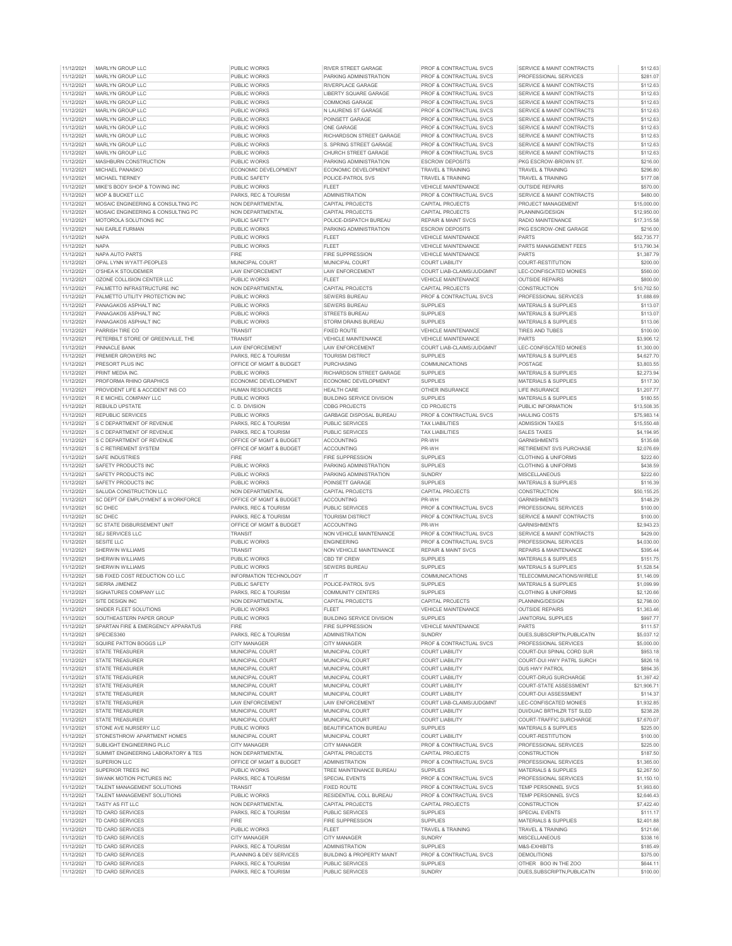|            | MARLYN GROUP LLC                    | <b>PUBLIC WORKS</b>     | <b>RIVER STREET GARAGE</b>           | PROF & CONTRACTUAL SVCS        | <b>SERVICE &amp; MAINT CONTRACTS</b> | \$112.63    |
|------------|-------------------------------------|-------------------------|--------------------------------------|--------------------------------|--------------------------------------|-------------|
| 11/12/2021 |                                     |                         |                                      |                                |                                      |             |
| 11/12/2021 | MARLYN GROUP LLC                    | <b>PUBLIC WORKS</b>     | PARKING ADMINISTRATION               | PROF & CONTRACTUAL SVCS        | PROFESSIONAL SERVICES                | \$281.07    |
| 11/12/2021 | MARLYN GROUP LLC                    | PUBLIC WORKS            | RIVERPLACE GARAGE                    | PROF & CONTRACTUAL SVCS        | SERVICE & MAINT CONTRACTS            | \$112.63    |
| 11/12/2021 | MARLYN GROUP LLC                    | PUBLIC WORKS            | LIBERTY SQUARE GARAGE                | PROF & CONTRACTUAL SVCS        | SERVICE & MAINT CONTRACTS            | \$112.63    |
| 11/12/2021 | MARLYN GROUP LLC                    | PUBLIC WORKS            | <b>COMMONS GARAGE</b>                | PROF & CONTRACTUAL SVCS        | SERVICE & MAINT CONTRACTS            | \$112.63    |
| 11/12/2021 | MARLYN GROUP LLC                    | PUBLIC WORKS            | N LAURENS ST GARAGE                  | PROF & CONTRACTUAL SVCS        | <b>SERVICE &amp; MAINT CONTRACTS</b> | \$112.63    |
|            |                                     |                         |                                      |                                |                                      |             |
| 11/12/2021 | MARLYN GROUP LLC                    | PUBLIC WORKS            | POINSETT GARAGE                      | PROF & CONTRACTUAL SVCS        | SERVICE & MAINT CONTRACTS            | \$112.63    |
| 11/12/2021 | MARLYN GROUP LLC                    | PUBLIC WORKS            | <b>ONE GARAGE</b>                    | PROF & CONTRACTUAL SVCS        | SERVICE & MAINT CONTRACTS            | \$112.63    |
| 11/12/2021 | MARLYN GROUP LLC                    | PUBLIC WORKS            | RICHARDSON STREET GARAGE             | PROF & CONTRACTUAL SVCS        | SERVICE & MAINT CONTRACTS            | \$112.63    |
| 11/12/2021 | MARLYN GROUP LLC                    | PUBLIC WORKS            | S. SPRING STREET GARAGE              | PROF & CONTRACTUAL SVCS        | SERVICE & MAINT CONTRACTS            | \$112.63    |
| 11/12/2021 | MARLYN GROUP LLC                    | PUBLIC WORKS            | CHURCH STREET GARAGE                 | PROF & CONTRACTUAL SVCS        | SERVICE & MAINT CONTRACTS            | \$112.63    |
|            |                                     |                         | PARKING ADMINISTRATION               | <b>ESCROW DEPOSITS</b>         | PKG ESCROW-BROWN ST                  |             |
| 11/12/2021 | MASHBURN CONSTRUCTION               | PUBLIC WORKS            |                                      |                                |                                      | \$216.00    |
| 11/12/2021 | MICHAEL PANASKO                     | ECONOMIC DEVELOPMENT    | ECONOMIC DEVELOPMENT                 | <b>TRAVEL &amp; TRAINING</b>   | TRAVEL & TRAINING                    | \$296.80    |
| 11/12/2021 | MICHAEL TIERNEY                     | PUBLIC SAFETY           | POLICE-PATROL SVS                    | TRAVEL & TRAINING              | <b>TRAVEL &amp; TRAINING</b>         | \$177.08    |
| 11/12/2021 | MIKE'S BODY SHOP & TOWING INC       | PUBLIC WORKS            | <b>FLEET</b>                         | VEHICLE MAINTENANCE            | <b>OUTSIDE REPAIRS</b>               | \$570.00    |
| 11/12/2021 | MOP & BUCKET LLC                    | PARKS, REC & TOURISM    | <b>ADMINISTRATION</b>                | PROF & CONTRACTUAL SVCS        | SERVICE & MAINT CONTRACTS            | \$480.00    |
| 11/12/2021 | MOSAIC ENGINEERING & CONSULTING PC  | NON DEPARTMENTAL        | CAPITAL PROJECTS                     | CAPITAL PROJECTS               | PROJECT MANAGEMENT                   | \$15,000.00 |
|            | MOSAIC ENGINEERING & CONSULTING PC  |                         | CAPITAL PROJECTS                     |                                |                                      |             |
| 11/12/2021 |                                     | NON DEPARTMENTAL        |                                      | <b>CAPITAL PROJECTS</b>        | PLANNING/DESIGN                      | \$12,950.00 |
| 11/12/2021 | MOTOROLA SOLUTIONS INC              | PUBLIC SAFETY           | POLICE-DISPATCH BUREAU               | <b>REPAIR &amp; MAINT SVCS</b> | RADIO MAINTENANCE                    | \$17,315.58 |
| 11/12/2021 | NAI EARLE FURMAN                    | <b>PUBLIC WORKS</b>     | PARKING ADMINISTRATION               | <b>ESCROW DEPOSITS</b>         | PKG ESCROW-ONE GARAGE                | \$216.00    |
| 11/12/2021 | <b>NAPA</b>                         | PUBLIC WORKS            | <b>FLEET</b>                         | VEHICLE MAINTENANCE            | PARTS                                | \$52,735.77 |
| 11/12/2021 | <b>NAPA</b>                         | <b>PUBLIC WORKS</b>     | <b>FLEET</b>                         | VEHICLE MAINTENANCE            | PARTS MANAGEMENT FEES                | \$13,790.34 |
| 11/12/2021 | NAPA AUTO PARTS                     | <b>FIRE</b>             | <b>FIRE SUPPRESSION</b>              | <b>VEHICLE MAINTENANCE</b>     | <b>PARTS</b>                         | \$1,387.79  |
|            |                                     |                         |                                      |                                |                                      |             |
| 11/12/2021 | OPAL LYNN WYATT-PEOPLES             | MUNICIPAL COURT         | MUNICIPAL COURT                      | <b>COURT LIABILITY</b>         | <b>COURT-RESTITUTION</b>             | \$200.00    |
| 11/12/2021 | O'SHEA K STOUDEMIER                 | <b>LAW ENFORCEMENT</b>  | <b>LAW ENFORCEMENT</b>               | COURT LIAB-CLAIMS/JUDGMNT      | LEC-CONFISCATED MONIES               | \$560.00    |
| 11/12/2021 | OZONE COLLISION CENTER LLC          | PUBLIC WORKS            | <b>FLEET</b>                         | VEHICLE MAINTENANCE            | <b>OUTSIDE REPAIRS</b>               | \$800.00    |
| 11/12/2021 | PALMETTO INFRASTRUCTURE INC         | NON DEPARTMENTAL        | CAPITAL PROJECTS                     | CAPITAL PROJECTS               | CONSTRUCTION                         | \$10,702.50 |
| 11/12/2021 | PALMETTO UTILITY PROTECTION INC     | PUBLIC WORKS            | SEWERS BUREAU                        | PROF & CONTRACTUAL SVCS        | PROFESSIONAL SERVICES                | \$1,688.69  |
|            | PANAGAKOS ASPHALT INC               |                         | SEWERS BUREAU                        | SUPPLIES                       | MATERIALS & SUPPLIES                 |             |
| 11/12/2021 |                                     | PUBLIC WORKS            |                                      |                                |                                      | \$113.07    |
| 11/12/2021 | PANAGAKOS ASPHALT INC               | PUBLIC WORKS            | STREETS BUREAU                       | <b>SUPPLIES</b>                | MATERIALS & SUPPLIES                 | \$113.07    |
| 11/12/2021 | PANAGAKOS ASPHALT INC               | PUBLIC WORKS            | STORM DRAINS BUREAU                  | <b>SUPPLIES</b>                | MATERIALS & SUPPLIES                 | \$113.06    |
| 11/12/2021 | PARRISH TIRE CO                     | TRANSIT                 | <b>FIXED ROUTE</b>                   | <b>VEHICLE MAINTENANCE</b>     | <b>TIRES AND TUBES</b>               | \$100.00    |
| 11/12/2021 | PETERBILT STORE OF GREENVILLE, THE  | <b>TRANSIT</b>          | VEHICLE MAINTENANCE                  | VEHICLE MAINTENANCE            | PARTS                                | \$3,906.12  |
| 11/12/2021 | <b>PINNACLE BANK</b>                | LAW ENFORCEMENT         | <b>LAW ENFORCEMENT</b>               | COURT LIAB-CLAIMS/JUDGMNT      | LEC-CONFISCATED MONIES               | \$1,300.00  |
|            | PREMIER GROWERS INC                 | PARKS, REC & TOURISM    |                                      |                                | <b>MATERIALS &amp; SUPPLIES</b>      |             |
| 11/12/2021 |                                     |                         | <b>TOURISM DISTRICT</b>              | <b>SUPPLIES</b>                |                                      | \$4,627.70  |
| 11/12/2021 | PRESORT PLUS INC                    | OFFICE OF MGMT & BUDGET | PURCHASING                           | COMMUNICATIONS                 | POSTAGE                              | \$3,803.55  |
| 11/12/2021 | PRINT MEDIA INC                     | <b>PUBLIC WORKS</b>     | RICHARDSON STREET GARAGE             | <b>SUPPLIES</b>                | MATERIALS & SUPPLIES                 | \$2,273.94  |
| 11/12/2021 | PROFORMA RHINO GRAPHICS             | ECONOMIC DEVELOPMENT    | ECONOMIC DEVELOPMENT                 | <b>SUPPLIES</b>                | MATERIALS & SUPPLIES                 | \$117.30    |
| 11/12/2021 | PROVIDENT LIFE & ACCIDENT INS CO.   | <b>HUMAN RESOURCES</b>  | <b>HEALTH CARE</b>                   | OTHER INSURANCE                | LIFE INSURANCE                       | \$1,207.77  |
| 11/12/2021 | R E MICHEL COMPANY LLC              | PUBLIC WORKS            | <b>BUILDING SERVICE DIVISION</b>     | <b>SUPPLIES</b>                | MATERIALS & SUPPLIES                 | \$180.55    |
|            |                                     |                         |                                      |                                |                                      |             |
| 11/12/2021 | REBUILD UPSTATE                     | C. D. DIVISION          | <b>CDBG PROJECTS</b>                 | CD PROJECTS                    | PUBLIC INFORMATION                   | \$13,508.35 |
| 11/12/2021 | <b>REPUBLIC SERVICES</b>            | <b>PUBLIC WORKS</b>     | GARBAGE DISPOSAL BUREAU              | PROF & CONTRACTUAL SVCS        | <b>HAULING COSTS</b>                 | \$75,983.14 |
| 11/12/2021 | S C DEPARTMENT OF REVENUE           | PARKS, REC & TOURISM    | PUBLIC SERVICES                      | <b>TAX LIABILITIES</b>         | <b>ADMISSION TAXES</b>               | \$15,550.48 |
| 11/12/2021 | S C DEPARTMENT OF REVENUE           | PARKS, REC & TOURISM    | PUBLIC SERVICES                      | <b>TAX LIABILITIES</b>         | <b>SALES TAXES</b>                   | \$4,194.95  |
| 11/12/2021 | S C DEPARTMENT OF REVENUE           | OFFICE OF MGMT & BUDGET | <b>ACCOUNTING</b>                    | PR-WH                          | <b>GARNISHMENTS</b>                  | \$135.68    |
| 11/12/2021 | S C RETIREMENT SYSTEM               | OFFICE OF MGMT & BUDGET | <b>ACCOUNTING</b>                    | PR-WH                          | RETIREMENT SVS PURCHASE              | \$2,076.69  |
|            |                                     |                         |                                      |                                |                                      |             |
| 11/12/2021 | SAFE INDUSTRIES                     | <b>FIRE</b>             | <b>FIRE SUPPRESSION</b>              | <b>SUPPLIES</b>                | <b>CLOTHING &amp; UNIFORMS</b>       | \$222.60    |
| 11/12/2021 | SAFETY PRODUCTS INC                 | PUBLIC WORKS            | PARKING ADMINISTRATION               | <b>SUPPLIES</b>                | <b>CLOTHING &amp; UNIFORMS</b>       | \$438.59    |
| 11/12/2021 | SAFETY PRODUCTS INC                 | PUBLIC WORKS            | PARKING ADMINISTRATION               | <b>SUNDRY</b>                  | <b>MISCELLANEOUS</b>                 | \$222.60    |
| 11/12/2021 | SAFETY PRODUCTS INC                 | PUBLIC WORKS            | POINSETT GARAGE                      | <b>SUPPLIES</b>                | MATERIALS & SUPPLIES                 | \$116.39    |
| 11/12/2021 | SALUDA CONSTRUCTION LLC             | NON DEPARTMENTAL        | CAPITAL PROJECTS                     | CAPITAL PROJECTS               | <b>CONSTRUCTION</b>                  | \$50,155.25 |
|            |                                     |                         |                                      |                                |                                      |             |
| 11/12/2021 | SC DEPT OF EMPLOYMENT & WORKFORCE   | OFFICE OF MGMT & BUDGET | ACCOUNTING                           | PR-WH                          | <b>GARNISHMENTS</b>                  | \$148.29    |
| 11/12/2021 | <b>SC DHEC</b>                      | PARKS, REC & TOURISM    | PUBLIC SERVICES                      | PROF & CONTRACTUAL SVCS        | PROFESSIONAL SERVICES                | \$100.00    |
| 11/12/2021 | <b>SC DHEC</b>                      | PARKS, REC & TOURISM    | <b>TOURISM DISTRICT</b>              | PROF & CONTRACTUAL SVCS        | SERVICE & MAINT CONTRACTS            | \$100.00    |
| 11/12/2021 | SC STATE DISBURSEMENT UNIT          | OFFICE OF MGMT & BUDGET | ACCOUNTING                           | PR-WH                          | <b>GARNISHMENTS</b>                  | \$2,943.23  |
| 11/12/2021 | SEJ SERVICES LLC                    | <b>TRANSIT</b>          | NON VEHICLE MAINTENANCE              | PROF & CONTRACTUAL SVCS        | SERVICE & MAINT CONTRACTS            | \$429.00    |
| 11/12/2021 | <b>SESITE LLC</b>                   | PUBLIC WORKS            | <b>ENGINEERING</b>                   | PROF & CONTRACTUAL SVCS        | PROFESSIONAL SERVICES                | \$4,030.00  |
|            |                                     |                         |                                      |                                |                                      |             |
| 11/12/2021 | SHERWIN WILLIAMS                    | TRANSIT                 | NON VEHICLE MAINTENANCE              | <b>REPAIR &amp; MAINT SVCS</b> | REPAIRS & MAINTENANCE                | \$395.44    |
| 11/12/2021 | SHERWIN WILLIAMS                    | PUBLIC WORKS            | CBD TIF CREW                         | <b>SUPPLIES</b>                | MATERIALS & SUPPLIES                 | \$151.75    |
| 11/12/2021 | SHERWIN WILLIAMS                    | PUBLIC WORKS            | SEWERS BUREAU                        | <b>SUPPLIES</b>                | <b>MATERIALS &amp; SUPPLIES</b>      | \$1,528.54  |
| 11/12/2021 | SIB FIXED COST REDUCTION CO LLC     | INFORMATION TECHNOLOGY  | IT                                   | COMMUNICATIONS                 | TELECOMMUNICATIONS/WIRELE            | \$1,146.09  |
| 11/12/2021 | SIERRA JIMENEZ                      | <b>PUBLIC SAFETY</b>    | POLICE-PATROL SVS                    | <b>SUPPLIES</b>                | MATERIALS & SUPPLIES                 | \$1,099.99  |
| 11/12/2021 | SIGNATURES COMPANY LLC              | PARKS, REC & TOURISM    | <b>COMMUNITY CENTERS</b>             | <b>SUPPLIES</b>                | <b>CLOTHING &amp; UNIFORMS</b>       |             |
|            |                                     |                         |                                      |                                |                                      | \$2,120.66  |
| 11/12/2021 | SITE DESIGN INC                     | <b>NON DEPARTMENTAL</b> | CAPITAL PROJECTS                     | <b>CAPITAL PROJECTS</b>        | PLANNING/DESIGN                      | \$2 798 00  |
| 11/12/2021 | SNIDER FLEET SOLUTIONS              | <b>PUBLIC WORKS</b>     | <b>FLEET</b>                         | VEHICLE MAINTENANCE            | <b>OUTSIDE REPAIRS</b>               | \$1,363.46  |
| 11/12/2021 | SOUTHEASTERN PAPER GROUP            | PUBLIC WORKS            | <b>BUILDING SERVICE DIVISION</b>     | <b>SUPPLIES</b>                | JANITORIAL SUPPLIES                  | \$997.77    |
| 11/12/2021 | SPARTAN FIRE & EMERGENCY APPARATUS  | FIRE                    | FIRE SUPPRESSION                     | VEHICLE MAINTENANCE            | <b>PARTS</b>                         | \$111.57    |
| 11/12/2021 | SPECIES360                          | PARKS, REC & TOURISM    | <b>ADMINISTRATION</b>                | <b>SUNDRY</b>                  | DUES, SUBSCRIPTN, PUBLICATN          | \$5,037.12  |
|            |                                     |                         |                                      |                                |                                      |             |
| 11/12/2021 | SQUIRE PATTON BOGGS LLP             | <b>CITY MANAGER</b>     | <b>CITY MANAGER</b>                  | PROF & CONTRACTUAL SVCS        | PROFESSIONAL SERVICES                | \$5,000.00  |
| 11/12/2021 | <b>STATE TREASURER</b>              | MUNICIPAL COURT         | MUNICIPAL COURT                      | <b>COURT LIABILITY</b>         | COURT-DUI SPINAL CORD SUR            | \$953.18    |
| 11/12/2021 | <b>STATE TREASURER</b>              | MUNICIPAL COURT         | MUNICIPAL COURT                      | <b>COURT LIABILITY</b>         | COURT-DUI HWY PATRL SURCH            | \$826.18    |
| 11/12/2021 | <b>STATE TREASURER</b>              | MUNICIPAL COURT         | MUNICIPAL COURT                      | <b>COURT LIABILITY</b>         | <b>DUS HWY PATROL</b>                | \$894.35    |
| 11/12/2021 | <b>STATE TREASURER</b>              | MUNICIPAL COURT         | MUNICIPAL COURT                      | <b>COURT LIABILITY</b>         | COURT-DRUG SURCHARGE                 | \$1,397.42  |
| 11/12/2021 | STATE TREASURER                     | MUNICIPAL COURT         | MUNICIPAL COURT                      | <b>COURT LIABILITY</b>         | COURT-STATE ASSESSMENT               | \$21,906.71 |
|            |                                     |                         |                                      |                                |                                      |             |
| 11/12/2021 | <b>STATE TREASURER</b>              | MUNICIPAL COURT         | MUNICIPAL COURT                      | <b>COURT LIABILITY</b>         | COURT-DUI ASSESSMENT                 | \$114.37    |
| 11/12/2021 | <b>STATE TREASURER</b>              | <b>LAW ENFORCEMENT</b>  | <b>LAW ENFORCEMENT</b>               | COURT LIAB-CLAIMS/JUDGMNT      | LEC-CONFISCATED MONIES               | \$1,932.85  |
| 11/12/2021 | <b>STATE TREASURER</b>              | MUNICIPAL COURT         | MUNICIPAL COURT                      | <b>COURT LIABILITY</b>         | DUI/DUAC BRTHLZR TST SLED            | \$238.28    |
| 11/12/2021 | <b>STATE TREASURER</b>              | MUNICIPAL COURT         | MUNICIPAL COURT                      | <b>COURT LIABILITY</b>         | COURT-TRAFFIC SURCHARGE              | \$7,670.07  |
| 11/12/2021 | STONE AVE NURSERY LLC               | PUBLIC WORKS            | <b>BEAUTIFICATION BUREAU</b>         | <b>SUPPLIES</b>                | MATERIALS & SUPPLIES                 | \$225.00    |
| 11/12/2021 | STONESTHROW APARTMENT HOMES         | MUNICIPAL COURT         | MUNICIPAL COURT                      | <b>COURT LIABILITY</b>         | COURT-RESTITUTION                    | \$100.00    |
|            |                                     |                         |                                      | PROF & CONTRACTUAL SVCS        |                                      |             |
| 11/12/2021 | SUBLIGHT ENGINEERING PLLC           | CITY MANAGER            | <b>CITY MANAGER</b>                  |                                | PROFESSIONAL SERVICES                | \$225.00    |
| 11/12/2021 | SUMMIT ENGINEERING LABORATORY & TES | NON DEPARTMENTAL        | <b>CAPITAL PROJECTS</b>              | CAPITAL PROJECTS               | CONSTRUCTION                         | \$187.50    |
| 11/12/2021 | SUPERION LLC                        | OFFICE OF MGMT & BUDGET | <b>ADMINISTRATION</b>                | PROF & CONTRACTUAL SVCS        | PROFESSIONAL SERVICES                | \$1,365.00  |
| 11/12/2021 | SUPERIOR TREES INC                  | PUBLIC WORKS            | TREE MAINTENANCE BUREAU              | <b>SUPPLIES</b>                | MATERIALS & SUPPLIES                 | \$2,267.50  |
| 11/12/2021 | <b>SWANK MOTION PICTURES INC</b>    | PARKS, REC & TOURISM    | SPECIAL EVENTS                       | PROF & CONTRACTUAL SVCS        | PROFESSIONAL SERVICES                | \$1,150.10  |
| 11/12/2021 | TALENT MANAGEMENT SOLUTIONS         | <b>TRANSIT</b>          | <b>FIXED ROUTE</b>                   | PROF & CONTRACTUAL SVCS        | TEMP PERSONNEL SVCS                  | \$1,993.60  |
|            |                                     |                         |                                      |                                |                                      |             |
| 11/12/2021 | TALENT MANAGEMENT SOLUTIONS         | <b>PUBLIC WORKS</b>     | RESIDENTIAL COLL BUREAU              | PROF & CONTRACTUAL SVCS        | TEMP PERSONNEL SVCS                  | \$2,646.43  |
| 11/12/2021 | TASTY AS FIT LLC                    | NON DEPARTMENTAL        | CAPITAL PROJECTS                     | CAPITAL PROJECTS               | CONSTRUCTION                         | \$7,422.40  |
| 11/12/2021 | TD CARD SERVICES                    | PARKS, REC & TOURISM    | PUBLIC SERVICES                      | <b>SUPPLIES</b>                | <b>SPECIAL EVENTS</b>                | \$111.17    |
| 11/12/2021 | TD CARD SERVICES                    | <b>FIRE</b>             | <b>FIRE SUPPRESSION</b>              | <b>SUPPLIES</b>                | <b>MATERIALS &amp; SUPPLIES</b>      | \$2,401.88  |
| 11/12/2021 | TD CARD SERVICES                    | PUBLIC WORKS            | FLEET                                | TRAVEL & TRAINING              | TRAVEL & TRAINING                    | \$121.66    |
|            |                                     |                         |                                      |                                |                                      |             |
| 11/12/2021 | TD CARD SERVICES                    | <b>CITY MANAGER</b>     | CITY MANAGER                         | <b>SUNDRY</b>                  | <b>MISCELLANEOUS</b>                 | \$338.16    |
| 11/12/2021 | TD CARD SERVICES                    | PARKS, REC & TOURISM    | <b>ADMINISTRATION</b>                | <b>SUPPLIES</b>                | M&S-EXHIBITS                         | \$185.49    |
| 11/12/2021 | TD CARD SERVICES                    | PLANNING & DEV SERVICES | <b>BUILDING &amp; PROPERTY MAINT</b> | PROF & CONTRACTUAL SVCS        | <b>DEMOLITIONS</b>                   | \$375.00    |
| 11/12/2021 | TD CARD SERVICES                    | PARKS, REC & TOURISM    | <b>PUBLIC SERVICES</b>               | <b>SUPPLIES</b>                | OTHER BOO IN THE ZOO                 | \$644.11    |
|            |                                     |                         | PUBLIC SERVICES                      | <b>SUNDRY</b>                  | DUES, SUBSCRIPTN, PUBLICATN          | \$100.00    |
| 11/12/2021 | TD CARD SERVICES                    | PARKS, REC & TOURISM    |                                      |                                |                                      |             |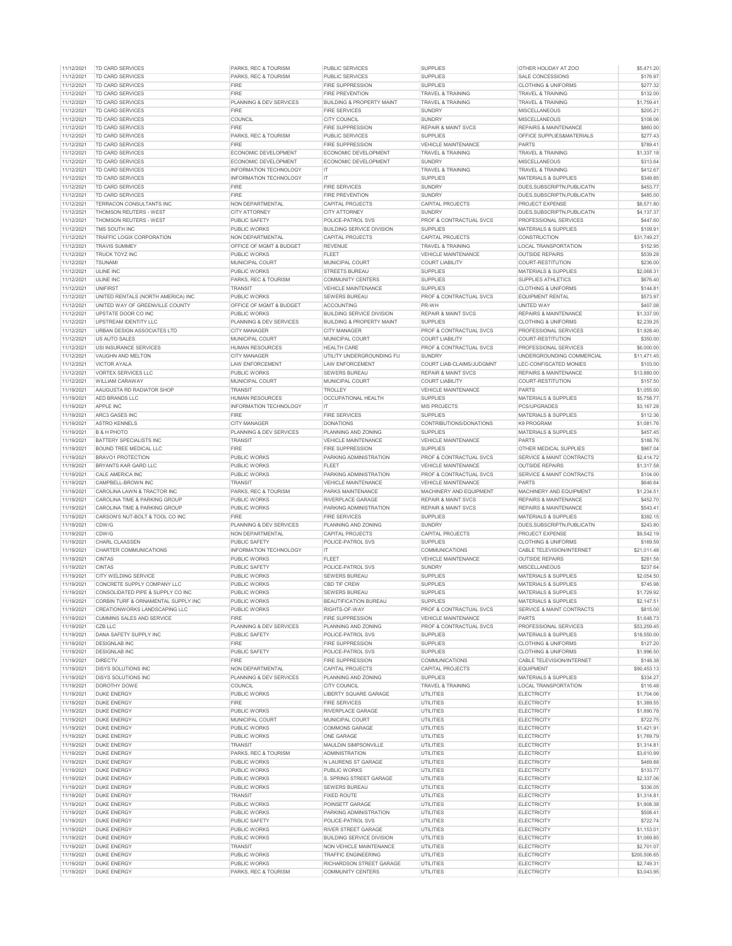| 11/12/2021               | TD CARD SERVICES                         | PARKS, REC & TOURISM                 | <b>PUBLIC SERVICES</b>                               | <b>SUPPLIES</b>                    | OTHER HOLIDAY AT ZOO              | \$5 471 20               |
|--------------------------|------------------------------------------|--------------------------------------|------------------------------------------------------|------------------------------------|-----------------------------------|--------------------------|
|                          | TD CARD SERVICES                         | PARKS, REC & TOURISM                 | PUBLIC SERVICES                                      | <b>SUPPLIES</b>                    | SALE CONCESSIONS                  | \$176.97                 |
| 11/12/2021               | TD CARD SERVICES                         | FIRE                                 | <b>FIRE SUPPRESSION</b>                              | <b>SUPPLIES</b>                    | <b>CLOTHING &amp; UNIFORMS</b>    | \$277.32                 |
| 11/12/2021               | TD CARD SERVICES                         | <b>FIRE</b>                          | <b>FIRE PREVENTION</b>                               | TRAVEL & TRAINING                  | TRAVEL & TRAINING                 | \$132.00                 |
|                          |                                          |                                      |                                                      |                                    |                                   |                          |
| 11/12/2021               | TD CARD SERVICES                         | PLANNING & DEV SERVICES              | <b>BUILDING &amp; PROPERTY MAINT</b>                 | TRAVEL & TRAINING                  | <b>TRAVEL &amp; TRAINING</b>      | \$1,759.41               |
| 11/12/2021               | TD CARD SERVICES                         | <b>FIRE</b>                          | <b>FIRE SERVICES</b>                                 | <b>SUNDRY</b>                      | MISCELLANEOUS                     | \$205.21                 |
| 11/12/2021               | TD CARD SERVICES                         | COUNCIL                              | <b>CITY COUNCIL</b>                                  | SUNDRY                             | <b>MISCELLANEOUS</b>              | \$108.06                 |
| 11/12/2021               | TD CARD SERVICES                         | <b>FIRE</b>                          | <b>FIRE SUPPRESSION</b>                              | <b>REPAIR &amp; MAINT SVCS</b>     | REPAIRS & MAINTENANCE             | \$860.00                 |
| 11/12/2021               | TD CARD SERVICES                         | PARKS, REC & TOURISM                 | PUBLIC SERVICES                                      | <b>SUPPLIES</b>                    | OFFICE SUPPLIES&MATERIALS         | \$277.43                 |
| 11/12/2021               | TD CARD SERVICES                         | FIRE                                 | <b>FIRE SUPPRESSION</b>                              | <b>VEHICLE MAINTENANCE</b>         | <b>PARTS</b>                      | \$789.41                 |
|                          |                                          |                                      |                                                      |                                    |                                   |                          |
| 11/12/2021               | TD CARD SERVICES                         | ECONOMIC DEVELOPMENT                 | ECONOMIC DEVELOPMENT                                 | <b>TRAVEL &amp; TRAINING</b>       | <b>TRAVEL &amp; TRAINING</b>      | \$1,337.18               |
| 11/12/2021               | TD CARD SERVICES                         | ECONOMIC DEVELOPMENT                 | ECONOMIC DEVELOPMENT                                 | <b>SUNDRY</b>                      | <b>MISCELLANEOUS</b>              | \$313.64                 |
| 11/12/2021               | TD CARD SERVICES                         | <b>INFORMATION TECHNOLOGY</b>        | IT                                                   | TRAVEL & TRAINING                  | <b>TRAVEL &amp; TRAINING</b>      | \$412.67                 |
| 11/12/2021               | TD CARD SERVICES                         | <b>INFORMATION TECHNOLOGY</b>        | <b>IT</b>                                            | <b>SUPPLIES</b>                    | <b>MATERIALS &amp; SUPPLIES</b>   | \$349.85                 |
| 11/12/2021               | TD CARD SERVICES                         | <b>FIRE</b>                          | <b>FIRE SERVICES</b>                                 | <b>SUNDRY</b>                      | DUES, SUBSCRIPTN, PUBLICATN       | \$453.77                 |
|                          |                                          |                                      |                                                      |                                    |                                   |                          |
| 11/12/2021               | TD CARD SERVICES                         | <b>FIRE</b>                          | FIRE PREVENTION                                      | <b>SUNDRY</b>                      | DUES, SUBSCRIPTN, PUBLICATN       | \$485.00                 |
| 11/12/2021               | TERRACON CONSULTANTS INC                 | NON DEPARTMENTAL                     | CAPITAL PROJECTS                                     | CAPITAL PROJECTS                   | <b>PROJECT EXPENSE</b>            | \$8,571.80               |
| 11/12/2021               | THOMSON REUTERS - WEST                   | CITY ATTORNEY                        | CITY ATTORNEY                                        | <b>SUNDRY</b>                      | DUES.SUBSCRIPTN.PUBLICATN         | \$4,137.37               |
| 11/12/2021               | THOMSON REUTERS - WEST                   | PUBLIC SAFETY                        | POLICE-PATROL SVS                                    | PROF & CONTRACTUAL SVCS            | PROFESSIONAL SERVICES             | \$447.60                 |
| 11/12/2021               | TMS SOUTH INC                            | PUBLIC WORKS                         | <b>BUILDING SERVICE DIVISION</b>                     | <b>SUPPLIES</b>                    | MATERIALS & SUPPLIES              | \$109.91                 |
| 11/12/2021               | TRAFFIC LOGIX CORPORATION                | NON DEPARTMENTAL                     |                                                      | <b>CAPITAL PROJECTS</b>            | <b>CONSTRUCTION</b>               | \$31,749.27              |
|                          |                                          |                                      | CAPITAL PROJECTS                                     |                                    |                                   |                          |
| 11/12/2021               | <b>TRAVIS SUMMEY</b>                     | OFFICE OF MGMT & BUDGET              | <b>REVENUE</b>                                       | TRAVEL & TRAINING                  | LOCAL TRANSPORTATION              | \$152.95                 |
| 11/12/2021               | <b>TRUCK TOYZ INC</b>                    | PUBLIC WORKS                         | <b>FLEET</b>                                         | VEHICLE MAINTENANCE                | <b>OUTSIDE REPAIRS</b>            | \$539.28                 |
| 11/12/2021               | <b>TSUNAM</b>                            | MUNICIPAL COURT                      | MUNICIPAL COURT                                      | <b>COURT LIABILITY</b>             | COURT-RESTITUTION                 | \$236.00                 |
| 11/12/2021               | <b>ULINE INC</b>                         | PUBLIC WORKS                         | STREETS BUREAU                                       | <b>SUPPLIES</b>                    | MATERIALS & SUPPLIES              | \$2,068.31               |
| 11/12/2021               | <b>ULINE INC</b>                         | PARKS, REC & TOURISM                 | <b>COMMUNITY CENTERS</b>                             | <b>SUPPLIES</b>                    | SUPPLIES ATHLETICS                | \$676.40                 |
|                          | UNIFIRST                                 |                                      |                                                      | <b>SUPPLIES</b>                    |                                   |                          |
| 11/12/2021               |                                          | TRANSIT                              | <b>VEHICLE MAINTENANCE</b>                           |                                    | <b>CLOTHING &amp; UNIFORMS</b>    | \$144.81                 |
| 11/12/2021               | UNITED RENTALS (NORTH AMERICA) INC       | PUBLIC WORKS                         | <b>SEWERS BUREAU</b>                                 | PROF & CONTRACTUAL SVCS            | <b>EQUIPMENT RENTAL</b>           | \$573.97                 |
| 11/12/2021               | UNITED WAY OF GREENVILLE COUNTY          | OFFICE OF MGMT & BUDGET              | <b>ACCOUNTING</b>                                    | PR-WH                              | <b>UNITED WAY</b>                 | \$407.08                 |
| 11/12/2021               | UPSTATE DOOR CO INC                      | PUBLIC WORKS                         | <b>BUILDING SERVICE DIVISION</b>                     | <b>REPAIR &amp; MAINT SVCS</b>     | REPAIRS & MAINTENANCE             | \$1,337.00               |
| 11/12/2021               | UPSTREAM IDENTITY LLC                    | PLANNING & DEV SERVICES              | <b>BUILDING &amp; PROPERTY MAINT</b>                 | <b>SUPPLIES</b>                    | <b>CLOTHING &amp; UNIFORMS</b>    | \$2,239.25               |
| 11/12/2021               | URBAN DESIGN ASSOCIATES LTD              | CITY MANAGER                         | <b>CITY MANAGER</b>                                  | PROF & CONTRACTUAL SVCS            | PROFESSIONAL SERVICES             | \$1,928.40               |
|                          |                                          |                                      |                                                      |                                    |                                   |                          |
| 11/12/2021               | US AUTO SALES                            | MUNICIPAL COURT                      | MUNICIPAL COURT                                      | <b>COURT LIABILITY</b>             | COURT-RESTITUTION                 | \$350.00                 |
| 11/12/2021               | USI INSURANCE SERVICES                   | <b>HUMAN RESOURCES</b>               | <b>HEALTH CARE</b>                                   | PROF & CONTRACTUAL SVCS            | PROFESSIONAL SERVICES             | \$6,000.00               |
| 11/12/2021               | VAUGHN AND MELTON                        | CITY MANAGER                         | UTILITY UNDERGROUNDING FU                            | <b>SUNDRY</b>                      | UNDERGROUNDING COMMERCIAL         | \$11,471.45              |
| 11/12/2021               | VICTOR AYALA                             | LAW ENFORCEMENT                      | <b>LAW ENFORCEMENT</b>                               | COURT LIAB-CLAIMS/JUDGMNT          | LEC-CONFISCATED MONIES            | \$103.00                 |
| 11/12/2021               | <b>VORTEX SERVICES LLC</b>               | PUBLIC WORKS                         | <b>SEWERS BUREAL</b>                                 | <b>REPAIR &amp; MAINT SVCS</b>     | <b>REPAIRS &amp; MAINTENANCE</b>  | \$13,880.00              |
| 11/12/2021               | <b>WILLIAM CARAWAY</b>                   | MUNICIPAL COURT                      | MUNICIPAL COURT                                      | COURT LIABILITY                    | COURT-RESTITUTION                 | \$157.50                 |
|                          |                                          |                                      |                                                      |                                    |                                   |                          |
| 11/19/2021               | AAUGUSTA RD RADIATOR SHOP                | <b>TRANSIT</b>                       | TROLLEY                                              | VEHICLE MAINTENANCE                | PARTS                             | \$1,055.00               |
| 11/19/2021               | AED BRANDS LLC                           | <b>HUMAN RESOURCES</b>               | <b>OCCUPATIONAL HEALTH</b>                           | <b>SUPPLIES</b>                    | MATERIALS & SUPPLIES              | \$5,758.77               |
| 11/19/2021               | APPLE INC                                | <b>INFORMATION TECHNOLOGY</b>        | IT                                                   | MIS PROJECTS                       | PCS/UPGRADES                      | \$3,167.28               |
| 11/19/2021               | ARC3 GASES INC                           | FIRE                                 | <b>FIRE SERVICES</b>                                 | <b>SUPPLIES</b>                    | MATERIALS & SUPPLIES              | \$112.36                 |
| 11/19/2021               | <b>ASTRO KENNELS</b>                     | <b>CITY MANAGER</b>                  | <b>DONATIONS</b>                                     | CONTRIBUTIONS/DONATIONS            | <b>K9 PROGRAM</b>                 | \$1,081.76               |
|                          |                                          |                                      |                                                      |                                    |                                   |                          |
| 11/19/2021               | <b>B &amp; H PHOTO</b>                   | PLANNING & DEV SERVICES              | PLANNING AND ZONING                                  | <b>SUPPLIES</b>                    | MATERIALS & SUPPLIES              | \$457.45                 |
| 11/19/2021               | BATTERY SPECIALISTS INC                  | TRANSIT                              | VEHICLE MAINTENANCE                                  | VEHICLE MAINTENANCE                | <b>PARTS</b>                      | \$188.76                 |
| 11/19/2021               | BOUND TREE MEDICAL LLC                   | <b>FIRE</b>                          | <b>FIRE SUPPRESSION</b>                              | <b>SUPPLIES</b>                    | OTHER MEDICAL SUPPLIES            | \$967.04                 |
| 11/19/2021               | BRAVO1 PROTECTION                        | PUBLIC WORKS                         | PARKING ADMINISTRATION                               | PROF & CONTRACTUAL SVCS            | SERVICE & MAINT CONTRACTS         | \$2,414.72               |
| 11/19/2021               | BRYANTS KAR GARD LLC                     | PUBLIC WORKS                         | <b>FLEET</b>                                         | VEHICLE MAINTENANCE                | <b>OUTSIDE REPAIRS</b>            | \$1,317.58               |
|                          |                                          |                                      |                                                      |                                    |                                   |                          |
|                          |                                          |                                      |                                                      |                                    |                                   |                          |
| 11/19/2021               | CALE AMERICA INC                         | PUBLIC WORKS                         | PARKING ADMINISTRATION                               | <b>PROF &amp; CONTRACTUAL SVCS</b> | SERVICE & MAINT CONTRACTS         | \$104.00                 |
| 11/19/2021               | CAMPBELL-BROWN INC                       | <b>TRANSIT</b>                       | <b>VEHICLE MAINTENANCE</b>                           | <b>VEHICLE MAINTENANCE</b>         | PARTS                             | \$646.64                 |
| 11/19/2021               | CAROLINA LAWN & TRACTOR INC              | PARKS, REC & TOURISM                 | PARKS MAINTENANCE                                    | MACHINERY AND EQUIPMENT            | MACHINERY AND EQUIPMENT           | \$1,234.51               |
| 11/19/2021               | CAROLINA TIME & PARKING GROUP            | PUBLIC WORKS                         | RIVERPLACE GARAGE                                    | <b>REPAIR &amp; MAINT SVCS</b>     | <b>REPAIRS &amp; MAINTENANCE</b>  | \$452.70                 |
|                          |                                          |                                      |                                                      |                                    | <b>REPAIRS &amp; MAINTENANCE</b>  |                          |
| 11/19/2021               | CAROLINA TIME & PARKING GROUP            | PUBLIC WORKS                         | PARKING ADMINISTRATION                               | <b>REPAIR &amp; MAINT SVCS</b>     |                                   | \$543.41                 |
| 11/19/2021               | CARSON'S NUT-BOLT & TOOL CO INC          | FIRE                                 | <b>FIRE SERVICES</b>                                 | <b>SUPPLIES</b>                    | MATERIALS & SUPPLIES              | \$392.15                 |
| 11/19/2021               | CDW/G                                    | PLANNING & DEV SERVICES              | PLANNING AND ZONING                                  | <b>SUNDRY</b>                      | DUES, SUBSCRIPTN, PUBLICATN       | \$243.80                 |
| 11/19/2021               | CDW/G                                    | NON DEPARTMENTAL                     | <b>CAPITAL PROJECTS</b>                              | CAPITAL PROJECTS                   | PROJECT EXPENSE                   | \$9,542.19               |
| 11/19/2021               | CHARL CLAASSEN                           | <b>PUBLIC SAFETY</b>                 | POLICE-PATROL SVS                                    | <b>SUPPLIES</b>                    | CLOTHING & UNIFORMS               | \$169.59                 |
|                          |                                          |                                      | IT                                                   | COMMUNICATIONS                     | CABLE TELEVISION/INTERNET         | \$21,011.48              |
| 11/19/2021               | CHARTER COMMUNICATIONS                   | INFORMATION TECHNOLOGY               |                                                      |                                    |                                   |                          |
| 11/19/2021               | <b>CINTAS</b>                            | PUBLIC WORKS                         | <b>FLEET</b>                                         | VEHICLE MAINTENANCE                | <b>OUTSIDE REPAIRS</b>            | \$281.58                 |
| 11/19/2021               | <b>CINTAS</b>                            | PUBLIC SAFETY                        | POLICE-PATROL SVS                                    | <b>SUNDRY</b>                      | <b>MISCELLANEOUS</b>              | \$237.64                 |
| 11/19/2021               | <b>CITY WELDING SERVICE</b>              | PUBLIC WORKS                         | <b>SEWERS BUREAU</b>                                 | <b>SUPPLIES</b>                    | <b>MATERIALS &amp; SUPPLIES</b>   | \$2,054.50               |
| 11/19/2021               | CONCRETE SUPPLY COMPANY LLC              | <b>PUBLIC WORKS</b>                  | <b>CBD TIF CREW</b>                                  | <b>SUPPLIES</b>                    | <b>MATERIALS &amp; SUPPLIES</b>   | \$745.98                 |
| 11/19/2021               | CONSOLIDATED PIPE & SUPPLY CO INC        | PUBLIC WORKS                         | SEWERS BUREAU                                        | <b>SUPPLIES</b>                    | <b>MATERIALS &amp; SUPPLIES</b>   | \$1,729.92               |
| 11/19/2021               | CORRIN THRE & ORNAMENTAL SHIPPLY INK     | PUBLIC WORKS                         | <b>REALITIFICATION BLIREALL</b>                      | SLIPPLIES                          | MATERIALS & SLIPPLIES             | \$2 147 51               |
|                          |                                          |                                      |                                                      |                                    |                                   |                          |
| 11/19/2021               | CREATIONWORKS LANDSCAPING LLC            | PUBLIC WORKS                         | RIGHTS-OF-WAY                                        | PROF & CONTRACTUAL SVCS            | SERVICE & MAINT CONTRACTS         | \$815.00                 |
| 11/19/2021               | <b>CUMMINS SALES AND SERVICE</b>         | <b>FIRE</b>                          | <b>FIRE SUPPRESSION</b>                              | VEHICLE MAINTENANCE                | <b>PARTS</b>                      | \$1,648.73               |
| 11/19/2021               | CZB LLC                                  | PLANNING & DEV SERVICES              | PLANNING AND ZONING                                  | PROF & CONTRACTUAL SVCS            | PROFESSIONAL SERVICES             | \$53,259.45              |
| 11/19/2021               | DANA SAFETY SUPPLY INC                   | PUBLIC SAFFTY                        | POLICE-PATROL SVS                                    | <b>SUPPLIES</b>                    | <b>MATERIALS &amp; SUPPLIES</b>   | \$18,550.00              |
| 11/19/2021               | <b>DESIGNLAB INC</b>                     | <b>FIRE</b>                          | <b>FIRE SUPPRESSION</b>                              | <b>SUPPLIES</b>                    | <b>CLOTHING &amp; UNIFORMS</b>    | \$127.20                 |
| 11/19/2021               | <b>DESIGNLAB INC</b>                     | PUBLIC SAFETY                        | POLICE-PATROL SVS                                    | <b>SUPPLIES</b>                    | CLOTHING & UNIFORMS               | \$1,996.50               |
|                          | <b>DIRECTV</b>                           | FIRE                                 | <b>FIRE SUPPRESSION</b>                              | <b>COMMUNICATIONS</b>              | <b>CABLE TELEVISION/INTERNET</b>  |                          |
| 11/19/2021               |                                          |                                      |                                                      |                                    |                                   | \$148.38                 |
| 11/19/2021               | <b>DISYS SOLUTIONS INC</b>               | NON DEPARTMENTAL                     | <b>CAPITAL PROJECTS</b>                              | CAPITAL PROJECTS                   | <b>EQUIPMENT</b>                  | \$90,453.13              |
| 11/19/2021               | <b>DISYS SOLUTIONS INC</b>               | PLANNING & DEV SERVICES              | PLANNING AND ZONING                                  | <b>SUPPLIES</b>                    | MATERIALS & SUPPLIES              | \$334.27                 |
| 11/19/2021               | DOROTHY DOWE                             | COUNCIL                              | CITY COUNCIL                                         | TRAVEL & TRAINING                  | <b>LOCAL TRANSPORTATION</b>       | \$116.48                 |
| 11/19/2021               | <b>DUKE ENERGY</b>                       | PUBLIC WORKS                         | LIBERTY SQUARE GARAGE                                | UTILITIES                          | <b>ELECTRICITY</b>                | \$1,704.06               |
| 11/19/2021               | <b>DUKE ENERGY</b>                       | <b>FIRE</b>                          | <b>FIRE SERVICES</b>                                 | <b>UTILITIES</b>                   | <b>ELECTRICITY</b>                | \$1,389.55               |
|                          |                                          |                                      |                                                      |                                    |                                   |                          |
| 11/19/2021               | <b>DUKE ENERGY</b>                       | PUBLIC WORKS                         | RIVERPLACE GARAGE                                    | UTILITIES                          | <b>ELECTRICITY</b>                | \$1,890.78               |
| 11/19/2021               | <b>DUKE ENERGY</b>                       | MUNICIPAL COURT                      | MUNICIPAL COURT                                      | UTILITIES                          | ELECTRICITY                       | \$722.75                 |
| 11/19/2021               | <b>DUKE ENERGY</b>                       | <b>PUBLIC WORKS</b>                  | <b>COMMONS GARAGE</b>                                | UTILITIES                          | <b>ELECTRICITY</b>                | \$1,421.91               |
| 11/19/2021               | <b>DUKE ENERGY</b>                       | PUBLIC WORKS                         | ONE GARAGE                                           | UTILITIES                          | <b>ELECTRICITY</b>                | \$1,769.79               |
| 11/19/2021               | <b>DUKE ENERGY</b>                       | TRANSIT                              | MAULDIN SIMPSONVILLE                                 | UTILITIES                          | <b>ELECTRICITY</b>                | \$1,314.81               |
|                          | <b>DUKE ENFRGY</b>                       |                                      | <b>ADMINISTRATION</b>                                |                                    | <b>ELECTRICITY</b>                |                          |
| 11/19/2021               |                                          | PARKS, REC & TOURISM                 |                                                      | <b>UTILITIES</b>                   |                                   | \$3,610.99               |
| 11/19/2021               | <b>DUKE ENERGY</b>                       | PUBLIC WORKS                         | N LAURENS ST GARAGE                                  | <b>UTILITIES</b>                   | <b>ELECTRICITY</b>                | \$469.88                 |
| 11/19/2021               | <b>DUKE ENERGY</b>                       | PUBLIC WORKS                         | PUBLIC WORKS                                         | <b>UTILITIES</b>                   | <b>ELECTRICITY</b>                | \$133.77                 |
| 11/19/2021               | <b>DUKE ENERGY</b>                       | PUBLIC WORKS                         | S. SPRING STREET GARAGE                              | UTILITIES                          | <b>ELECTRICITY</b>                | \$2,337.06               |
| 11/19/2021               | <b>DUKE ENERGY</b>                       | PUBLIC WORKS                         | <b>SEWERS BUREAU</b>                                 | UTILITIES                          | <b>ELECTRICITY</b>                | \$336.05                 |
| 11/19/2021               | <b>DUKE ENERGY</b>                       | <b>TRANSIT</b>                       | <b>FIXED ROUTE</b>                                   | <b>UTILITIES</b>                   | <b>ELECTRICITY</b>                | \$1,314.81               |
|                          |                                          |                                      |                                                      |                                    |                                   |                          |
| 11/19/2021               | <b>DUKE ENERGY</b>                       | PUBLIC WORKS                         | POINSETT GARAGE                                      | UTILITIES                          | <b>ELECTRICITY</b>                | \$1,908.38               |
| 11/19/2021               | <b>DUKE ENERGY</b>                       | PUBLIC WORKS                         | PARKING ADMINISTRATION                               | UTILITIES                          | <b>ELECTRICITY</b>                | \$508.41                 |
| 11/19/2021               | <b>DUKE ENERGY</b>                       | PUBLIC SAFETY                        | POLICE-PATROL SVS                                    | <b>UTILITIES</b>                   | ELECTRICITY                       | \$722.74                 |
| 11/19/2021               | <b>DUKE ENERGY</b>                       | PUBLIC WORKS                         | <b>RIVER STREET GARAGE</b>                           | UTILITIES                          | <b>ELECTRICITY</b>                | \$1,153.01               |
| 11/19/2021               | <b>DUKE ENERGY</b>                       | PUBLIC WORKS                         | <b>BUILDING SERVICE DIVISION</b>                     | UTILITIES                          | ELECTRICITY                       | \$1,069.85               |
|                          | <b>DUKE ENERGY</b>                       | <b>TRANSIT</b>                       | <b>NON VEHICLE MAINTENANCE</b>                       |                                    | <b>ELECTRICITY</b>                |                          |
| 11/19/2021               |                                          |                                      |                                                      | <b>UTILITIES</b>                   |                                   | \$2,701.07               |
| 11/19/2021               | <b>DUKE ENERGY</b>                       | PUBLIC WORKS                         | <b>TRAFFIC ENGINEERING</b>                           | <b>UTILITIES</b>                   | <b>ELECTRICITY</b>                | \$200,506.65             |
| 11/19/2021<br>11/19/2021 | <b>DUKE ENERGY</b><br><b>DUKE ENERGY</b> | PUBLIC WORKS<br>PARKS, REC & TOURISM | RICHARDSON STREET GARAGE<br><b>COMMUNITY CENTERS</b> | UTILITIES<br>UTILITIES             | ELECTRICITY<br><b>ELECTRICITY</b> | \$2,749.31<br>\$3,043.95 |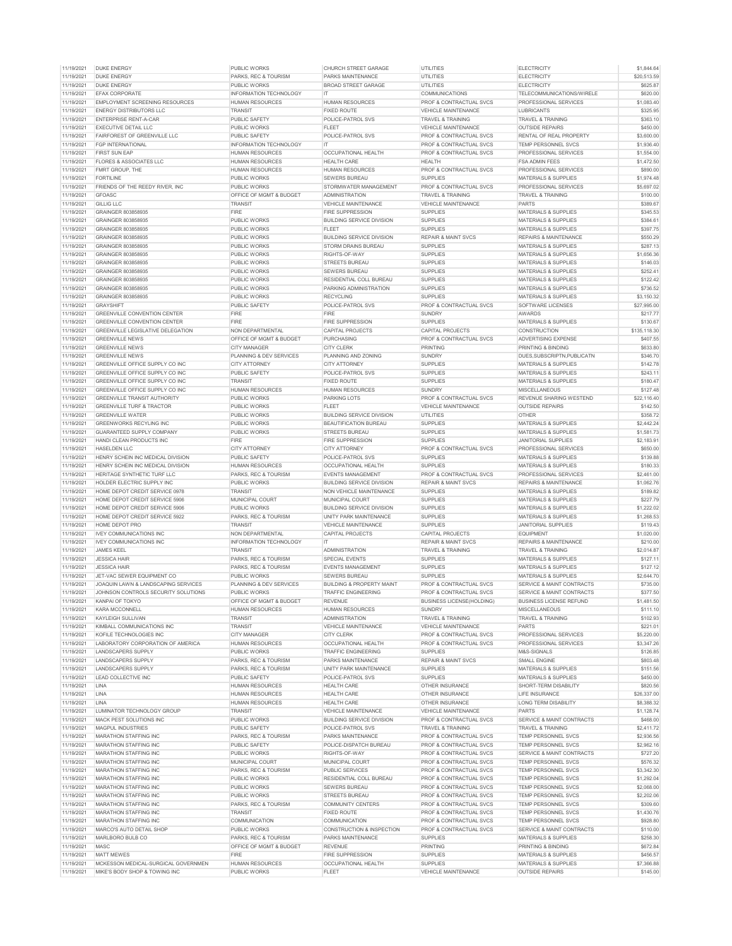| 11/19/2021 | <b>DUKE ENERGY</b>                    | <b>PUBLIC WORKS</b>     | <b>CHURCH STREET GARAGE</b>          | UTILITIES                        | <b>ELECTRICITY</b>              | \$1,844.64   |
|------------|---------------------------------------|-------------------------|--------------------------------------|----------------------------------|---------------------------------|--------------|
| 11/19/2021 | <b>DUKE ENERGY</b>                    | PARKS, REC & TOURISM    | PARKS MAINTENANCE                    | <b>UTILITIES</b>                 | <b>ELECTRICITY</b>              | \$20,513.59  |
| 11/19/2021 | <b>DUKE ENERGY</b>                    | PUBLIC WORKS            | <b>BROAD STREET GARAGE</b>           | <b>UTILITIES</b>                 | FLECTRICITY                     | \$625.87     |
| 11/19/2021 | <b>EFAX CORPORATE</b>                 | INFORMATION TECHNOLOGY  | IT                                   | COMMUNICATIONS                   | TELECOMMUNICATIONS/WIRELE       | \$620.00     |
|            | <b>EMPLOYMENT SCREENING RESOURCES</b> |                         |                                      |                                  |                                 |              |
| 11/19/2021 |                                       | <b>HUMAN RESOURCES</b>  | <b>HUMAN RESOURCES</b>               | PROF & CONTRACTUAL SVCS          | PROFESSIONAL SERVICES           | \$1,083.40   |
| 11/19/2021 | <b>ENERGY DISTRIBUTORS LLC</b>        | TRANSIT                 | <b>FIXED ROUTE</b>                   | VEHICLE MAINTENANCE              | <b>LUBRICANTS</b>               | \$325.95     |
| 11/19/2021 | <b>ENTERPRISE RENT-A-CAR</b>          | <b>PUBLIC SAFETY</b>    | POLICE-PATROL SVS                    | <b>TRAVEL &amp; TRAINING</b>     | <b>TRAVEL &amp; TRAINING</b>    | \$363.10     |
| 11/19/2021 | EXECUTIVE DETAIL LLC                  | <b>PUBLIC WORKS</b>     | FLEET                                | <b>VEHICLE MAINTENANCE</b>       | <b>OUTSIDE REPAIRS</b>          | \$450.00     |
| 11/19/2021 | FAIRFOREST OF GREENVILLE LLC          | PUBLIC SAFETY           | POLICE-PATROL SVS                    | PROF & CONTRACTUAL SVCS          | RENTAL OF REAL PROPERTY         | \$3,600.00   |
| 11/19/2021 | <b>FGP INTERNATIONAL</b>              | INFORMATION TECHNOLOGY  | IT                                   | PROF & CONTRACTUAL SVCS          | TEMP PERSONNEL SVCS             | \$1,936.40   |
|            | <b>FIRST SUN EAP</b>                  |                         | <b>OCCUPATIONAL HEALTH</b>           | PROF & CONTRACTUAL SVCS          | PROFESSIONAL SERVICES           | \$1,554.00   |
| 11/19/2021 |                                       | <b>HUMAN RESOURCES</b>  |                                      |                                  |                                 |              |
| 11/19/2021 | FLORES & ASSOCIATES LLC               | <b>HUMAN RESOURCES</b>  | <b>HEALTH CARE</b>                   | <b>HFAITH</b>                    | <b>FSA ADMIN FEES</b>           | \$1,472.50   |
| 11/19/2021 | FMRT GROUP, THE                       | <b>HUMAN RESOURCES</b>  | <b>HUMAN RESOURCES</b>               | PROF & CONTRACTUAL SVCS          | PROFESSIONAL SERVICES           | \$890.00     |
| 11/19/2021 | <b>FORTILINE</b>                      | PUBLIC WORKS            | SEWERS BUREAU                        | <b>SUPPLIES</b>                  | <b>MATERIALS &amp; SUPPLIES</b> | \$1,974.48   |
| 11/19/2021 | FRIENDS OF THE REEDY RIVER, INC       | PUBLIC WORKS            | STORMWATER MANAGEMENT                | PROF & CONTRACTUAL SVCS          | PROFESSIONAL SERVICES           | \$5,697.02   |
| 11/19/2021 | <b>GFOASC</b>                         | OFFICE OF MGMT & BUDGET | <b>ADMINISTRATION</b>                | <b>TRAVEL &amp; TRAINING</b>     | <b>TRAVEL &amp; TRAINING</b>    | \$100.00     |
|            |                                       |                         |                                      |                                  |                                 |              |
| 11/19/2021 | <b>GILLIG LLC</b>                     | <b>TRANSIT</b>          | <b>VEHICLE MAINTENANCE</b>           | VEHICLE MAINTENANCE              | PARTS                           | \$389.67     |
| 11/19/2021 | GRAINGER 803858935                    | <b>FIRE</b>             | <b>FIRE SUPPRESSION</b>              | <b>SUPPLIES</b>                  | MATERIALS & SUPPLIES            | \$345.53     |
| 11/19/2021 | GRAINGER 803858935                    | <b>PUBLIC WORKS</b>     | <b>BUILDING SERVICE DIVISION</b>     | <b>SUPPLIES</b>                  | <b>MATERIALS &amp; SUPPLIES</b> | \$384.61     |
| 11/19/2021 | GRAINGER 803858935                    | PUBLIC WORKS            | FLEET                                | <b>SUPPLIES</b>                  | MATERIALS & SUPPLIES            | \$397.75     |
| 11/19/2021 | GRAINGER 803858935                    | PUBLIC WORKS            | <b>BUILDING SERVICE DIVISION</b>     | <b>REPAIR &amp; MAINT SVCS</b>   | REPAIRS & MAINTENANCE           | \$550.29     |
|            |                                       |                         |                                      |                                  |                                 |              |
| 11/19/2021 | GRAINGER 803858935                    | PUBLIC WORKS            | STORM DRAINS BUREAU                  | <b>SUPPLIES</b>                  | <b>MATERIALS &amp; SUPPLIES</b> | \$287.13     |
| 11/19/2021 | GRAINGER 803858935                    | PUBLIC WORKS            | RIGHTS-OF-WAY                        | <b>SUPPLIES</b>                  | MATERIALS & SUPPLIES            | \$1,656.36   |
| 11/19/2021 | GRAINGER 803858935                    | PUBLIC WORKS            | <b>STREETS BUREAU</b>                | <b>SUPPLIES</b>                  | MATERIALS & SUPPLIES            | \$146.03     |
| 11/19/2021 | GRAINGER 803858935                    | PUBLIC WORKS            | SEWERS BUREAU                        | <b>SUPPLIES</b>                  | MATERIALS & SUPPLIES            | \$252.41     |
| 11/19/2021 | GRAINGER 803858935                    | PUBLIC WORKS            | RESIDENTIAL COLL BUREAU              | <b>SUPPLIES</b>                  | <b>MATERIALS &amp; SUPPLIES</b> | \$122.42     |
| 11/19/2021 | GRAINGER 803858935                    | PUBLIC WORKS            | PARKING ADMINISTRATION               | <b>SUPPLIES</b>                  | MATERIALS & SUPPLIES            | \$736.52     |
|            |                                       |                         |                                      |                                  |                                 |              |
| 11/19/2021 | GRAINGER 803858935                    | PUBLIC WORKS            | <b>RECYCLING</b>                     | <b>SUPPLIES</b>                  | MATERIALS & SUPPLIES            | \$3,150.32   |
| 11/19/2021 | <b>GRAYSHIFT</b>                      | PUBLIC SAFETY           | POLICE-PATROL SVS                    | PROF & CONTRACTUAL SVCS          | SOFTWARE LICENSES               | \$27,995.00  |
| 11/19/2021 | <b>GREENVILLE CONVENTION CENTER</b>   | FIRE                    | FIRE                                 | <b>SUNDRY</b>                    | <b>AWARDS</b>                   | \$217.77     |
| 11/19/2021 | <b>GREENVILLE CONVENTION CENTER</b>   | FIRE                    | <b>FIRE SUPPRESSION</b>              | <b>SUPPLIES</b>                  | <b>MATERIALS &amp; SUPPLIES</b> | \$130.67     |
| 11/19/2021 | GREENVILLE LEGISLATIVE DELEGATION     | NON DEPARTMENTAL        | CAPITAL PROJECTS                     | CAPITAL PROJECTS                 | <b>CONSTRUCTION</b>             | \$135,118.30 |
|            |                                       |                         |                                      |                                  |                                 |              |
| 11/19/2021 | <b>GREENVILLE NEWS</b>                | OFFICE OF MGMT & BUDGET | PURCHASING                           | PROF & CONTRACTUAL SVCS          | ADVERTISING EXPENSE             | \$407.55     |
| 11/19/2021 | <b>GREENVILLE NEWS</b>                | <b>CITY MANAGER</b>     | <b>CITY CLERK</b>                    | PRINTING                         | PRINTING & BINDING              | \$633.80     |
| 11/19/2021 | <b>GREENVILLE NEWS</b>                | PLANNING & DEV SERVICES | PLANNING AND ZONING                  | <b>SUNDRY</b>                    | DUES, SUBSCRIPTN, PUBLICATN     | \$346.70     |
| 11/19/2021 | GREENVILLE OFFICE SUPPLY CO INC       | <b>CITY ATTORNEY</b>    | CITY ATTORNEY                        | <b>SUPPLIES</b>                  | MATERIALS & SUPPLIES            | \$142.78     |
| 11/19/2021 | GREENVILLE OFFICE SUPPLY CO INC       | PUBLIC SAFETY           | POLICE-PATROL SVS                    | <b>SUPPLIES</b>                  | MATERIALS & SUPPLIES            | \$243.11     |
| 11/19/2021 | GREENVILLE OFFICE SUPPLY CO INC       | TRANSIT                 | <b>FIXED ROUTE</b>                   | <b>SUPPLIES</b>                  | MATERIALS & SUPPLIES            | \$180.47     |
|            |                                       |                         |                                      |                                  |                                 |              |
| 11/19/2021 | GREENVILLE OFFICE SUPPLY CO INC       | HUMAN RESOURCES         | HUMAN RESOURCES                      | <b>SUNDRY</b>                    | MISCELLANEOUS                   | \$127.48     |
| 11/19/2021 | <b>GREENVILLE TRANSIT AUTHORITY</b>   | PUBLIC WORKS            | PARKING LOTS                         | PROF & CONTRACTUAL SVCS          | REVENUE SHARING WESTEND         | \$22,116.40  |
| 11/19/2021 | <b>GREENVILLE TURF &amp; TRACTOR</b>  | PUBLIC WORKS            | <b>FLEET</b>                         | VEHICLE MAINTENANCE              | <b>OUTSIDE REPAIRS</b>          | \$142.50     |
| 11/19/2021 | <b>GREENVILLE WATER</b>               | PUBLIC WORKS            | <b>BUILDING SERVICE DIVISION</b>     | <b>UTILITIES</b>                 | OTHER                           | \$358.72     |
| 11/19/2021 | GREENWORKS RECYLING INC               | <b>PUBLIC WORKS</b>     | <b>BEAUTIFICATION BUREAU</b>         | <b>SUPPLIES</b>                  | MATERIALS & SUPPLIES            | \$2,442.24   |
|            | GUARANTEED SUPPLY COMPANY             |                         |                                      |                                  | <b>MATERIALS &amp; SUPPLIES</b> |              |
| 11/19/2021 |                                       | PUBLIC WORKS            | STREETS BUREAU                       | <b>SUPPLIES</b>                  |                                 | \$1,581.73   |
| 11/19/2021 | HANDI CLEAN PRODUCTS INC              | <b>FIRE</b>             | <b>FIRE SUPPRESSION</b>              | <b>SUPPLIES</b>                  | <b>JANITORIAL SUPPLIES</b>      | \$2,183.91   |
| 11/19/2021 | HASELDEN LLC                          | CITY ATTORNEY           | <b>CITY ATTORNEY</b>                 | PROF & CONTRACTUAL SVCS          | PROFESSIONAL SERVICES           | \$650.00     |
| 11/19/2021 | HENRY SCHEIN INC MEDICAL DIVISION     | PUBLIC SAFETY           | POLICE-PATROL SVS                    | <b>SUPPLIES</b>                  | MATERIALS & SUPPLIES            | \$139.88     |
| 11/19/2021 | HENRY SCHEIN INC MEDICAL DIVISION     | <b>HUMAN RESOURCES</b>  | <b>OCCUPATIONAL HEALTH</b>           | <b>SUPPLIES</b>                  | <b>MATERIALS &amp; SUPPLIES</b> | \$180.33     |
| 11/19/2021 | HERITAGE SYNTHETIC TURF LLC           | PARKS, REC & TOURISM    | <b>EVENTS MANAGEMENT</b>             | PROF & CONTRACTUAL SVCS          | PROFESSIONAL SERVICES           | \$2,461.00   |
|            |                                       |                         |                                      |                                  |                                 |              |
| 11/19/2021 | HOLDER ELECTRIC SUPPLY INC            | PUBLIC WORKS            | <b>BUILDING SERVICE DIVISION</b>     | <b>REPAIR &amp; MAINT SVCS</b>   | REPAIRS & MAINTENANCE           | \$1,062.76   |
| 11/19/2021 | HOME DEPOT CREDIT SERVICE 0978        | TRANSIT                 | NON VEHICLE MAINTENANCE              | <b>SUPPLIES</b>                  | MATERIALS & SUPPLIES            | \$189.82     |
| 11/19/2021 | HOME DEPOT CREDIT SERVICE 5906        | MUNICIPAL COURT         | MUNICIPAL COURT                      | <b>SUPPLIES</b>                  | <b>MATERIALS &amp; SUPPLIES</b> | \$227.79     |
| 11/19/2021 | HOME DEPOT CREDIT SERVICE 5906        | PUBLIC WORKS            | <b>BUILDING SERVICE DIVISION</b>     | <b>SUPPLIES</b>                  | MATERIALS & SUPPLIES            | \$1,222.02   |
| 11/19/2021 | HOME DEPOT CREDIT SERVICE 5922        | PARKS, REC & TOURISM    | UNITY PARK MAINTENANCE               | <b>SUPPLIES</b>                  | MATERIALS & SUPPLIES            | \$1,268.53   |
|            |                                       |                         |                                      |                                  |                                 |              |
| 11/19/2021 | HOME DEPOT PRO                        | <b>TRANSIT</b>          | <b>VEHICLE MAINTENANCE</b>           | <b>SUPPLIES</b>                  | JANITORIAL SUPPLIES             | \$119.43     |
| 11/19/2021 | <b>IVEY COMMUNICATIONS INC</b>        | NON DEPARTMENTAL        | <b>CAPITAL PROJECTS</b>              | CAPITAL PROJECTS                 | <b>EQUIPMENT</b>                | \$1,020.00   |
| 11/19/2021 | <b>IVEY COMMUNICATIONS INC</b>        | INFORMATION TECHNOLOGY  | IT                                   | <b>REPAIR &amp; MAINT SVCS</b>   | REPAIRS & MAINTENANCE           | \$210.00     |
| 11/19/2021 | <b>JAMES KEEL</b>                     | TRANSIT                 | <b>ADMINISTRATION</b>                | <b>TRAVEL &amp; TRAINING</b>     | <b>TRAVEL &amp; TRAINING</b>    | \$2,014.87   |
| 11/19/2021 | <b>JESSICA HAIR</b>                   | PARKS, REC & TOURISM    | SPECIAL EVENTS                       | <b>SUPPLIES</b>                  | MATERIALS & SUPPLIES            | \$127.11     |
|            |                                       |                         |                                      |                                  |                                 |              |
| 11/19/2021 | <b>JESSICA HAIR</b>                   | PARKS, REC & TOURISM    | <b>EVENTS MANAGEMENT</b>             | <b>SUPPLIES</b>                  | MATERIALS & SUPPLIES            | \$127.12     |
| 11/19/2021 | JET-VAC SEWER EQUIPMENT CO            | <b>PUBLIC WORKS</b>     | SEWERS BUREAU                        | SUPPLIES                         | MATERIALS & SUPPLIES            | \$2,644.70   |
| 11/19/2021 | JOAQUIN LAWN & LANDSCAPING SERVICES   | PLANNING & DEV SERVICES | <b>BUILDING &amp; PROPERTY MAINT</b> | PROF & CONTRACTUAL SVCS          | SERVICE & MAINT CONTRACTS       | \$735.00     |
| 11/19/2021 | JOHNSON CONTROLS SECURITY SOLUTIONS   | PUBLIC WORKS            | <b>TRAFFIC ENGINEERING</b>           | PROF & CONTRACTUAL SVCS          | SERVICE & MAINT CONTRACTS       | \$377.50     |
| 11/19/2021 | KANPAI OF TOKYO                       | OFFICE OF MGMT & BUDGET | <b>REVENUE</b>                       | <b>BUSINESS LICENSE(HOLDING)</b> | BUSINESS LICENSE REFUND         | \$1,481.50   |
| 11/19/2021 | KARA MCCONNELL                        | <b>HUMAN RESOURCES</b>  | <b>HUMAN RESOURCES</b>               | <b>SUNDRY</b>                    | MISCELLANEOUS                   | \$111.10     |
|            |                                       |                         |                                      |                                  |                                 |              |
| 11/19/2021 | <b>KAYLEIGH SULLIVAN</b>              | <b>TRANSIT</b>          | <b>ADMINISTRATION</b>                | <b>TRAVEL &amp; TRAINING</b>     | <b>TRAVEL &amp; TRAINING</b>    | \$102.93     |
| 11/19/2021 | KIMBALL COMMUNICATIONS INC            | TRANSIT                 | <b>VEHICLE MAINTENANCE</b>           | VEHICLE MAINTENANCE              | <b>PARTS</b>                    | \$221.01     |
| 11/19/2021 | KOFILE TECHNOLOGIES INC               | CITY MANAGER            | CITY CLERK                           | PROF & CONTRACTUAL SVCS          | PROFESSIONAL SERVICES           | \$5,220.00   |
| 11/19/2021 | LABORATORY CORPORATION OF AMERICA     | HUMAN RESOURCES         | OCCUPATIONAL HEALTH                  | PROF & CONTRACTUAL SVCS          | PROFESSIONAL SERVICES           | \$3,347.26   |
| 11/19/2021 | <b>LANDSCAPERS SUPPLY</b>             | PUBLIC WORKS            | <b>TRAFFIC ENGINEERING</b>           | <b>SUPPLIES</b>                  | M&S-SIGNALS                     | \$126.85     |
| 11/19/2021 | LANDSCAPERS SUPPLY                    | PARKS, REC & TOURISM    | PARKS MAINTENANCE                    | <b>REPAIR &amp; MAINT SVCS</b>   | <b>SMALL ENGINE</b>             | \$803.48     |
| 11/19/2021 | <b>LANDSCAPERS SUPPLY</b>             | PARKS, REC & TOURISM    | UNITY PARK MAINTENANCE               | <b>SUPPLIES</b>                  | MATERIALS & SUPPLIES            | \$151.56     |
|            |                                       |                         |                                      |                                  |                                 |              |
| 11/19/2021 | LEAD COLLECTIVE INC                   | PUBLIC SAFETY           | POLICE-PATROL SVS                    | <b>SUPPLIES</b>                  | <b>MATERIALS &amp; SUPPLIES</b> | \$450.00     |
| 11/19/2021 | LINA                                  | <b>HUMAN RESOURCES</b>  | <b>HEALTH CARE</b>                   | OTHER INSURANCE                  | SHORT-TERM DISABILITY           | \$820.56     |
| 11/19/2021 | LINA                                  | <b>HUMAN RESOURCES</b>  | HEALTH CARE                          | OTHER INSURANCE                  | LIFE INSURANCE                  | \$26,337.00  |
| 11/19/2021 | LINA                                  | <b>HUMAN RESOURCES</b>  | <b>HEALTH CARE</b>                   | OTHER INSURANCE                  | LONG TERM DISABILITY            | \$8,388.32   |
| 11/19/2021 | LUMINATOR TECHNOLOGY GROUP            | <b>TRANSIT</b>          | <b>VEHICLE MAINTENANCE</b>           | <b>VEHICLE MAINTENANCE</b>       | <b>PARTS</b>                    | \$1,128.74   |
|            |                                       |                         |                                      |                                  |                                 |              |
| 11/19/2021 | MACK PEST SOLUTIONS INC               | <b>PUBLIC WORKS</b>     | <b>BUILDING SERVICE DIVISION</b>     | PROF & CONTRACTUAL SVCS          | SERVICE & MAINT CONTRACTS       | \$468.00     |
| 11/19/2021 | <b>MAGPUL INDUSTRIES</b>              | <b>PUBLIC SAFETY</b>    | POLICE-PATROL SVS                    | <b>TRAVEL &amp; TRAINING</b>     | <b>TRAVEL &amp; TRAINING</b>    | \$2,411.72   |
| 11/19/2021 | <b>MARATHON STAFFING INC</b>          | PARKS, REC & TOURISM    | PARKS MAINTENANCE                    | PROF & CONTRACTUAL SVCS          | TEMP PERSONNEL SVCS             | \$2,936.56   |
| 11/19/2021 | MARATHON STAFFING INC                 | PUBLIC SAFETY           | POLICE-DISPATCH BUREAU               | PROF & CONTRACTUAL SVCS          | TEMP PERSONNEL SVCS             | \$2,962.16   |
| 11/19/2021 | MARATHON STAFFING INC                 | <b>PUBLIC WORKS</b>     | RIGHTS-OF-WAY                        | PROF & CONTRACTUAL SVCS          | SERVICE & MAINT CONTRACTS       | \$727.20     |
|            |                                       |                         |                                      | PROF & CONTRACTUAL SVCS          | <b>TEMP PERSONNEL SVCS</b>      |              |
| 11/19/2021 | MARATHON STAFFING INC                 | MUNICIPAL COURT         | MUNICIPAL COURT                      |                                  |                                 | \$576.32     |
| 11/19/2021 | <b>MARATHON STAFFING INC</b>          | PARKS, REC & TOURISM    | PUBLIC SERVICES                      | PROF & CONTRACTUAL SVCS          | <b>TEMP PERSONNEL SVCS</b>      | \$3,342.30   |
| 11/19/2021 | MARATHON STAFFING INC                 | PUBLIC WORKS            | RESIDENTIAL COLL BUREAU              | PROF & CONTRACTUAL SVCS          | TEMP PERSONNEL SVCS             | \$1,292.04   |
| 11/19/2021 | MARATHON STAFFING INC                 | PUBLIC WORKS            | <b>SEWERS BUREAU</b>                 | PROF & CONTRACTUAL SVCS          | <b>TEMP PERSONNEL SVCS</b>      | \$2,068.00   |
| 11/19/2021 | MARATHON STAFFING INC                 | PUBLIC WORKS            | STREETS BUREAU                       | PROF & CONTRACTUAL SVCS          | TEMP PERSONNEL SVCS             | \$2,202.06   |
|            | <b>MARATHON STAFFING INC</b>          |                         |                                      | PROF & CONTRACTUAL SVCS          | <b>TEMP PERSONNEL SVCS</b>      |              |
| 11/19/2021 |                                       | PARKS, REC & TOURISM    | <b>COMMUNITY CENTERS</b>             |                                  |                                 | \$309.60     |
| 11/19/2021 | MARATHON STAFFING INC                 | <b>TRANSIT</b>          | <b>FIXED ROUTE</b>                   | PROF & CONTRACTUAL SVCS          | <b>TEMP PERSONNEL SVCS</b>      | \$1,430.76   |
| 11/19/2021 | MARATHON STAFFING INC                 | COMMUNICATION           | COMMUNICATION                        | PROF & CONTRACTUAL SVCS          | TEMP PERSONNEL SVCS             | \$928.80     |
| 11/19/2021 | MARCO'S AUTO DETAIL SHOP              | <b>PUBLIC WORKS</b>     | CONSTRUCTION & INSPECTION            | PROF & CONTRACTUAL SVCS          | SERVICE & MAINT CONTRACTS       | \$110.00     |
| 11/19/2021 | MARLBORO BULB CO                      | PARKS, REC & TOURISM    | PARKS MAINTENANCE                    | <b>SUPPLIES</b>                  | <b>MATERIALS &amp; SUPPLIES</b> | \$258.30     |
| 11/19/2021 | MASC                                  | OFFICE OF MGMT & BUDGET | <b>REVENUE</b>                       | <b>PRINTING</b>                  | PRINTING & BINDING              | \$672.84     |
|            |                                       |                         |                                      |                                  |                                 |              |
| 11/19/2021 | MATT MEWES                            | <b>FIRE</b>             | <b>FIRE SUPPRESSION</b>              | <b>SUPPLIES</b>                  | MATERIALS & SUPPLIES            | \$456.57     |
| 11/19/2021 | MCKESSON MEDICAL-SURGICAL GOVERNMEN   | HUMAN RESOURCES         | OCCUPATIONAL HEALTH                  | <b>SUPPLIES</b>                  | MATERIALS & SUPPLIES            | \$7,366.88   |
| 11/19/2021 | MIKE'S BODY SHOP & TOWING INC         | PUBLIC WORKS            | <b>FLEET</b>                         | VEHICLE MAINTENANCE              | <b>OUTSIDE REPAIRS</b>          | \$145.00     |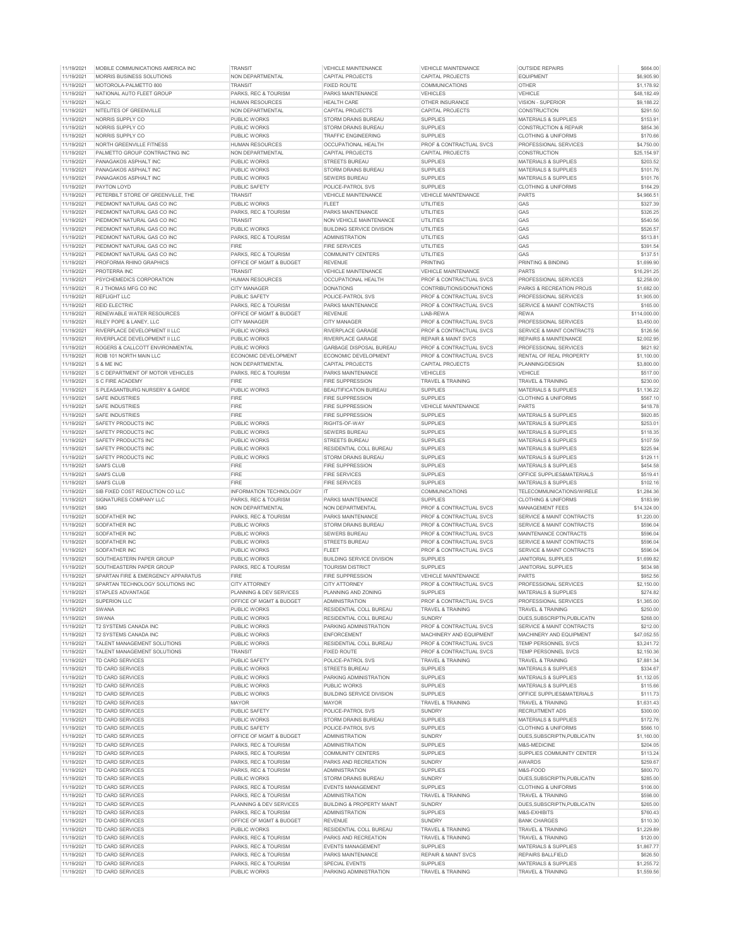| 11/19/2021 | MOBILE COMMUNICATIONS AMERICA ING  |                              | VEHICI E MAINTENANCE                 | VEHICI E MAINTENANCE           | <b>OUTSIDE REPAIRS</b>                     | \$664.00     |
|------------|------------------------------------|------------------------------|--------------------------------------|--------------------------------|--------------------------------------------|--------------|
| 11/19/2021 | MORRIS BUSINESS SOLUTIONS          | NON DEPARTMENTAL             | CAPITAL PROJECTS                     | CAPITAL PROJECTS               | <b>EQUIPMENT</b>                           | \$6,905.90   |
| 11/19/2021 | MOTOROLA-PALMETTO 800              | <b>TRANSIT</b>               | <b>FIXED ROUTE</b>                   | <b>COMMUNICATIONS</b>          | OTHER                                      | \$1,178.92   |
| 11/19/2021 | NATIONAL AUTO FLEET GROUP          | PARKS, REC & TOURISM         | PARKS MAINTENANCE                    | <b>VEHICLES</b>                | VEHICLE                                    | \$48,182.49  |
| 11/19/2021 | <b>NGLIC</b>                       | <b>HUMAN RESOURCES</b>       | <b>HEALTH CARE</b>                   | OTHER INSURANCE                | VISION - SUPERIOR                          | \$9,188.22   |
|            |                                    |                              |                                      |                                |                                            |              |
| 11/19/2021 | NITELITES OF GREENVILLE            | <b>NON DEPARTMENTAL</b>      | CAPITAL PROJECTS                     | CAPITAL PROJECTS               | CONSTRUCTION                               | \$291.50     |
| 11/19/2021 | NORRIS SUPPLY CO                   | PUBLIC WORKS                 | STORM DRAINS BUREAU                  | <b>SUPPLIES</b>                | <b>MATERIALS &amp; SUPPLIES</b>            | \$153.91     |
| 11/19/2021 | NORRIS SUPPLY CO                   | <b>PUBLIC WORKS</b>          | STORM DRAINS BUREAU                  | SUPPLIES                       | <b>CONSTRUCTION &amp; REPAIR</b>           | \$854.36     |
| 11/19/2021 | NORRIS SUPPLY CC                   | PUBLIC WORKS                 | <b>TRAFFIC ENGINEERING</b>           | SUPPLIES                       | <b>CLOTHING &amp; UNIFORMS</b>             | \$170.66     |
| 11/19/2021 | NORTH GREENVILLE FITNESS           | <b>HUMAN RESOURCES</b>       | OCCUPATIONAL HEALTH                  | PROF & CONTRACTUAL SVCS        | PROFESSIONAL SERVICES                      | \$4,750.00   |
| 11/19/2021 | PALMETTO GROUP CONTRACTING INC     | NON DEPARTMENTAL             |                                      | CAPITAL PROJECTS               | CONSTRUCTION                               | \$25,154.97  |
|            |                                    |                              | CAPITAL PROJECTS                     |                                |                                            |              |
| 11/19/2021 | PANAGAKOS ASPHALT INC              | PUBLIC WORKS                 | <b>STREETS BUREAU</b>                | <b>SUPPLIES</b>                | MATERIALS & SUPPLIES                       | \$203.52     |
| 11/19/2021 | PANAGAKOS ASPHALT INC              | PUBLIC WORKS                 | STORM DRAINS BUREAU                  | <b>SUPPLIES</b>                | MATERIALS & SUPPLIES                       | \$101.76     |
| 11/19/2021 | PANAGAKOS ASPHALT INC              | PUBLIC WORKS                 | <b>SEWERS BUREAU</b>                 | <b>SUPPLIES</b>                | <b>MATERIALS &amp; SUPPLIES</b>            | \$101.76     |
| 11/19/2021 | PAYTON LOYD                        | PUBLIC SAFETY                | POLICE-PATROL SVS                    | <b>SUPPLIES</b>                | <b>CLOTHING &amp; UNIFORMS</b>             | \$164.29     |
| 11/19/2021 | PETERBILT STORE OF GREENVILLE, THE | <b>TRANSIT</b>               |                                      |                                | PARTS                                      | \$4,966.51   |
|            |                                    |                              | VEHICLE MAINTENANCE                  | VEHICLE MAINTENANCE            |                                            |              |
| 11/19/2021 | PIEDMONT NATURAL GAS CO INC        | PUBLIC WORKS                 | <b>FIFFT</b>                         | <b>UTILITIES</b>               | GAS                                        | \$327.39     |
| 11/19/2021 | PIEDMONT NATURAL GAS CO INC        | PARKS, REC & TOURISM         | PARKS MAINTENANCE                    | <b>UTILITIES</b>               | GAS                                        | \$326.25     |
| 11/19/2021 | PIEDMONT NATURAL GAS CO INC        | <b>TRANSIT</b>               | NON VEHICLE MAINTENANCE              | <b>UTILITIES</b>               | GAS                                        | \$540.56     |
| 11/19/2021 | PIEDMONT NATURAL GAS CO INC        | PUBLIC WORKS                 | <b>BUILDING SERVICE DIVISION</b>     | UTILITIES                      | GAS                                        | \$526.57     |
| 11/19/2021 | PIEDMONT NATURAL GAS CO INC        | PARKS, REC & TOURISM         | <b>ADMINISTRATION</b>                | <b>UTILITIES</b>               | GAS                                        | \$513.81     |
|            |                                    |                              |                                      |                                |                                            |              |
| 11/19/2021 | PIEDMONT NATURAL GAS CO INC        | FIRE                         | <b>FIRE SERVICES</b>                 | <b>UTILITIES</b>               | GAS                                        | \$391.54     |
| 11/19/2021 | PIEDMONT NATURAL GAS CO INC        | PARKS, REC & TOURISM         | <b>COMMUNITY CENTERS</b>             | <b>UTILITIES</b>               | GAS                                        | \$137.51     |
| 11/19/2021 | PROFORMA RHINO GRAPHICS            | OFFICE OF MGMT & BUDGET      | <b>REVENUE</b>                       | <b>PRINTING</b>                | PRINTING & BINDING                         | \$1,699.90   |
| 11/19/2021 | PROTERRA INC                       | <b>TRANSIT</b>               | <b>VEHICLE MAINTENANCE</b>           | VEHICLE MAINTENANCE            | <b>PARTS</b>                               | \$16,291.25  |
| 11/19/2021 | PSYCHEMEDICS CORPORATION           | <b>HUMAN RESOURCES</b>       | OCCUPATIONAL HEALTH                  | PROF & CONTRACTUAL SVCS        | PROFESSIONAL SERVICES                      | \$2,258.00   |
|            |                                    |                              |                                      |                                |                                            |              |
| 11/19/2021 | R J THOMAS MFG CO INC              | CITY MANAGER                 | <b>DONATIONS</b>                     | CONTRIBUTIONS/DONATIONS        | PARKS & RECREATION PROJS                   | \$1,682.00   |
| 11/19/2021 | REFLIGHT LLC                       | PUBLIC SAFETY                | POLICE-PATROL SVS                    | PROF & CONTRACTUAL SVCS        | PROFESSIONAL SERVICES                      | \$1,905.00   |
| 11/19/2021 | REID ELECTRIC                      | PARKS, REC & TOURISM         | PARKS MAINTENANCE                    | PROF & CONTRACTUAL SVCS        | SERVICE & MAINT CONTRACTS                  | \$165.00     |
| 11/19/2021 | RENEWABLE WATER RESOURCES          | OFFICE OF MGMT & BUDGET      | <b>REVENUE</b>                       | LIAB-REWA                      | <b>RFWA</b>                                | \$114,000.00 |
| 11/19/2021 | RILEY POPE & LANEY LLC             | CITY MANAGER                 | CITY MANAGER                         | PROF & CONTRACTUAL SVCS        | PROFESSIONAL SERVICES                      | \$3,450.00   |
|            |                                    |                              |                                      |                                |                                            |              |
| 11/19/2021 | RIVERPLACE DEVELOPMENT II LLC      | PUBLIC WORKS                 | RIVERPLACE GARAGE                    | PROF & CONTRACTUAL SVCS        | SERVICE & MAINT CONTRACTS                  | \$126.56     |
| 11/19/2021 | RIVERPLACE DEVELOPMENT II LLC      | PUBLIC WORKS                 | RIVERPLACE GARAGE                    | <b>REPAIR &amp; MAINT SVCS</b> | REPAIRS & MAINTENANCE                      | \$2,002.95   |
| 11/19/2021 | ROGERS & CALLCOTT ENVIRONMENTAL    | PUBLIC WORKS                 | <b>GARBAGE DISPOSAL BUREAU</b>       | PROF & CONTRACTUAL SVCS        | PROFESSIONAL SERVICES                      | \$621.92     |
| 11/19/2021 | ROIB 101 NORTH MAIN LLC            | ECONOMIC DEVELOPMENT         | ECONOMIC DEVELOPMENT                 | PROF & CONTRACTUAL SVCS        | RENTAL OF REAL PROPERTY                    | \$1,100.00   |
| 11/19/2021 | S & ME INC                         | NON DEPARTMENTAL             | CAPITAL PROJECTS                     | CAPITAL PROJECTS               | PLANNING/DESIGN                            | \$3,800.00   |
|            |                                    |                              |                                      |                                |                                            |              |
| 11/19/2021 | S C DEPARTMENT OF MOTOR VEHICLES   | PARKS, REC & TOURISM         | PARKS MAINTENANCE                    | VEHICLES                       | VEHICLE                                    | \$517.00     |
| 11/19/2021 | S C FIRE ACADEMY                   | <b>FIRE</b>                  | <b>FIRE SUPPRESSION</b>              | TRAVEL & TRAINING              | <b>TRAVEL &amp; TRAINING</b>               | \$230.00     |
| 11/19/2021 | S PLEASANTBURG NURSERY & GARDE     | PUBLIC WORKS                 | <b>BEAUTIFICATION BUREAU</b>         | <b>SUPPLIES</b>                | MATERIALS & SUPPLIES                       | \$1,136.22   |
| 11/19/2021 | SAFE INDUSTRIES                    | FIRE                         | <b>FIRE SUPPRESSION</b>              | <b>SUPPLIES</b>                | <b>CLOTHING &amp; UNIFORMS</b>             | \$567.10     |
| 11/19/2021 | SAFE INDUSTRIES                    | <b>FIRE</b>                  | FIRE SUPPRESSION                     | VEHICLE MAINTENANCE            | PARTS                                      | \$418.78     |
|            |                                    |                              |                                      |                                |                                            |              |
| 11/19/2021 | <b>SAFE INDUSTRIES</b>             | <b>FIRE</b>                  | <b>FIRE SUPPRESSION</b>              | <b>SUPPLIES</b>                | MATERIALS & SUPPLIES                       | \$920.85     |
| 11/19/2021 | SAFETY PRODUCTS INC                | PUBLIC WORKS                 | RIGHTS-OF-WAY                        | <b>SUPPLIES</b>                | <b>MATERIALS &amp; SUPPLIES</b>            | \$253.01     |
| 11/19/2021 | SAFETY PRODUCTS INC                | <b>PUBLIC WORKS</b>          | <b>SEWERS BUREAU</b>                 | <b>SUPPLIES</b>                | <b>MATERIALS &amp; SUPPLIES</b>            | \$118.35     |
| 11/19/2021 | SAFETY PRODUCTS INC                | PUBLIC WORKS                 | <b>STREETS BUREAU</b>                | <b>SUPPLIES</b>                | <b>MATERIALS &amp; SUPPLIES</b>            | \$107.59     |
| 11/19/2021 | SAFETY PRODUCTS INC                | PUBLIC WORKS                 | RESIDENTIAL COLL BUREAU              | <b>SUPPLIES</b>                | <b>MATERIALS &amp; SUPPLIES</b>            | \$225.94     |
|            |                                    | PUBLIC WORKS                 | STORM DRAINS BUREAU                  |                                | MATERIALS & SUPPLIES                       | \$129.11     |
|            |                                    |                              |                                      |                                |                                            |              |
| 11/19/2021 | SAFETY PRODUCTS INC                |                              |                                      | <b>SUPPLIES</b>                |                                            |              |
| 11/19/2021 | <b>SAM'S CLUB</b>                  | <b>FIRE</b>                  | FIRE SUPPRESSION                     | <b>SUPPLIES</b>                | <b>MATERIALS &amp; SUPPLIES</b>            | \$454.58     |
| 11/19/2021 | <b>SAM'S CLUB</b>                  | <b>FIRE</b>                  | <b>FIRE SERVICES</b>                 | <b>SUPPLIES</b>                | OFFICE SUPPLIES&MATERIALS                  | \$519.41     |
| 11/19/2021 | SAM'S CLUB                         | FIRE                         | <b>FIRE SERVICES</b>                 | <b>SUPPLIES</b>                |                                            | \$102.16     |
|            |                                    |                              |                                      |                                | MATERIALS & SUPPLIES                       |              |
| 11/19/2021 | SIB FIXED COST REDUCTION CO LLC    | INFORMATION TECHNOLOGY       | IT                                   | COMMUNICATIONS                 | TELECOMMUNICATIONS/WIRELE                  | \$1,284.36   |
| 11/19/2021 | SIGNATURES COMPANY LLC             | PARKS, REC & TOURISM         | <b>PARKS MAINTENANCE</b>             | <b>SUPPLIES</b>                | <b>CLOTHING &amp; UNIFORMS</b>             | \$183.99     |
| 11/19/2021 | <b>SMG</b>                         | <b>NON DEPARTMENTAL</b>      | NON DEPARTMENTAL                     | PROF & CONTRACTUAL SVCS        | <b>MANAGEMENT FEES</b>                     | \$14,324.00  |
| 11/19/2021 | SODFATHER INC                      | PARKS, REC & TOURISM         | PARKS MAINTENANCE                    | PROF & CONTRACTUAL SVCS        | SERVICE & MAINT CONTRACTS                  | \$1,220.00   |
| 11/19/2021 | SODFATHER INC                      | PUBLIC WORKS                 | STORM DRAINS BUREAU                  | PROF & CONTRACTUAL SVCS        | SERVICE & MAINT CONTRACTS                  | \$596.04     |
|            |                                    |                              |                                      |                                | MAINTENANCE CONTRACTS                      |              |
| 11/19/2021 | SODFATHER INC                      | PUBLIC WORKS                 | SEWERS BUREAU                        | PROF & CONTRACTUAL SVCS        |                                            | \$596.04     |
| 11/19/2021 | <b>SODFATHER INC</b>               | PUBLIC WORKS                 | <b>STREETS BUREAU</b>                | PROF & CONTRACTUAL SVCS        | <b>SERVICE &amp; MAINT CONTRACTS</b>       | \$596.04     |
| 11/19/2021 | SODFATHER INC                      | PUBLIC WORKS                 | FLEET                                | PROF & CONTRACTUAL SVCS        | SERVICE & MAINT CONTRACTS                  | \$596.04     |
| 11/19/2021 | SOUTHEASTERN PAPER GROUP           | PUBLIC WORKS                 | <b>BUILDING SERVICE DIVISION</b>     | SUPPLIES                       | <b>JANITORIAL SUPPLIES</b>                 | \$1,699.82   |
|            |                                    |                              |                                      |                                |                                            |              |
| 11/19/2021 | SOUTHEASTERN PAPER GROUP           | PARKS, REC & TOURISM<br>FIRE | <b>TOURISM DISTRICT</b>              | <b>SUPPLIES</b>                | <b>JANITORIAL SUPPLIES</b><br><b>PARTS</b> | \$634.98     |
| 11/19/2021 | SPARTAN FIRE & EMERGENCY APPARATUS |                              | FIRE SUPPRESSION                     | VEHICLE MAINTENANCE            |                                            | \$952.56     |
| 11/19/2021 | SPARTAN TECHNOLOGY SOLUTIONS INC   | CITY ATTORNEY                | CITY ATTORNEY                        | PROF & CONTRACTUAL SVCS        | PROFESSIONAL SERVICES                      | \$2,150.00   |
| 11/19/2021 | STAPLES ADVANTAGE                  | PLANNING & DEV SERVICES      | PLANNING AND ZONING                  | <b>SUPPLIES</b>                | MATERIALS & SUPPLIES                       | \$274.82     |
| 11/19/2021 | SUPERION LLC                       | OFFICE OF MGMT & BUDGET      | ADMINISTRATION                       | PROF & CONTRACTUAL SVCS        | PROFESSIONAL SERVICES                      | \$1,365.00   |
| 11/19/2021 | SWANA                              | PUBLIC WORKS                 | RESIDENTIAL COLL BUREAU              | <b>TRAVEL &amp; TRAINING</b>   | <b>TRAVEL &amp; TRAINING</b>               | \$250.00     |
|            |                                    |                              |                                      |                                |                                            |              |
| 11/19/2021 | SWANA                              | PUBLIC WORKS                 | RESIDENTIAL COLL BUREAU              | <b>SUNDRY</b>                  | DUES, SUBSCRIPTN, PUBLICATN                | \$268.00     |
| 11/19/2021 | T2 SYSTEMS CANADA INC              | PUBLIC WORKS                 | PARKING ADMINISTRATION               | PROF & CONTRACTUAL SVCS        | SERVICE & MAINT CONTRACTS                  | \$212.00     |
| 11/19/2021 | T2 SYSTEMS CANADA INC              | PUBLIC WORKS                 | <b>ENFORCEMENT</b>                   | MACHINERY AND EQUIPMENT        | MACHINERY AND EQUIPMENT                    | \$47,052.55  |
| 11/19/2021 | TALENT MANAGEMENT SOLUTIONS        | PUBLIC WORKS                 | RESIDENTIAL COLL BUREAU              | PROF & CONTRACTUAL SVCS        | TEMP PERSONNEL SVCS                        | \$3,241.72   |
| 11/19/2021 | TALENT MANAGEMENT SOLUTIONS        | <b>TRANSIT</b>               | <b>FIXED ROUTE</b>                   | PROF & CONTRACTUAL SVCS        | TEMP PERSONNEL SVCS                        | \$2,150.36   |
|            |                                    |                              |                                      |                                |                                            |              |
| 11/19/2021 | TD CARD SERVICES                   | PUBLIC SAFETY                | POLICE-PATROL SVS                    | TRAVEL & TRAINING              | TRAVEL & TRAINING                          | \$7,881.34   |
| 11/19/2021 | TD CARD SERVICES                   | PUBLIC WORKS                 | <b>STREETS BUREAU</b>                | <b>SUPPLIES</b>                | MATERIALS & SUPPLIES                       | \$334.67     |
| 11/19/2021 | TD CARD SERVICES                   | <b>PUBLIC WORKS</b>          | PARKING ADMINISTRATION               | <b>SUPPLIES</b>                | <b>MATERIALS &amp; SUPPLIES</b>            | \$1,132.05   |
| 11/19/2021 | TD CARD SERVICES                   | PUBLIC WORKS                 | PUBLIC WORKS                         | <b>SUPPLIES</b>                | MATERIALS & SUPPLIES                       | \$115.66     |
| 11/19/2021 | TD CARD SERVICES                   | PUBLIC WORKS                 | <b>BUILDING SERVICE DIVISION</b>     | <b>SUPPLIES</b>                | OFFICE SUPPLIES&MATERIALS                  | \$111.73     |
|            |                                    |                              |                                      |                                |                                            |              |
| 11/19/2021 | TD CARD SERVICES                   | <b>MAYOR</b>                 | <b>MAYOR</b>                         | TRAVEL & TRAINING              | <b>TRAVEL &amp; TRAINING</b>               | \$1,631.43   |
| 11/19/2021 | TD CARD SERVICES                   | PUBLIC SAFETY                | POLICE-PATROL SVS                    | <b>SUNDRY</b>                  | <b>RECRUITMENT ADS</b>                     | \$300.00     |
| 11/19/2021 | TD CARD SERVICES                   | PUBLIC WORKS                 | STORM DRAINS BUREAU                  | <b>SUPPLIES</b>                | MATERIALS & SUPPLIES                       | \$172.76     |
| 11/19/2021 | TD CARD SERVICES                   | PUBLIC SAFETY                | POLICE-PATROL SVS                    | <b>SUPPLIES</b>                | <b>CLOTHING &amp; UNIFORMS</b>             | \$566.10     |
| 11/19/2021 | TD CARD SERVICES                   | OFFICE OF MGMT & BUDGET      | <b>ADMINISTRATION</b>                | <b>SUNDRY</b>                  | DUES, SUBSCRIPTN, PUBLICATN                | \$1,160.00   |
|            |                                    |                              |                                      |                                |                                            |              |
| 11/19/2021 | TD CARD SERVICES                   | PARKS, REC & TOURISM         | <b>ADMINISTRATION</b>                | <b>SUPPLIES</b>                | M&S-MEDICINE                               | \$204.05     |
| 11/19/2021 | TD CARD SERVICES                   | PARKS, REC & TOURISM         | <b>COMMUNITY CENTERS</b>             | <b>SUPPLIES</b>                | SUPPLIES COMMUNITY CENTER                  | \$113.24     |
| 11/19/2021 | TD CARD SERVICES                   | PARKS, REC & TOURISM         | PARKS AND RECREATION                 | <b>SUNDRY</b>                  | <b>AWARDS</b>                              | \$259.67     |
| 11/19/2021 | <b>TD CARD SERVICES</b>            | PARKS, REC & TOURISM         | <b>ADMINISTRATION</b>                | <b>SUPPLIES</b>                | M&S-FOOD                                   | \$800.70     |
| 11/19/2021 | TD CARD SERVICES                   | PUBLIC WORKS                 | STORM DRAINS BUREAU                  | <b>SUNDRY</b>                  | DUES, SUBSCRIPTN, PUBLICATN                | \$285.00     |
|            | TD CARD SERVICES                   |                              |                                      |                                |                                            |              |
| 11/19/2021 |                                    | PARKS, REC & TOURISM         | <b>EVENTS MANAGEMENT</b>             | <b>SUPPLIES</b>                | <b>CLOTHING &amp; UNIFORMS</b>             | \$106.00     |
| 11/19/2021 | TD CARD SERVICES                   | PARKS, REC & TOURISM         | <b>ADMINISTRATION</b>                | TRAVEL & TRAINING              | TRAVEL & TRAINING                          | \$598.00     |
| 11/19/2021 | TD CARD SERVICES                   | PLANNING & DEV SERVICES      | <b>BUILDING &amp; PROPERTY MAINT</b> | <b>SUNDRY</b>                  | DUES, SUBSCRIPTN, PUBLICATN                | \$265.00     |
| 11/19/2021 | TD CARD SERVICES                   | PARKS, REC & TOURISM         | <b>ADMINISTRATION</b>                | <b>SUPPLIES</b>                | M&S-EXHIBITS                               | \$760.43     |
| 11/19/2021 | TD CARD SERVICES                   | OFFICE OF MGMT & BUDGET      | <b>REVENUE</b>                       | <b>SUNDRY</b>                  | <b>BANK CHARGES</b>                        | \$110.30     |
|            |                                    |                              |                                      |                                |                                            |              |
| 11/19/2021 | TD CARD SERVICES                   | <b>PUBLIC WORKS</b>          | RESIDENTIAL COLL BUREAU              | TRAVEL & TRAINING              | TRAVEL & TRAINING                          | \$1,229.89   |
| 11/19/2021 | TD CARD SERVICES                   | PARKS, REC & TOURISM         | PARKS AND RECREATION                 | TRAVEL & TRAINING              | TRAVEL & TRAINING                          | \$120.00     |
| 11/19/2021 | TD CARD SERVICES                   | PARKS, REC & TOURISM         | <b>EVENTS MANAGEMENT</b>             | <b>SUPPLIES</b>                | MATERIALS & SUPPLIES                       | \$1,867.77   |
| 11/19/2021 | TD CARD SERVICES                   | PARKS, REC & TOURISM         | PARKS MAINTENANCE                    | <b>REPAIR &amp; MAINT SVCS</b> | REPAIRS BALLFIELD                          | \$626.50     |
| 11/19/2021 | TD CARD SERVICES                   | PARKS, REC & TOURISM         | SPECIAL EVENTS                       | <b>SUPPLIES</b>                | MATERIALS & SUPPLIES                       | \$1,255.72   |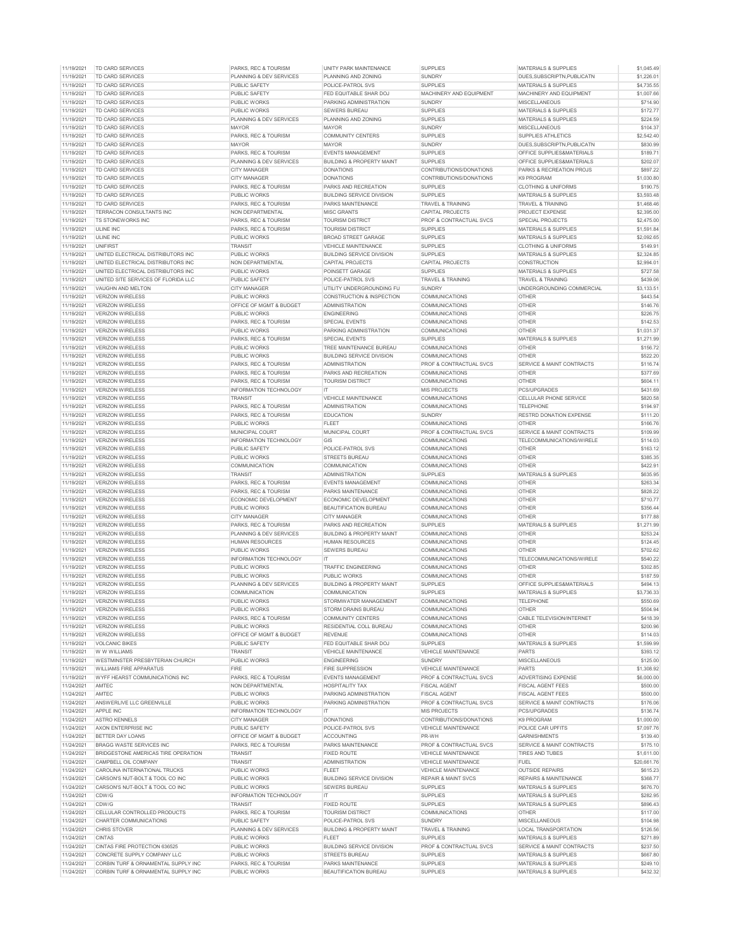| PLANNING & DEV SERVICES<br>11/19/2021<br>TD CARD SERVICES<br>PLANNING AND ZONING<br><b>SUNDRY</b><br>11/19/2021<br><b>TD CARD SERVICES</b><br>PUBLIC SAFETY<br>POLICE-PATROL SVS<br><b>SUPPLIES</b><br>11/19/2021<br>TD CARD SERVICES<br>PUBLIC SAFETY<br>FED EQUITABLE SHAR DOJ<br>MACHINERY AND EQUIPMENT<br>11/19/2021<br>TD CARD SERVICES<br>PUBLIC WORKS<br>PARKING ADMINISTRATION<br><b>SUNDRY</b><br>11/19/2021<br>TD CARD SERVICES<br>PUBLIC WORKS<br><b>SEWERS BUREAU</b><br><b>SUPPLIES</b><br>11/19/2021<br><b>TD CARD SERVICES</b><br>PLANNING & DEV SERVICES<br>PLANNING AND ZONING<br><b>SUPPLIES</b><br>11/19/2021<br>TD CARD SERVICES<br>MAYOR<br><b>SUNDRY</b><br><b>MAYOR</b><br>11/19/2021<br>TD CARD SERVICES<br>SUPPLIES<br>PARKS, REC & TOURISM<br><b>COMMUNITY CENTERS</b><br>11/19/2021<br>TD CARD SERVICES<br><b>MAYOR</b><br><b>MAYOR</b><br><b>SUNDRY</b><br>TD CARD SERVICES<br>PARKS, REC & TOURISM<br><b>SUPPLIES</b><br>11/19/2021<br><b>FVENTS MANAGEMENT</b><br>11/19/2021<br>TD CARD SERVICES<br>PLANNING & DEV SERVICES<br><b>BUILDING &amp; PROPERTY MAINT</b><br><b>SUPPLIES</b><br>11/19/2021<br>TD CARD SERVICES<br>CONTRIBUTIONS/DONATIONS<br>CITY MANAGER<br><b>DONATIONS</b><br>11/19/2021<br><b>TD CARD SERVICES</b><br>CITY MANAGER<br><b>DONATIONS</b><br>CONTRIBUTIONS/DONATIONS<br>11/19/2021<br>TD CARD SERVICES<br>PARKS, REC & TOURISM<br>PARKS AND RECREATION<br><b>SUPPLIES</b><br>11/19/2021<br>TD CARD SERVICES<br>PUBLIC WORKS<br>BUILDING SERVICE DIVISION<br><b>SUPPLIES</b><br>11/19/2021<br>TD CARD SERVICES<br>PARKS, REC & TOURISM<br>PARKS MAINTENANCE<br>TRAVEL & TRAINING<br>TERRACON CONSULTANTS INC<br>11/19/2021<br><b>NON DEPARTMENTAL</b><br><b>MISC GRANTS</b><br><b>CAPITAL PROJECTS</b><br>11/19/2021<br>TS STONEWORKS INC<br>PARKS, REC & TOURISM<br><b>TOURISM DISTRICT</b><br>PROF & CONTRACTUAL SVCS<br>11/19/2021<br><b>ULINE INC</b><br>PARKS, REC & TOURISM<br><b>SUPPLIES</b><br><b>TOURISM DISTRICT</b><br>11/19/2021<br><b>ULINE INC</b><br>PUBLIC WORKS<br><b>BROAD STREET GARAGE</b><br><b>SUPPLIES</b><br>11/19/2021<br><b>UNIFIRST</b><br><b>SUPPLIES</b><br><b>TRANSIT</b><br><b>VEHICLE MAINTENANCE</b><br>11/19/2021<br>UNITED ELECTRICAL DISTRIBUTORS INC<br>PUBLIC WORKS<br><b>BUILDING SERVICE DIVISION</b><br><b>SUPPLIES</b><br>11/19/2021<br>UNITED ELECTRICAL DISTRIBUTORS INC<br>NON DEPARTMENTAL<br><b>CAPITAL PROJECTS</b><br>CAPITAL PROJECTS | DUES, SUBSCRIPTN, PUBLICATN<br>MATERIALS & SUPPLIES<br>MACHINERY AND EQUIPMENT<br>MISCELLANEOUS<br><b>MATERIALS &amp; SUPPLIES</b><br><b>MATERIALS &amp; SUPPLIES</b><br><b>MISCELLANEOUS</b><br>SUPPLIES ATHLETICS<br>DUES, SUBSCRIPTN, PUBLICATN<br>OFFICE SUPPLIES&MATERIALS<br>OFFICE SUPPLIES&MATERIALS<br>PARKS & RECREATION PROJS<br>K9 PROGRAM<br><b>CLOTHING &amp; UNIFORMS</b><br>MATERIALS & SUPPLIES<br>TRAVEL & TRAINING<br><b>PROJECT EXPENSE</b><br>SPECIAL PROJECTS<br>MATERIALS & SUPPLIES<br><b>MATERIALS &amp; SUPPLIES</b> | \$1,226.01<br>\$4,735.55<br>\$1,007.66<br>\$714.90<br>\$172.77<br>\$224.59<br>\$104.37<br>\$2,542.40<br>\$830.99<br>\$189.71<br>\$202.07<br>\$897.22<br>\$1,030.80<br>\$190.75<br>\$3,593.48<br>\$1,468.46<br>\$2,395.00 |
|---------------------------------------------------------------------------------------------------------------------------------------------------------------------------------------------------------------------------------------------------------------------------------------------------------------------------------------------------------------------------------------------------------------------------------------------------------------------------------------------------------------------------------------------------------------------------------------------------------------------------------------------------------------------------------------------------------------------------------------------------------------------------------------------------------------------------------------------------------------------------------------------------------------------------------------------------------------------------------------------------------------------------------------------------------------------------------------------------------------------------------------------------------------------------------------------------------------------------------------------------------------------------------------------------------------------------------------------------------------------------------------------------------------------------------------------------------------------------------------------------------------------------------------------------------------------------------------------------------------------------------------------------------------------------------------------------------------------------------------------------------------------------------------------------------------------------------------------------------------------------------------------------------------------------------------------------------------------------------------------------------------------------------------------------------------------------------------------------------------------------------------------------------------------------------------------------------------------------------------------------------------------------------------------------------------------------------------------------------------------------------------------------------------------------------------------------|------------------------------------------------------------------------------------------------------------------------------------------------------------------------------------------------------------------------------------------------------------------------------------------------------------------------------------------------------------------------------------------------------------------------------------------------------------------------------------------------------------------------------------------------|--------------------------------------------------------------------------------------------------------------------------------------------------------------------------------------------------------------------------|
|                                                                                                                                                                                                                                                                                                                                                                                                                                                                                                                                                                                                                                                                                                                                                                                                                                                                                                                                                                                                                                                                                                                                                                                                                                                                                                                                                                                                                                                                                                                                                                                                                                                                                                                                                                                                                                                                                                                                                                                                                                                                                                                                                                                                                                                                                                                                                                                                                                                   |                                                                                                                                                                                                                                                                                                                                                                                                                                                                                                                                                |                                                                                                                                                                                                                          |
|                                                                                                                                                                                                                                                                                                                                                                                                                                                                                                                                                                                                                                                                                                                                                                                                                                                                                                                                                                                                                                                                                                                                                                                                                                                                                                                                                                                                                                                                                                                                                                                                                                                                                                                                                                                                                                                                                                                                                                                                                                                                                                                                                                                                                                                                                                                                                                                                                                                   |                                                                                                                                                                                                                                                                                                                                                                                                                                                                                                                                                |                                                                                                                                                                                                                          |
|                                                                                                                                                                                                                                                                                                                                                                                                                                                                                                                                                                                                                                                                                                                                                                                                                                                                                                                                                                                                                                                                                                                                                                                                                                                                                                                                                                                                                                                                                                                                                                                                                                                                                                                                                                                                                                                                                                                                                                                                                                                                                                                                                                                                                                                                                                                                                                                                                                                   |                                                                                                                                                                                                                                                                                                                                                                                                                                                                                                                                                |                                                                                                                                                                                                                          |
|                                                                                                                                                                                                                                                                                                                                                                                                                                                                                                                                                                                                                                                                                                                                                                                                                                                                                                                                                                                                                                                                                                                                                                                                                                                                                                                                                                                                                                                                                                                                                                                                                                                                                                                                                                                                                                                                                                                                                                                                                                                                                                                                                                                                                                                                                                                                                                                                                                                   |                                                                                                                                                                                                                                                                                                                                                                                                                                                                                                                                                |                                                                                                                                                                                                                          |
|                                                                                                                                                                                                                                                                                                                                                                                                                                                                                                                                                                                                                                                                                                                                                                                                                                                                                                                                                                                                                                                                                                                                                                                                                                                                                                                                                                                                                                                                                                                                                                                                                                                                                                                                                                                                                                                                                                                                                                                                                                                                                                                                                                                                                                                                                                                                                                                                                                                   |                                                                                                                                                                                                                                                                                                                                                                                                                                                                                                                                                |                                                                                                                                                                                                                          |
|                                                                                                                                                                                                                                                                                                                                                                                                                                                                                                                                                                                                                                                                                                                                                                                                                                                                                                                                                                                                                                                                                                                                                                                                                                                                                                                                                                                                                                                                                                                                                                                                                                                                                                                                                                                                                                                                                                                                                                                                                                                                                                                                                                                                                                                                                                                                                                                                                                                   |                                                                                                                                                                                                                                                                                                                                                                                                                                                                                                                                                |                                                                                                                                                                                                                          |
|                                                                                                                                                                                                                                                                                                                                                                                                                                                                                                                                                                                                                                                                                                                                                                                                                                                                                                                                                                                                                                                                                                                                                                                                                                                                                                                                                                                                                                                                                                                                                                                                                                                                                                                                                                                                                                                                                                                                                                                                                                                                                                                                                                                                                                                                                                                                                                                                                                                   |                                                                                                                                                                                                                                                                                                                                                                                                                                                                                                                                                |                                                                                                                                                                                                                          |
|                                                                                                                                                                                                                                                                                                                                                                                                                                                                                                                                                                                                                                                                                                                                                                                                                                                                                                                                                                                                                                                                                                                                                                                                                                                                                                                                                                                                                                                                                                                                                                                                                                                                                                                                                                                                                                                                                                                                                                                                                                                                                                                                                                                                                                                                                                                                                                                                                                                   |                                                                                                                                                                                                                                                                                                                                                                                                                                                                                                                                                |                                                                                                                                                                                                                          |
|                                                                                                                                                                                                                                                                                                                                                                                                                                                                                                                                                                                                                                                                                                                                                                                                                                                                                                                                                                                                                                                                                                                                                                                                                                                                                                                                                                                                                                                                                                                                                                                                                                                                                                                                                                                                                                                                                                                                                                                                                                                                                                                                                                                                                                                                                                                                                                                                                                                   |                                                                                                                                                                                                                                                                                                                                                                                                                                                                                                                                                |                                                                                                                                                                                                                          |
|                                                                                                                                                                                                                                                                                                                                                                                                                                                                                                                                                                                                                                                                                                                                                                                                                                                                                                                                                                                                                                                                                                                                                                                                                                                                                                                                                                                                                                                                                                                                                                                                                                                                                                                                                                                                                                                                                                                                                                                                                                                                                                                                                                                                                                                                                                                                                                                                                                                   |                                                                                                                                                                                                                                                                                                                                                                                                                                                                                                                                                |                                                                                                                                                                                                                          |
|                                                                                                                                                                                                                                                                                                                                                                                                                                                                                                                                                                                                                                                                                                                                                                                                                                                                                                                                                                                                                                                                                                                                                                                                                                                                                                                                                                                                                                                                                                                                                                                                                                                                                                                                                                                                                                                                                                                                                                                                                                                                                                                                                                                                                                                                                                                                                                                                                                                   |                                                                                                                                                                                                                                                                                                                                                                                                                                                                                                                                                |                                                                                                                                                                                                                          |
|                                                                                                                                                                                                                                                                                                                                                                                                                                                                                                                                                                                                                                                                                                                                                                                                                                                                                                                                                                                                                                                                                                                                                                                                                                                                                                                                                                                                                                                                                                                                                                                                                                                                                                                                                                                                                                                                                                                                                                                                                                                                                                                                                                                                                                                                                                                                                                                                                                                   |                                                                                                                                                                                                                                                                                                                                                                                                                                                                                                                                                |                                                                                                                                                                                                                          |
|                                                                                                                                                                                                                                                                                                                                                                                                                                                                                                                                                                                                                                                                                                                                                                                                                                                                                                                                                                                                                                                                                                                                                                                                                                                                                                                                                                                                                                                                                                                                                                                                                                                                                                                                                                                                                                                                                                                                                                                                                                                                                                                                                                                                                                                                                                                                                                                                                                                   |                                                                                                                                                                                                                                                                                                                                                                                                                                                                                                                                                |                                                                                                                                                                                                                          |
|                                                                                                                                                                                                                                                                                                                                                                                                                                                                                                                                                                                                                                                                                                                                                                                                                                                                                                                                                                                                                                                                                                                                                                                                                                                                                                                                                                                                                                                                                                                                                                                                                                                                                                                                                                                                                                                                                                                                                                                                                                                                                                                                                                                                                                                                                                                                                                                                                                                   |                                                                                                                                                                                                                                                                                                                                                                                                                                                                                                                                                |                                                                                                                                                                                                                          |
|                                                                                                                                                                                                                                                                                                                                                                                                                                                                                                                                                                                                                                                                                                                                                                                                                                                                                                                                                                                                                                                                                                                                                                                                                                                                                                                                                                                                                                                                                                                                                                                                                                                                                                                                                                                                                                                                                                                                                                                                                                                                                                                                                                                                                                                                                                                                                                                                                                                   |                                                                                                                                                                                                                                                                                                                                                                                                                                                                                                                                                |                                                                                                                                                                                                                          |
|                                                                                                                                                                                                                                                                                                                                                                                                                                                                                                                                                                                                                                                                                                                                                                                                                                                                                                                                                                                                                                                                                                                                                                                                                                                                                                                                                                                                                                                                                                                                                                                                                                                                                                                                                                                                                                                                                                                                                                                                                                                                                                                                                                                                                                                                                                                                                                                                                                                   |                                                                                                                                                                                                                                                                                                                                                                                                                                                                                                                                                |                                                                                                                                                                                                                          |
|                                                                                                                                                                                                                                                                                                                                                                                                                                                                                                                                                                                                                                                                                                                                                                                                                                                                                                                                                                                                                                                                                                                                                                                                                                                                                                                                                                                                                                                                                                                                                                                                                                                                                                                                                                                                                                                                                                                                                                                                                                                                                                                                                                                                                                                                                                                                                                                                                                                   |                                                                                                                                                                                                                                                                                                                                                                                                                                                                                                                                                |                                                                                                                                                                                                                          |
|                                                                                                                                                                                                                                                                                                                                                                                                                                                                                                                                                                                                                                                                                                                                                                                                                                                                                                                                                                                                                                                                                                                                                                                                                                                                                                                                                                                                                                                                                                                                                                                                                                                                                                                                                                                                                                                                                                                                                                                                                                                                                                                                                                                                                                                                                                                                                                                                                                                   |                                                                                                                                                                                                                                                                                                                                                                                                                                                                                                                                                |                                                                                                                                                                                                                          |
|                                                                                                                                                                                                                                                                                                                                                                                                                                                                                                                                                                                                                                                                                                                                                                                                                                                                                                                                                                                                                                                                                                                                                                                                                                                                                                                                                                                                                                                                                                                                                                                                                                                                                                                                                                                                                                                                                                                                                                                                                                                                                                                                                                                                                                                                                                                                                                                                                                                   |                                                                                                                                                                                                                                                                                                                                                                                                                                                                                                                                                |                                                                                                                                                                                                                          |
|                                                                                                                                                                                                                                                                                                                                                                                                                                                                                                                                                                                                                                                                                                                                                                                                                                                                                                                                                                                                                                                                                                                                                                                                                                                                                                                                                                                                                                                                                                                                                                                                                                                                                                                                                                                                                                                                                                                                                                                                                                                                                                                                                                                                                                                                                                                                                                                                                                                   |                                                                                                                                                                                                                                                                                                                                                                                                                                                                                                                                                |                                                                                                                                                                                                                          |
|                                                                                                                                                                                                                                                                                                                                                                                                                                                                                                                                                                                                                                                                                                                                                                                                                                                                                                                                                                                                                                                                                                                                                                                                                                                                                                                                                                                                                                                                                                                                                                                                                                                                                                                                                                                                                                                                                                                                                                                                                                                                                                                                                                                                                                                                                                                                                                                                                                                   |                                                                                                                                                                                                                                                                                                                                                                                                                                                                                                                                                | \$2,475.00                                                                                                                                                                                                               |
|                                                                                                                                                                                                                                                                                                                                                                                                                                                                                                                                                                                                                                                                                                                                                                                                                                                                                                                                                                                                                                                                                                                                                                                                                                                                                                                                                                                                                                                                                                                                                                                                                                                                                                                                                                                                                                                                                                                                                                                                                                                                                                                                                                                                                                                                                                                                                                                                                                                   |                                                                                                                                                                                                                                                                                                                                                                                                                                                                                                                                                | \$1,591.84                                                                                                                                                                                                               |
|                                                                                                                                                                                                                                                                                                                                                                                                                                                                                                                                                                                                                                                                                                                                                                                                                                                                                                                                                                                                                                                                                                                                                                                                                                                                                                                                                                                                                                                                                                                                                                                                                                                                                                                                                                                                                                                                                                                                                                                                                                                                                                                                                                                                                                                                                                                                                                                                                                                   |                                                                                                                                                                                                                                                                                                                                                                                                                                                                                                                                                | \$2,092.65                                                                                                                                                                                                               |
|                                                                                                                                                                                                                                                                                                                                                                                                                                                                                                                                                                                                                                                                                                                                                                                                                                                                                                                                                                                                                                                                                                                                                                                                                                                                                                                                                                                                                                                                                                                                                                                                                                                                                                                                                                                                                                                                                                                                                                                                                                                                                                                                                                                                                                                                                                                                                                                                                                                   |                                                                                                                                                                                                                                                                                                                                                                                                                                                                                                                                                |                                                                                                                                                                                                                          |
|                                                                                                                                                                                                                                                                                                                                                                                                                                                                                                                                                                                                                                                                                                                                                                                                                                                                                                                                                                                                                                                                                                                                                                                                                                                                                                                                                                                                                                                                                                                                                                                                                                                                                                                                                                                                                                                                                                                                                                                                                                                                                                                                                                                                                                                                                                                                                                                                                                                   | <b>CLOTHING &amp; UNIFORMS</b>                                                                                                                                                                                                                                                                                                                                                                                                                                                                                                                 | \$149.91                                                                                                                                                                                                                 |
|                                                                                                                                                                                                                                                                                                                                                                                                                                                                                                                                                                                                                                                                                                                                                                                                                                                                                                                                                                                                                                                                                                                                                                                                                                                                                                                                                                                                                                                                                                                                                                                                                                                                                                                                                                                                                                                                                                                                                                                                                                                                                                                                                                                                                                                                                                                                                                                                                                                   | MATERIALS & SUPPLIES                                                                                                                                                                                                                                                                                                                                                                                                                                                                                                                           | \$2,324.85                                                                                                                                                                                                               |
|                                                                                                                                                                                                                                                                                                                                                                                                                                                                                                                                                                                                                                                                                                                                                                                                                                                                                                                                                                                                                                                                                                                                                                                                                                                                                                                                                                                                                                                                                                                                                                                                                                                                                                                                                                                                                                                                                                                                                                                                                                                                                                                                                                                                                                                                                                                                                                                                                                                   | CONSTRUCTION                                                                                                                                                                                                                                                                                                                                                                                                                                                                                                                                   | \$2,994.01                                                                                                                                                                                                               |
| 11/19/2021<br>UNITED ELECTRICAL DISTRIBUTORS INC<br>PUBLIC WORKS<br>POINSETT GARAGE<br><b>SUPPLIES</b>                                                                                                                                                                                                                                                                                                                                                                                                                                                                                                                                                                                                                                                                                                                                                                                                                                                                                                                                                                                                                                                                                                                                                                                                                                                                                                                                                                                                                                                                                                                                                                                                                                                                                                                                                                                                                                                                                                                                                                                                                                                                                                                                                                                                                                                                                                                                            | MATERIALS & SUPPLIES                                                                                                                                                                                                                                                                                                                                                                                                                                                                                                                           | \$727.58                                                                                                                                                                                                                 |
| 11/19/2021<br>UNITED SITE SERVICES OF FLORIDA LLC<br>PUBLIC SAFETY<br>POLICE-PATROL SVS<br>TRAVEL & TRAINING                                                                                                                                                                                                                                                                                                                                                                                                                                                                                                                                                                                                                                                                                                                                                                                                                                                                                                                                                                                                                                                                                                                                                                                                                                                                                                                                                                                                                                                                                                                                                                                                                                                                                                                                                                                                                                                                                                                                                                                                                                                                                                                                                                                                                                                                                                                                      | TRAVEL & TRAINING                                                                                                                                                                                                                                                                                                                                                                                                                                                                                                                              | \$439.06                                                                                                                                                                                                                 |
| 11/19/2021<br>VAUGHN AND MELTON<br>UTILITY UNDERGROUNDING FU<br><b>SUNDRY</b><br><b>CITY MANAGER</b>                                                                                                                                                                                                                                                                                                                                                                                                                                                                                                                                                                                                                                                                                                                                                                                                                                                                                                                                                                                                                                                                                                                                                                                                                                                                                                                                                                                                                                                                                                                                                                                                                                                                                                                                                                                                                                                                                                                                                                                                                                                                                                                                                                                                                                                                                                                                              | UNDERGROUNDING COMMERCIAL                                                                                                                                                                                                                                                                                                                                                                                                                                                                                                                      | \$3,133.51                                                                                                                                                                                                               |
|                                                                                                                                                                                                                                                                                                                                                                                                                                                                                                                                                                                                                                                                                                                                                                                                                                                                                                                                                                                                                                                                                                                                                                                                                                                                                                                                                                                                                                                                                                                                                                                                                                                                                                                                                                                                                                                                                                                                                                                                                                                                                                                                                                                                                                                                                                                                                                                                                                                   |                                                                                                                                                                                                                                                                                                                                                                                                                                                                                                                                                |                                                                                                                                                                                                                          |
| 11/19/2021<br><b>VERIZON WIRELESS</b><br>PUBLIC WORKS<br>CONSTRUCTION & INSPECTION<br>COMMUNICATIONS                                                                                                                                                                                                                                                                                                                                                                                                                                                                                                                                                                                                                                                                                                                                                                                                                                                                                                                                                                                                                                                                                                                                                                                                                                                                                                                                                                                                                                                                                                                                                                                                                                                                                                                                                                                                                                                                                                                                                                                                                                                                                                                                                                                                                                                                                                                                              | OTHER                                                                                                                                                                                                                                                                                                                                                                                                                                                                                                                                          | \$443.54                                                                                                                                                                                                                 |
| <b>VERIZON WIRELESS</b><br>OFFICE OF MGMT & BUDGET<br>11/19/2021<br><b>ADMINISTRATION</b><br>COMMUNICATIONS                                                                                                                                                                                                                                                                                                                                                                                                                                                                                                                                                                                                                                                                                                                                                                                                                                                                                                                                                                                                                                                                                                                                                                                                                                                                                                                                                                                                                                                                                                                                                                                                                                                                                                                                                                                                                                                                                                                                                                                                                                                                                                                                                                                                                                                                                                                                       | OTHER                                                                                                                                                                                                                                                                                                                                                                                                                                                                                                                                          | \$146.76                                                                                                                                                                                                                 |
| 11/19/2021<br><b>VERIZON WIRELESS</b><br>PUBLIC WORKS<br><b>ENGINEERING</b><br>COMMUNICATIONS                                                                                                                                                                                                                                                                                                                                                                                                                                                                                                                                                                                                                                                                                                                                                                                                                                                                                                                                                                                                                                                                                                                                                                                                                                                                                                                                                                                                                                                                                                                                                                                                                                                                                                                                                                                                                                                                                                                                                                                                                                                                                                                                                                                                                                                                                                                                                     | OTHER                                                                                                                                                                                                                                                                                                                                                                                                                                                                                                                                          | \$226.75                                                                                                                                                                                                                 |
| 11/19/2021<br><b>VERIZON WIRELESS</b><br>PARKS, REC & TOURISM<br>COMMUNICATIONS<br><b>SPECIAL EVENTS</b>                                                                                                                                                                                                                                                                                                                                                                                                                                                                                                                                                                                                                                                                                                                                                                                                                                                                                                                                                                                                                                                                                                                                                                                                                                                                                                                                                                                                                                                                                                                                                                                                                                                                                                                                                                                                                                                                                                                                                                                                                                                                                                                                                                                                                                                                                                                                          | OTHER                                                                                                                                                                                                                                                                                                                                                                                                                                                                                                                                          | \$142.53                                                                                                                                                                                                                 |
| <b>VERIZON WIRELESS</b>                                                                                                                                                                                                                                                                                                                                                                                                                                                                                                                                                                                                                                                                                                                                                                                                                                                                                                                                                                                                                                                                                                                                                                                                                                                                                                                                                                                                                                                                                                                                                                                                                                                                                                                                                                                                                                                                                                                                                                                                                                                                                                                                                                                                                                                                                                                                                                                                                           |                                                                                                                                                                                                                                                                                                                                                                                                                                                                                                                                                |                                                                                                                                                                                                                          |
| 11/19/2021<br>PUBLIC WORKS<br>PARKING ADMINISTRATION<br>COMMUNICATIONS                                                                                                                                                                                                                                                                                                                                                                                                                                                                                                                                                                                                                                                                                                                                                                                                                                                                                                                                                                                                                                                                                                                                                                                                                                                                                                                                                                                                                                                                                                                                                                                                                                                                                                                                                                                                                                                                                                                                                                                                                                                                                                                                                                                                                                                                                                                                                                            | OTHER                                                                                                                                                                                                                                                                                                                                                                                                                                                                                                                                          | \$1,031.37                                                                                                                                                                                                               |
| 11/19/2021<br><b>VERIZON WIRELESS</b><br>PARKS, REC & TOURISM<br><b>SPECIAL EVENTS</b><br><b>SUPPLIES</b>                                                                                                                                                                                                                                                                                                                                                                                                                                                                                                                                                                                                                                                                                                                                                                                                                                                                                                                                                                                                                                                                                                                                                                                                                                                                                                                                                                                                                                                                                                                                                                                                                                                                                                                                                                                                                                                                                                                                                                                                                                                                                                                                                                                                                                                                                                                                         | MATERIALS & SUPPLIES                                                                                                                                                                                                                                                                                                                                                                                                                                                                                                                           | \$1,271.99                                                                                                                                                                                                               |
| 11/19/2021<br><b>VERIZON WIRELESS</b><br>PUBLIC WORKS<br>TREE MAINTENANCE BUREAU<br>COMMUNICATIONS                                                                                                                                                                                                                                                                                                                                                                                                                                                                                                                                                                                                                                                                                                                                                                                                                                                                                                                                                                                                                                                                                                                                                                                                                                                                                                                                                                                                                                                                                                                                                                                                                                                                                                                                                                                                                                                                                                                                                                                                                                                                                                                                                                                                                                                                                                                                                | OTHER                                                                                                                                                                                                                                                                                                                                                                                                                                                                                                                                          | \$156.72                                                                                                                                                                                                                 |
| 11/19/2021<br><b>VERIZON WIRELESS</b><br>PUBLIC WORKS<br><b>BUILDING SERVICE DIVISION</b><br>COMMUNICATIONS                                                                                                                                                                                                                                                                                                                                                                                                                                                                                                                                                                                                                                                                                                                                                                                                                                                                                                                                                                                                                                                                                                                                                                                                                                                                                                                                                                                                                                                                                                                                                                                                                                                                                                                                                                                                                                                                                                                                                                                                                                                                                                                                                                                                                                                                                                                                       | OTHER                                                                                                                                                                                                                                                                                                                                                                                                                                                                                                                                          | \$522.20                                                                                                                                                                                                                 |
| <b>VERIZON WIRELESS</b><br>PROF & CONTRACTUAL SVCS<br>11/19/2021<br>PARKS REC & TOURISM<br><b>ADMINISTRATION</b>                                                                                                                                                                                                                                                                                                                                                                                                                                                                                                                                                                                                                                                                                                                                                                                                                                                                                                                                                                                                                                                                                                                                                                                                                                                                                                                                                                                                                                                                                                                                                                                                                                                                                                                                                                                                                                                                                                                                                                                                                                                                                                                                                                                                                                                                                                                                  | SERVICE & MAINT CONTRACTS                                                                                                                                                                                                                                                                                                                                                                                                                                                                                                                      | \$116.74                                                                                                                                                                                                                 |
| 11/19/2021<br><b>VERIZON WIRELESS</b><br>PARKS, REC & TOURISM<br>PARKS AND RECREATION<br>COMMUNICATIONS                                                                                                                                                                                                                                                                                                                                                                                                                                                                                                                                                                                                                                                                                                                                                                                                                                                                                                                                                                                                                                                                                                                                                                                                                                                                                                                                                                                                                                                                                                                                                                                                                                                                                                                                                                                                                                                                                                                                                                                                                                                                                                                                                                                                                                                                                                                                           | OTHER                                                                                                                                                                                                                                                                                                                                                                                                                                                                                                                                          | \$377.69                                                                                                                                                                                                                 |
|                                                                                                                                                                                                                                                                                                                                                                                                                                                                                                                                                                                                                                                                                                                                                                                                                                                                                                                                                                                                                                                                                                                                                                                                                                                                                                                                                                                                                                                                                                                                                                                                                                                                                                                                                                                                                                                                                                                                                                                                                                                                                                                                                                                                                                                                                                                                                                                                                                                   |                                                                                                                                                                                                                                                                                                                                                                                                                                                                                                                                                |                                                                                                                                                                                                                          |
| 11/19/2021<br><b>VERIZON WIRELESS</b><br>PARKS, REC & TOURISM<br>COMMUNICATIONS<br><b>TOURISM DISTRICT</b>                                                                                                                                                                                                                                                                                                                                                                                                                                                                                                                                                                                                                                                                                                                                                                                                                                                                                                                                                                                                                                                                                                                                                                                                                                                                                                                                                                                                                                                                                                                                                                                                                                                                                                                                                                                                                                                                                                                                                                                                                                                                                                                                                                                                                                                                                                                                        | OTHER                                                                                                                                                                                                                                                                                                                                                                                                                                                                                                                                          | \$604.11                                                                                                                                                                                                                 |
| 11/19/2021<br><b>VERIZON WIRELESS</b><br><b>INFORMATION TECHNOLOGY</b><br><b>IT</b><br>MIS PROJECTS                                                                                                                                                                                                                                                                                                                                                                                                                                                                                                                                                                                                                                                                                                                                                                                                                                                                                                                                                                                                                                                                                                                                                                                                                                                                                                                                                                                                                                                                                                                                                                                                                                                                                                                                                                                                                                                                                                                                                                                                                                                                                                                                                                                                                                                                                                                                               | PCS/UPGRADES                                                                                                                                                                                                                                                                                                                                                                                                                                                                                                                                   | \$431.69                                                                                                                                                                                                                 |
| 11/19/2021<br><b>VERIZON WIRELESS</b><br><b>TRANSIT</b><br><b>VEHICLE MAINTENANCE</b><br>COMMUNICATIONS                                                                                                                                                                                                                                                                                                                                                                                                                                                                                                                                                                                                                                                                                                                                                                                                                                                                                                                                                                                                                                                                                                                                                                                                                                                                                                                                                                                                                                                                                                                                                                                                                                                                                                                                                                                                                                                                                                                                                                                                                                                                                                                                                                                                                                                                                                                                           | CELLULAR PHONE SERVICE                                                                                                                                                                                                                                                                                                                                                                                                                                                                                                                         | \$820.58                                                                                                                                                                                                                 |
| 11/19/2021<br><b>VERIZON WIRELESS</b><br>PARKS, REC & TOURISM<br><b>ADMINISTRATION</b><br><b>COMMUNICATIONS</b>                                                                                                                                                                                                                                                                                                                                                                                                                                                                                                                                                                                                                                                                                                                                                                                                                                                                                                                                                                                                                                                                                                                                                                                                                                                                                                                                                                                                                                                                                                                                                                                                                                                                                                                                                                                                                                                                                                                                                                                                                                                                                                                                                                                                                                                                                                                                   | <b>TELEPHONE</b>                                                                                                                                                                                                                                                                                                                                                                                                                                                                                                                               | \$194.97                                                                                                                                                                                                                 |
| 11/19/2021<br><b>VERIZON WIRELESS</b><br>PARKS, REC & TOURISM<br><b>EDUCATION</b><br><b>SUNDRY</b>                                                                                                                                                                                                                                                                                                                                                                                                                                                                                                                                                                                                                                                                                                                                                                                                                                                                                                                                                                                                                                                                                                                                                                                                                                                                                                                                                                                                                                                                                                                                                                                                                                                                                                                                                                                                                                                                                                                                                                                                                                                                                                                                                                                                                                                                                                                                                | RESTRD DONATION EXPENSE                                                                                                                                                                                                                                                                                                                                                                                                                                                                                                                        | \$111.20                                                                                                                                                                                                                 |
|                                                                                                                                                                                                                                                                                                                                                                                                                                                                                                                                                                                                                                                                                                                                                                                                                                                                                                                                                                                                                                                                                                                                                                                                                                                                                                                                                                                                                                                                                                                                                                                                                                                                                                                                                                                                                                                                                                                                                                                                                                                                                                                                                                                                                                                                                                                                                                                                                                                   |                                                                                                                                                                                                                                                                                                                                                                                                                                                                                                                                                |                                                                                                                                                                                                                          |
| 11/19/2021<br><b>VERIZON WIRELESS</b><br>PUBLIC WORKS<br><b>FLEET</b><br><b>COMMUNICATIONS</b>                                                                                                                                                                                                                                                                                                                                                                                                                                                                                                                                                                                                                                                                                                                                                                                                                                                                                                                                                                                                                                                                                                                                                                                                                                                                                                                                                                                                                                                                                                                                                                                                                                                                                                                                                                                                                                                                                                                                                                                                                                                                                                                                                                                                                                                                                                                                                    | OTHER                                                                                                                                                                                                                                                                                                                                                                                                                                                                                                                                          | \$166.76                                                                                                                                                                                                                 |
| 11/19/2021<br><b>VERIZON WIRELESS</b><br>MUNICIPAL COURT<br>MUNICIPAL COURT<br>PROF & CONTRACTUAL SVCS                                                                                                                                                                                                                                                                                                                                                                                                                                                                                                                                                                                                                                                                                                                                                                                                                                                                                                                                                                                                                                                                                                                                                                                                                                                                                                                                                                                                                                                                                                                                                                                                                                                                                                                                                                                                                                                                                                                                                                                                                                                                                                                                                                                                                                                                                                                                            | SERVICE & MAINT CONTRACTS                                                                                                                                                                                                                                                                                                                                                                                                                                                                                                                      | \$109.99                                                                                                                                                                                                                 |
| 11/19/2021<br><b>VERIZON WIRELESS</b><br><b>INFORMATION TECHNOLOGY</b><br>COMMUNICATIONS<br>GIS                                                                                                                                                                                                                                                                                                                                                                                                                                                                                                                                                                                                                                                                                                                                                                                                                                                                                                                                                                                                                                                                                                                                                                                                                                                                                                                                                                                                                                                                                                                                                                                                                                                                                                                                                                                                                                                                                                                                                                                                                                                                                                                                                                                                                                                                                                                                                   | TELECOMMUNICATIONS/WIRELE                                                                                                                                                                                                                                                                                                                                                                                                                                                                                                                      | \$114.03                                                                                                                                                                                                                 |
| 11/19/2021<br><b>VERIZON WIRELESS</b><br>PUBLIC SAFETY<br>POLICE-PATROL SVS<br>COMMUNICATIONS                                                                                                                                                                                                                                                                                                                                                                                                                                                                                                                                                                                                                                                                                                                                                                                                                                                                                                                                                                                                                                                                                                                                                                                                                                                                                                                                                                                                                                                                                                                                                                                                                                                                                                                                                                                                                                                                                                                                                                                                                                                                                                                                                                                                                                                                                                                                                     | OTHER                                                                                                                                                                                                                                                                                                                                                                                                                                                                                                                                          | \$163.12                                                                                                                                                                                                                 |
| 11/19/2021<br><b>VERIZON WIRELESS</b><br>PUBLIC WORKS<br>STREETS BUREAU<br>COMMUNICATIONS                                                                                                                                                                                                                                                                                                                                                                                                                                                                                                                                                                                                                                                                                                                                                                                                                                                                                                                                                                                                                                                                                                                                                                                                                                                                                                                                                                                                                                                                                                                                                                                                                                                                                                                                                                                                                                                                                                                                                                                                                                                                                                                                                                                                                                                                                                                                                         | OTHER                                                                                                                                                                                                                                                                                                                                                                                                                                                                                                                                          | \$385.35                                                                                                                                                                                                                 |
| 11/19/2021<br><b>VERIZON WIRELESS</b><br>COMMUNICATION<br><b>COMMUNICATIONS</b>                                                                                                                                                                                                                                                                                                                                                                                                                                                                                                                                                                                                                                                                                                                                                                                                                                                                                                                                                                                                                                                                                                                                                                                                                                                                                                                                                                                                                                                                                                                                                                                                                                                                                                                                                                                                                                                                                                                                                                                                                                                                                                                                                                                                                                                                                                                                                                   | OTHER                                                                                                                                                                                                                                                                                                                                                                                                                                                                                                                                          | \$422.91                                                                                                                                                                                                                 |
| COMMUNICATION                                                                                                                                                                                                                                                                                                                                                                                                                                                                                                                                                                                                                                                                                                                                                                                                                                                                                                                                                                                                                                                                                                                                                                                                                                                                                                                                                                                                                                                                                                                                                                                                                                                                                                                                                                                                                                                                                                                                                                                                                                                                                                                                                                                                                                                                                                                                                                                                                                     |                                                                                                                                                                                                                                                                                                                                                                                                                                                                                                                                                |                                                                                                                                                                                                                          |
| 11/19/2021<br><b>VERIZON WIRELESS</b><br><b>TRANSIT</b><br><b>ADMINISTRATION</b><br><b>SUPPLIES</b>                                                                                                                                                                                                                                                                                                                                                                                                                                                                                                                                                                                                                                                                                                                                                                                                                                                                                                                                                                                                                                                                                                                                                                                                                                                                                                                                                                                                                                                                                                                                                                                                                                                                                                                                                                                                                                                                                                                                                                                                                                                                                                                                                                                                                                                                                                                                               | MATERIALS & SUPPLIES                                                                                                                                                                                                                                                                                                                                                                                                                                                                                                                           | \$635.95                                                                                                                                                                                                                 |
| 11/19/2021<br><b>VERIZON WIRELESS</b><br>PARKS, REC & TOURISM<br><b>EVENTS MANAGEMENT</b><br>COMMUNICATIONS                                                                                                                                                                                                                                                                                                                                                                                                                                                                                                                                                                                                                                                                                                                                                                                                                                                                                                                                                                                                                                                                                                                                                                                                                                                                                                                                                                                                                                                                                                                                                                                                                                                                                                                                                                                                                                                                                                                                                                                                                                                                                                                                                                                                                                                                                                                                       | OTHER                                                                                                                                                                                                                                                                                                                                                                                                                                                                                                                                          |                                                                                                                                                                                                                          |
| <b>VERIZON WIRELESS</b><br>11/19/2021<br>PARKS, REC & TOURISM<br><b>PARKS MAINTENANCE</b><br>COMMUNICATIONS                                                                                                                                                                                                                                                                                                                                                                                                                                                                                                                                                                                                                                                                                                                                                                                                                                                                                                                                                                                                                                                                                                                                                                                                                                                                                                                                                                                                                                                                                                                                                                                                                                                                                                                                                                                                                                                                                                                                                                                                                                                                                                                                                                                                                                                                                                                                       | OTHER                                                                                                                                                                                                                                                                                                                                                                                                                                                                                                                                          | \$263.34                                                                                                                                                                                                                 |
| 11/19/2021<br><b>VERIZON WIRELESS</b><br>ECONOMIC DEVELOPMENT<br>ECONOMIC DEVELOPMENT<br>COMMUNICATIONS                                                                                                                                                                                                                                                                                                                                                                                                                                                                                                                                                                                                                                                                                                                                                                                                                                                                                                                                                                                                                                                                                                                                                                                                                                                                                                                                                                                                                                                                                                                                                                                                                                                                                                                                                                                                                                                                                                                                                                                                                                                                                                                                                                                                                                                                                                                                           |                                                                                                                                                                                                                                                                                                                                                                                                                                                                                                                                                | \$828.22                                                                                                                                                                                                                 |
|                                                                                                                                                                                                                                                                                                                                                                                                                                                                                                                                                                                                                                                                                                                                                                                                                                                                                                                                                                                                                                                                                                                                                                                                                                                                                                                                                                                                                                                                                                                                                                                                                                                                                                                                                                                                                                                                                                                                                                                                                                                                                                                                                                                                                                                                                                                                                                                                                                                   |                                                                                                                                                                                                                                                                                                                                                                                                                                                                                                                                                |                                                                                                                                                                                                                          |
|                                                                                                                                                                                                                                                                                                                                                                                                                                                                                                                                                                                                                                                                                                                                                                                                                                                                                                                                                                                                                                                                                                                                                                                                                                                                                                                                                                                                                                                                                                                                                                                                                                                                                                                                                                                                                                                                                                                                                                                                                                                                                                                                                                                                                                                                                                                                                                                                                                                   | OTHER                                                                                                                                                                                                                                                                                                                                                                                                                                                                                                                                          | \$710.77                                                                                                                                                                                                                 |
| 11/19/2021<br><b>VERIZON WIRELESS</b><br>PUBLIC WORKS<br>BEAUTIFICATION BUREAU<br>COMMUNICATIONS                                                                                                                                                                                                                                                                                                                                                                                                                                                                                                                                                                                                                                                                                                                                                                                                                                                                                                                                                                                                                                                                                                                                                                                                                                                                                                                                                                                                                                                                                                                                                                                                                                                                                                                                                                                                                                                                                                                                                                                                                                                                                                                                                                                                                                                                                                                                                  | OTHER                                                                                                                                                                                                                                                                                                                                                                                                                                                                                                                                          | \$356.44                                                                                                                                                                                                                 |
| 11/19/2021<br><b>VERIZON WIRELESS</b><br>CITY MANAGER<br><b>CITY MANAGER</b><br>COMMUNICATIONS                                                                                                                                                                                                                                                                                                                                                                                                                                                                                                                                                                                                                                                                                                                                                                                                                                                                                                                                                                                                                                                                                                                                                                                                                                                                                                                                                                                                                                                                                                                                                                                                                                                                                                                                                                                                                                                                                                                                                                                                                                                                                                                                                                                                                                                                                                                                                    | OTHER                                                                                                                                                                                                                                                                                                                                                                                                                                                                                                                                          | \$177.88                                                                                                                                                                                                                 |
| 11/19/2021<br><b>VERIZON WIRELESS</b><br>PARKS, REC & TOURISM<br>PARKS AND RECREATION<br><b>SUPPLIES</b>                                                                                                                                                                                                                                                                                                                                                                                                                                                                                                                                                                                                                                                                                                                                                                                                                                                                                                                                                                                                                                                                                                                                                                                                                                                                                                                                                                                                                                                                                                                                                                                                                                                                                                                                                                                                                                                                                                                                                                                                                                                                                                                                                                                                                                                                                                                                          | MATERIALS & SUPPLIES                                                                                                                                                                                                                                                                                                                                                                                                                                                                                                                           | \$1,271.99                                                                                                                                                                                                               |
| 11/19/2021<br><b>VERIZON WIRELESS</b><br>PLANNING & DEV SERVICES<br><b>BUILDING &amp; PROPERTY MAINT</b><br>COMMUNICATIONS                                                                                                                                                                                                                                                                                                                                                                                                                                                                                                                                                                                                                                                                                                                                                                                                                                                                                                                                                                                                                                                                                                                                                                                                                                                                                                                                                                                                                                                                                                                                                                                                                                                                                                                                                                                                                                                                                                                                                                                                                                                                                                                                                                                                                                                                                                                        | OTHER                                                                                                                                                                                                                                                                                                                                                                                                                                                                                                                                          | \$253.24                                                                                                                                                                                                                 |
|                                                                                                                                                                                                                                                                                                                                                                                                                                                                                                                                                                                                                                                                                                                                                                                                                                                                                                                                                                                                                                                                                                                                                                                                                                                                                                                                                                                                                                                                                                                                                                                                                                                                                                                                                                                                                                                                                                                                                                                                                                                                                                                                                                                                                                                                                                                                                                                                                                                   |                                                                                                                                                                                                                                                                                                                                                                                                                                                                                                                                                |                                                                                                                                                                                                                          |
| 11/19/2021<br><b>VERIZON WIRELESS</b><br><b>HUMAN RESOURCES</b><br>HUMAN RESOURCES<br>COMMUNICATIONS                                                                                                                                                                                                                                                                                                                                                                                                                                                                                                                                                                                                                                                                                                                                                                                                                                                                                                                                                                                                                                                                                                                                                                                                                                                                                                                                                                                                                                                                                                                                                                                                                                                                                                                                                                                                                                                                                                                                                                                                                                                                                                                                                                                                                                                                                                                                              | OTHER                                                                                                                                                                                                                                                                                                                                                                                                                                                                                                                                          | \$124.45                                                                                                                                                                                                                 |
| 11/19/2021<br>VERIZON WIRELESS<br><b>PUBLIC WORKS</b><br><b>SEWERS BUREAU</b><br>COMMUNICATIONS                                                                                                                                                                                                                                                                                                                                                                                                                                                                                                                                                                                                                                                                                                                                                                                                                                                                                                                                                                                                                                                                                                                                                                                                                                                                                                                                                                                                                                                                                                                                                                                                                                                                                                                                                                                                                                                                                                                                                                                                                                                                                                                                                                                                                                                                                                                                                   | OTHER                                                                                                                                                                                                                                                                                                                                                                                                                                                                                                                                          | \$702.62                                                                                                                                                                                                                 |
| 11/19/2021<br><b>VERIZON WIRELESS</b><br>INFORMATION TECHNOLOGY<br>IT<br><b>COMMUNICATIONS</b>                                                                                                                                                                                                                                                                                                                                                                                                                                                                                                                                                                                                                                                                                                                                                                                                                                                                                                                                                                                                                                                                                                                                                                                                                                                                                                                                                                                                                                                                                                                                                                                                                                                                                                                                                                                                                                                                                                                                                                                                                                                                                                                                                                                                                                                                                                                                                    | TELECOMMUNICATIONS/WIRELE                                                                                                                                                                                                                                                                                                                                                                                                                                                                                                                      | \$540.22                                                                                                                                                                                                                 |
| <b>VERIZON WIRELESS</b><br>11/19/2021<br>PUBLIC WORKS<br><b>TRAFFIC ENGINEERING</b><br>COMMUNICATIONS                                                                                                                                                                                                                                                                                                                                                                                                                                                                                                                                                                                                                                                                                                                                                                                                                                                                                                                                                                                                                                                                                                                                                                                                                                                                                                                                                                                                                                                                                                                                                                                                                                                                                                                                                                                                                                                                                                                                                                                                                                                                                                                                                                                                                                                                                                                                             | OTHER                                                                                                                                                                                                                                                                                                                                                                                                                                                                                                                                          | \$302.85                                                                                                                                                                                                                 |
| 11/19/2021<br><b>VERIZON WIRELESS</b><br>PUBLIC WORKS<br><b>PUBLIC WORKS</b><br>COMMUNICATIONS                                                                                                                                                                                                                                                                                                                                                                                                                                                                                                                                                                                                                                                                                                                                                                                                                                                                                                                                                                                                                                                                                                                                                                                                                                                                                                                                                                                                                                                                                                                                                                                                                                                                                                                                                                                                                                                                                                                                                                                                                                                                                                                                                                                                                                                                                                                                                    | OTHER                                                                                                                                                                                                                                                                                                                                                                                                                                                                                                                                          | \$187.59                                                                                                                                                                                                                 |
| 11/19/2021<br><b>VERIZON WIRELESS</b><br>PLANNING & DEV SERVICES<br><b>BUILDING &amp; PROPERTY MAINT</b><br><b>SUPPLIES</b>                                                                                                                                                                                                                                                                                                                                                                                                                                                                                                                                                                                                                                                                                                                                                                                                                                                                                                                                                                                                                                                                                                                                                                                                                                                                                                                                                                                                                                                                                                                                                                                                                                                                                                                                                                                                                                                                                                                                                                                                                                                                                                                                                                                                                                                                                                                       | OFFICE SUPPLIES&MATERIALS                                                                                                                                                                                                                                                                                                                                                                                                                                                                                                                      | \$494.13                                                                                                                                                                                                                 |
|                                                                                                                                                                                                                                                                                                                                                                                                                                                                                                                                                                                                                                                                                                                                                                                                                                                                                                                                                                                                                                                                                                                                                                                                                                                                                                                                                                                                                                                                                                                                                                                                                                                                                                                                                                                                                                                                                                                                                                                                                                                                                                                                                                                                                                                                                                                                                                                                                                                   |                                                                                                                                                                                                                                                                                                                                                                                                                                                                                                                                                |                                                                                                                                                                                                                          |
| 11/19/2021<br><b>VERIZON WIRELESS</b><br>COMMUNICATION<br>COMMUNICATION<br><b>SUPPLIES</b>                                                                                                                                                                                                                                                                                                                                                                                                                                                                                                                                                                                                                                                                                                                                                                                                                                                                                                                                                                                                                                                                                                                                                                                                                                                                                                                                                                                                                                                                                                                                                                                                                                                                                                                                                                                                                                                                                                                                                                                                                                                                                                                                                                                                                                                                                                                                                        | MATERIALS & SUPPLIES                                                                                                                                                                                                                                                                                                                                                                                                                                                                                                                           | \$3,736.33                                                                                                                                                                                                               |
| 11/19/2021<br><b>VERIZON WIRELESS</b><br>PUBLIC WORKS<br>STORMWATER MANAGEMENT<br>COMMUNICATIONS                                                                                                                                                                                                                                                                                                                                                                                                                                                                                                                                                                                                                                                                                                                                                                                                                                                                                                                                                                                                                                                                                                                                                                                                                                                                                                                                                                                                                                                                                                                                                                                                                                                                                                                                                                                                                                                                                                                                                                                                                                                                                                                                                                                                                                                                                                                                                  | <b>TELEPHONE</b>                                                                                                                                                                                                                                                                                                                                                                                                                                                                                                                               | \$550.69                                                                                                                                                                                                                 |
| 11/19/2021<br>VERIZON WIRELESS<br><b>PUBLIC WORKS</b><br><b>STORM DRAINS BUREAU</b><br><b>COMMUNICATIONS</b>                                                                                                                                                                                                                                                                                                                                                                                                                                                                                                                                                                                                                                                                                                                                                                                                                                                                                                                                                                                                                                                                                                                                                                                                                                                                                                                                                                                                                                                                                                                                                                                                                                                                                                                                                                                                                                                                                                                                                                                                                                                                                                                                                                                                                                                                                                                                      | OTHER                                                                                                                                                                                                                                                                                                                                                                                                                                                                                                                                          | \$504.94                                                                                                                                                                                                                 |
| 11/19/2021<br><b>VERIZON WIRELESS</b><br>PARKS, REC & TOURISM<br><b>COMMUNITY CENTERS</b><br>COMMUNICATIONS                                                                                                                                                                                                                                                                                                                                                                                                                                                                                                                                                                                                                                                                                                                                                                                                                                                                                                                                                                                                                                                                                                                                                                                                                                                                                                                                                                                                                                                                                                                                                                                                                                                                                                                                                                                                                                                                                                                                                                                                                                                                                                                                                                                                                                                                                                                                       | CABLE TELEVISION/INTERNET                                                                                                                                                                                                                                                                                                                                                                                                                                                                                                                      | \$418.39                                                                                                                                                                                                                 |
| 11/19/2021<br><b>VERIZON WIRELESS</b><br>COMMUNICATIONS<br>PUBLIC WORKS<br>RESIDENTIAL COLL BUREAU                                                                                                                                                                                                                                                                                                                                                                                                                                                                                                                                                                                                                                                                                                                                                                                                                                                                                                                                                                                                                                                                                                                                                                                                                                                                                                                                                                                                                                                                                                                                                                                                                                                                                                                                                                                                                                                                                                                                                                                                                                                                                                                                                                                                                                                                                                                                                | OTHER                                                                                                                                                                                                                                                                                                                                                                                                                                                                                                                                          | \$200.96                                                                                                                                                                                                                 |
| 11/19/2021<br><b>VERIZON WIRELESS</b><br>OFFICE OF MGMT & BUDGET<br><b>REVENUE</b><br>COMMUNICATIONS                                                                                                                                                                                                                                                                                                                                                                                                                                                                                                                                                                                                                                                                                                                                                                                                                                                                                                                                                                                                                                                                                                                                                                                                                                                                                                                                                                                                                                                                                                                                                                                                                                                                                                                                                                                                                                                                                                                                                                                                                                                                                                                                                                                                                                                                                                                                              | OTHER                                                                                                                                                                                                                                                                                                                                                                                                                                                                                                                                          | \$114.03                                                                                                                                                                                                                 |
| <b>VOLCANIC BIKES</b><br>FFD FOUTABLE SHAR DOJ<br><b>SUPPLIES</b>                                                                                                                                                                                                                                                                                                                                                                                                                                                                                                                                                                                                                                                                                                                                                                                                                                                                                                                                                                                                                                                                                                                                                                                                                                                                                                                                                                                                                                                                                                                                                                                                                                                                                                                                                                                                                                                                                                                                                                                                                                                                                                                                                                                                                                                                                                                                                                                 |                                                                                                                                                                                                                                                                                                                                                                                                                                                                                                                                                |                                                                                                                                                                                                                          |
| 11/19/2021<br>PUBLIC SAFETY                                                                                                                                                                                                                                                                                                                                                                                                                                                                                                                                                                                                                                                                                                                                                                                                                                                                                                                                                                                                                                                                                                                                                                                                                                                                                                                                                                                                                                                                                                                                                                                                                                                                                                                                                                                                                                                                                                                                                                                                                                                                                                                                                                                                                                                                                                                                                                                                                       | MATERIALS & SUPPLIES                                                                                                                                                                                                                                                                                                                                                                                                                                                                                                                           | \$1,599.99                                                                                                                                                                                                               |
| 11/19/2021<br>W W WILLIAMS<br><b>TRANSIT</b><br><b>VEHICLE MAINTENANCE</b><br>VEHICLE MAINTENANCE                                                                                                                                                                                                                                                                                                                                                                                                                                                                                                                                                                                                                                                                                                                                                                                                                                                                                                                                                                                                                                                                                                                                                                                                                                                                                                                                                                                                                                                                                                                                                                                                                                                                                                                                                                                                                                                                                                                                                                                                                                                                                                                                                                                                                                                                                                                                                 | PARTS                                                                                                                                                                                                                                                                                                                                                                                                                                                                                                                                          | \$393.12                                                                                                                                                                                                                 |
| 11/19/2021<br>WESTMINSTER PRESBYTERIAN CHURCH<br>PUBLIC WORKS<br><b>ENGINEERING</b><br><b>SUNDRY</b>                                                                                                                                                                                                                                                                                                                                                                                                                                                                                                                                                                                                                                                                                                                                                                                                                                                                                                                                                                                                                                                                                                                                                                                                                                                                                                                                                                                                                                                                                                                                                                                                                                                                                                                                                                                                                                                                                                                                                                                                                                                                                                                                                                                                                                                                                                                                              | <b>MISCELLANEOUS</b>                                                                                                                                                                                                                                                                                                                                                                                                                                                                                                                           | \$125.00                                                                                                                                                                                                                 |
| WILLIAMS FIRE APPARATUS<br>FIRE<br><b>FIRE SUPPRESSION</b><br>VEHICLE MAINTENANCE<br>11/19/2021                                                                                                                                                                                                                                                                                                                                                                                                                                                                                                                                                                                                                                                                                                                                                                                                                                                                                                                                                                                                                                                                                                                                                                                                                                                                                                                                                                                                                                                                                                                                                                                                                                                                                                                                                                                                                                                                                                                                                                                                                                                                                                                                                                                                                                                                                                                                                   | PARTS                                                                                                                                                                                                                                                                                                                                                                                                                                                                                                                                          | \$1,308.92                                                                                                                                                                                                               |
| 11/19/2021<br>WYFF HEARST COMMUNICATIONS INC<br>PARKS, REC & TOURISM<br><b>EVENTS MANAGEMENT</b><br>PROF & CONTRACTUAL SVCS                                                                                                                                                                                                                                                                                                                                                                                                                                                                                                                                                                                                                                                                                                                                                                                                                                                                                                                                                                                                                                                                                                                                                                                                                                                                                                                                                                                                                                                                                                                                                                                                                                                                                                                                                                                                                                                                                                                                                                                                                                                                                                                                                                                                                                                                                                                       | ADVERTISING EXPENSE                                                                                                                                                                                                                                                                                                                                                                                                                                                                                                                            | \$6,000.00                                                                                                                                                                                                               |
| AMTEC<br><b>HOSPITALITY TAX</b><br><b>FISCAL AGENT</b>                                                                                                                                                                                                                                                                                                                                                                                                                                                                                                                                                                                                                                                                                                                                                                                                                                                                                                                                                                                                                                                                                                                                                                                                                                                                                                                                                                                                                                                                                                                                                                                                                                                                                                                                                                                                                                                                                                                                                                                                                                                                                                                                                                                                                                                                                                                                                                                            | <b>FISCAL AGENT FEES</b>                                                                                                                                                                                                                                                                                                                                                                                                                                                                                                                       | \$500.00                                                                                                                                                                                                                 |
| 11/24/2021<br>NON DEPARTMENTAL                                                                                                                                                                                                                                                                                                                                                                                                                                                                                                                                                                                                                                                                                                                                                                                                                                                                                                                                                                                                                                                                                                                                                                                                                                                                                                                                                                                                                                                                                                                                                                                                                                                                                                                                                                                                                                                                                                                                                                                                                                                                                                                                                                                                                                                                                                                                                                                                                    |                                                                                                                                                                                                                                                                                                                                                                                                                                                                                                                                                |                                                                                                                                                                                                                          |
| 11/24/2021<br>AMTEC<br>PUBLIC WORKS<br>PARKING ADMINISTRATION<br><b>FISCAL AGENT</b>                                                                                                                                                                                                                                                                                                                                                                                                                                                                                                                                                                                                                                                                                                                                                                                                                                                                                                                                                                                                                                                                                                                                                                                                                                                                                                                                                                                                                                                                                                                                                                                                                                                                                                                                                                                                                                                                                                                                                                                                                                                                                                                                                                                                                                                                                                                                                              | <b>FISCAL AGENT FEES</b>                                                                                                                                                                                                                                                                                                                                                                                                                                                                                                                       | \$500.00                                                                                                                                                                                                                 |
| ANSWERLIVE LLC GREENVILLE<br>PARKING ADMINISTRATION<br>PROF & CONTRACTUAL SVCS<br>11/24/2021<br>PUBLIC WORKS                                                                                                                                                                                                                                                                                                                                                                                                                                                                                                                                                                                                                                                                                                                                                                                                                                                                                                                                                                                                                                                                                                                                                                                                                                                                                                                                                                                                                                                                                                                                                                                                                                                                                                                                                                                                                                                                                                                                                                                                                                                                                                                                                                                                                                                                                                                                      | SERVICE & MAINT CONTRACTS                                                                                                                                                                                                                                                                                                                                                                                                                                                                                                                      | \$176.06                                                                                                                                                                                                                 |
| 11/24/2021<br>APPLE INC<br>INFORMATION TECHNOLOGY<br>MIS PROJECTS<br><b>IT</b>                                                                                                                                                                                                                                                                                                                                                                                                                                                                                                                                                                                                                                                                                                                                                                                                                                                                                                                                                                                                                                                                                                                                                                                                                                                                                                                                                                                                                                                                                                                                                                                                                                                                                                                                                                                                                                                                                                                                                                                                                                                                                                                                                                                                                                                                                                                                                                    | PCS/UPGRADES                                                                                                                                                                                                                                                                                                                                                                                                                                                                                                                                   | \$136.74                                                                                                                                                                                                                 |
| ASTRO KENNELS<br>CONTRIBUTIONS/DONATIONS<br>11/24/2021<br>CITY MANAGER<br><b>DONATIONS</b>                                                                                                                                                                                                                                                                                                                                                                                                                                                                                                                                                                                                                                                                                                                                                                                                                                                                                                                                                                                                                                                                                                                                                                                                                                                                                                                                                                                                                                                                                                                                                                                                                                                                                                                                                                                                                                                                                                                                                                                                                                                                                                                                                                                                                                                                                                                                                        | K9 PROGRAM                                                                                                                                                                                                                                                                                                                                                                                                                                                                                                                                     | \$1,000.00                                                                                                                                                                                                               |
| 11/24/2021                                                                                                                                                                                                                                                                                                                                                                                                                                                                                                                                                                                                                                                                                                                                                                                                                                                                                                                                                                                                                                                                                                                                                                                                                                                                                                                                                                                                                                                                                                                                                                                                                                                                                                                                                                                                                                                                                                                                                                                                                                                                                                                                                                                                                                                                                                                                                                                                                                        | POLICE CAR UPFITS                                                                                                                                                                                                                                                                                                                                                                                                                                                                                                                              | \$7,097.76                                                                                                                                                                                                               |
| AXON ENTERPRISE INC<br>PUBLIC SAFETY<br>POLICE-PATROL SVS<br>VEHICLE MAINTENANCE                                                                                                                                                                                                                                                                                                                                                                                                                                                                                                                                                                                                                                                                                                                                                                                                                                                                                                                                                                                                                                                                                                                                                                                                                                                                                                                                                                                                                                                                                                                                                                                                                                                                                                                                                                                                                                                                                                                                                                                                                                                                                                                                                                                                                                                                                                                                                                  |                                                                                                                                                                                                                                                                                                                                                                                                                                                                                                                                                |                                                                                                                                                                                                                          |
| 11/24/2021<br>BETTER DAY LOANS<br>OFFICE OF MGMT & BUDGET<br><b>ACCOUNTING</b><br>PR-WH                                                                                                                                                                                                                                                                                                                                                                                                                                                                                                                                                                                                                                                                                                                                                                                                                                                                                                                                                                                                                                                                                                                                                                                                                                                                                                                                                                                                                                                                                                                                                                                                                                                                                                                                                                                                                                                                                                                                                                                                                                                                                                                                                                                                                                                                                                                                                           | <b>GARNISHMENTS</b>                                                                                                                                                                                                                                                                                                                                                                                                                                                                                                                            | \$139.40                                                                                                                                                                                                                 |
| PARKS, REC & TOURISM<br>PARKS MAINTENANCE<br>PROF & CONTRACTUAL SVCS<br>11/24/2021<br>BRAGG WASTE SERVICES INC                                                                                                                                                                                                                                                                                                                                                                                                                                                                                                                                                                                                                                                                                                                                                                                                                                                                                                                                                                                                                                                                                                                                                                                                                                                                                                                                                                                                                                                                                                                                                                                                                                                                                                                                                                                                                                                                                                                                                                                                                                                                                                                                                                                                                                                                                                                                    | SERVICE & MAINT CONTRACTS                                                                                                                                                                                                                                                                                                                                                                                                                                                                                                                      | \$175.10                                                                                                                                                                                                                 |
| 11/24/2021<br>BRIDGESTONE AMERICAS TIRE OPERATION<br>TRANSIT<br><b>FIXED ROUTE</b><br><b>VEHICLE MAINTENANCE</b>                                                                                                                                                                                                                                                                                                                                                                                                                                                                                                                                                                                                                                                                                                                                                                                                                                                                                                                                                                                                                                                                                                                                                                                                                                                                                                                                                                                                                                                                                                                                                                                                                                                                                                                                                                                                                                                                                                                                                                                                                                                                                                                                                                                                                                                                                                                                  | TIRES AND TUBES                                                                                                                                                                                                                                                                                                                                                                                                                                                                                                                                | \$1,611.00                                                                                                                                                                                                               |
| 11/24/2021<br>CAMPBELL OIL COMPANY<br>VEHICLE MAINTENANCE<br><b>TRANSIT</b><br><b>ADMINISTRATION</b>                                                                                                                                                                                                                                                                                                                                                                                                                                                                                                                                                                                                                                                                                                                                                                                                                                                                                                                                                                                                                                                                                                                                                                                                                                                                                                                                                                                                                                                                                                                                                                                                                                                                                                                                                                                                                                                                                                                                                                                                                                                                                                                                                                                                                                                                                                                                              | <b>FUEL</b>                                                                                                                                                                                                                                                                                                                                                                                                                                                                                                                                    | \$20,661.76                                                                                                                                                                                                              |
| 11/24/2021<br>CAROLINA INTERNATIONAL TRUCKS<br>PUBLIC WORKS<br>FLEET<br>VEHICLE MAINTENANCE                                                                                                                                                                                                                                                                                                                                                                                                                                                                                                                                                                                                                                                                                                                                                                                                                                                                                                                                                                                                                                                                                                                                                                                                                                                                                                                                                                                                                                                                                                                                                                                                                                                                                                                                                                                                                                                                                                                                                                                                                                                                                                                                                                                                                                                                                                                                                       | <b>OUTSIDE REPAIRS</b>                                                                                                                                                                                                                                                                                                                                                                                                                                                                                                                         | \$615.23                                                                                                                                                                                                                 |
|                                                                                                                                                                                                                                                                                                                                                                                                                                                                                                                                                                                                                                                                                                                                                                                                                                                                                                                                                                                                                                                                                                                                                                                                                                                                                                                                                                                                                                                                                                                                                                                                                                                                                                                                                                                                                                                                                                                                                                                                                                                                                                                                                                                                                                                                                                                                                                                                                                                   |                                                                                                                                                                                                                                                                                                                                                                                                                                                                                                                                                |                                                                                                                                                                                                                          |
| CARSON'S NUT-BOLT & TOOL CO INC<br>PUBLIC WORKS<br>11/24/2021<br><b>BUILDING SERVICE DIVISION</b><br><b>REPAIR &amp; MAINT SVCS</b>                                                                                                                                                                                                                                                                                                                                                                                                                                                                                                                                                                                                                                                                                                                                                                                                                                                                                                                                                                                                                                                                                                                                                                                                                                                                                                                                                                                                                                                                                                                                                                                                                                                                                                                                                                                                                                                                                                                                                                                                                                                                                                                                                                                                                                                                                                               | <b>REPAIRS &amp; MAINTENANCE</b>                                                                                                                                                                                                                                                                                                                                                                                                                                                                                                               | \$368.77                                                                                                                                                                                                                 |
| 11/24/2021<br>CARSON'S NUT-BOLT & TOOL CO INC<br>PUBLIC WORKS<br>SEWERS BUREAU<br><b>SUPPLIES</b>                                                                                                                                                                                                                                                                                                                                                                                                                                                                                                                                                                                                                                                                                                                                                                                                                                                                                                                                                                                                                                                                                                                                                                                                                                                                                                                                                                                                                                                                                                                                                                                                                                                                                                                                                                                                                                                                                                                                                                                                                                                                                                                                                                                                                                                                                                                                                 | MATERIALS & SUPPLIES                                                                                                                                                                                                                                                                                                                                                                                                                                                                                                                           | \$676.70                                                                                                                                                                                                                 |
| INFORMATION TECHNOLOGY<br>11/24/2021<br>CDW/G<br><b>IT</b><br><b>SUPPLIES</b>                                                                                                                                                                                                                                                                                                                                                                                                                                                                                                                                                                                                                                                                                                                                                                                                                                                                                                                                                                                                                                                                                                                                                                                                                                                                                                                                                                                                                                                                                                                                                                                                                                                                                                                                                                                                                                                                                                                                                                                                                                                                                                                                                                                                                                                                                                                                                                     | MATERIALS & SUPPLIES                                                                                                                                                                                                                                                                                                                                                                                                                                                                                                                           | \$282.95                                                                                                                                                                                                                 |
| 11/24/2021<br>CDW/G<br><b>FIXED ROUTE</b><br><b>SUPPLIES</b><br><b>TRANSIT</b>                                                                                                                                                                                                                                                                                                                                                                                                                                                                                                                                                                                                                                                                                                                                                                                                                                                                                                                                                                                                                                                                                                                                                                                                                                                                                                                                                                                                                                                                                                                                                                                                                                                                                                                                                                                                                                                                                                                                                                                                                                                                                                                                                                                                                                                                                                                                                                    | MATERIALS & SUPPLIES                                                                                                                                                                                                                                                                                                                                                                                                                                                                                                                           | \$896.43                                                                                                                                                                                                                 |
| 11/24/2021<br>CELLULAR CONTROLLED PRODUCTS<br>PARKS, REC & TOURISM<br><b>TOURISM DISTRICT</b><br><b>COMMUNICATIONS</b>                                                                                                                                                                                                                                                                                                                                                                                                                                                                                                                                                                                                                                                                                                                                                                                                                                                                                                                                                                                                                                                                                                                                                                                                                                                                                                                                                                                                                                                                                                                                                                                                                                                                                                                                                                                                                                                                                                                                                                                                                                                                                                                                                                                                                                                                                                                            | OTHER                                                                                                                                                                                                                                                                                                                                                                                                                                                                                                                                          | \$117.00                                                                                                                                                                                                                 |
| CHARTER COMMUNICATIONS<br><b>PUBLIC SAFETY</b><br>POLICE-PATROL SVS<br><b>SUNDRY</b>                                                                                                                                                                                                                                                                                                                                                                                                                                                                                                                                                                                                                                                                                                                                                                                                                                                                                                                                                                                                                                                                                                                                                                                                                                                                                                                                                                                                                                                                                                                                                                                                                                                                                                                                                                                                                                                                                                                                                                                                                                                                                                                                                                                                                                                                                                                                                              | <b>MISCELLANEOUS</b>                                                                                                                                                                                                                                                                                                                                                                                                                                                                                                                           | \$104.98                                                                                                                                                                                                                 |
| 11/24/2021                                                                                                                                                                                                                                                                                                                                                                                                                                                                                                                                                                                                                                                                                                                                                                                                                                                                                                                                                                                                                                                                                                                                                                                                                                                                                                                                                                                                                                                                                                                                                                                                                                                                                                                                                                                                                                                                                                                                                                                                                                                                                                                                                                                                                                                                                                                                                                                                                                        |                                                                                                                                                                                                                                                                                                                                                                                                                                                                                                                                                |                                                                                                                                                                                                                          |
| 11/24/2021<br>CHRIS STOVER<br>PLANNING & DEV SERVICES<br><b>BUILDING &amp; PROPERTY MAINT</b><br>TRAVEL & TRAINING                                                                                                                                                                                                                                                                                                                                                                                                                                                                                                                                                                                                                                                                                                                                                                                                                                                                                                                                                                                                                                                                                                                                                                                                                                                                                                                                                                                                                                                                                                                                                                                                                                                                                                                                                                                                                                                                                                                                                                                                                                                                                                                                                                                                                                                                                                                                | LOCAL TRANSPORTATION                                                                                                                                                                                                                                                                                                                                                                                                                                                                                                                           | \$126.56                                                                                                                                                                                                                 |
| <b>SUPPLIES</b><br>11/24/2021<br><b>CINTAS</b><br>PUBLIC WORKS<br><b>FLEET</b>                                                                                                                                                                                                                                                                                                                                                                                                                                                                                                                                                                                                                                                                                                                                                                                                                                                                                                                                                                                                                                                                                                                                                                                                                                                                                                                                                                                                                                                                                                                                                                                                                                                                                                                                                                                                                                                                                                                                                                                                                                                                                                                                                                                                                                                                                                                                                                    | <b>MATERIALS &amp; SUPPLIES</b>                                                                                                                                                                                                                                                                                                                                                                                                                                                                                                                | \$271.89                                                                                                                                                                                                                 |
| 11/24/2021<br>CINTAS FIRE PROTECTION 636525<br>PUBLIC WORKS<br><b>BUILDING SERVICE DIVISION</b><br>PROF & CONTRACTUAL SVCS                                                                                                                                                                                                                                                                                                                                                                                                                                                                                                                                                                                                                                                                                                                                                                                                                                                                                                                                                                                                                                                                                                                                                                                                                                                                                                                                                                                                                                                                                                                                                                                                                                                                                                                                                                                                                                                                                                                                                                                                                                                                                                                                                                                                                                                                                                                        | SERVICE & MAINT CONTRACTS                                                                                                                                                                                                                                                                                                                                                                                                                                                                                                                      | \$237.50                                                                                                                                                                                                                 |
| CONCRETE SUPPLY COMPANY LLC<br>11/24/2021<br>PUBLIC WORKS<br><b>STREETS BUREAU</b><br><b>SUPPLIES</b>                                                                                                                                                                                                                                                                                                                                                                                                                                                                                                                                                                                                                                                                                                                                                                                                                                                                                                                                                                                                                                                                                                                                                                                                                                                                                                                                                                                                                                                                                                                                                                                                                                                                                                                                                                                                                                                                                                                                                                                                                                                                                                                                                                                                                                                                                                                                             | MATERIALS & SUPPLIES                                                                                                                                                                                                                                                                                                                                                                                                                                                                                                                           | \$667.80                                                                                                                                                                                                                 |
| 11/24/2021<br>CORBIN TURF & ORNAMENTAL SUPPLY INC<br>PARKS, REC & TOURISM<br>PARKS MAINTENANCE<br><b>SUPPLIES</b>                                                                                                                                                                                                                                                                                                                                                                                                                                                                                                                                                                                                                                                                                                                                                                                                                                                                                                                                                                                                                                                                                                                                                                                                                                                                                                                                                                                                                                                                                                                                                                                                                                                                                                                                                                                                                                                                                                                                                                                                                                                                                                                                                                                                                                                                                                                                 | <b>MATERIALS &amp; SUPPLIES</b>                                                                                                                                                                                                                                                                                                                                                                                                                                                                                                                | \$249.10                                                                                                                                                                                                                 |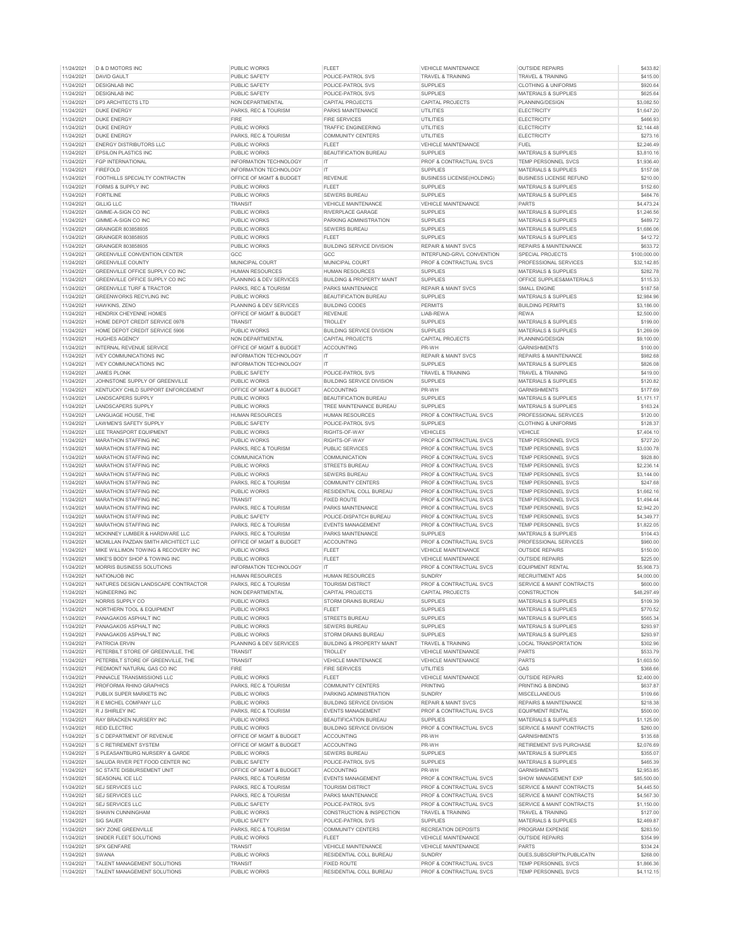| 11/24/2021               | D & D MOTORS INC                                           | <b>PUBLIC WORKS</b>           | FLEE                                          | VEHICLE MAIN I ENANCE                              | <b>OUTSIDE REPAIRS</b>                     | \$433.82                 |
|--------------------------|------------------------------------------------------------|-------------------------------|-----------------------------------------------|----------------------------------------------------|--------------------------------------------|--------------------------|
| 11/24/2021               | <b>DAVID GAULT</b>                                         | PUBLIC SAFFTY                 | POLICE-PATROL SVS                             | <b>TRAVEL &amp; TRAINING</b>                       | <b>TRAVEL &amp; TRAINING</b>               | \$415.00                 |
| 11/24/2021               | <b>DESIGNLAB INC</b>                                       | PUBLIC SAFETY                 | POLICE-PATROL SVS                             | <b>SUPPLIES</b>                                    | <b>CLOTHING &amp; UNIFORMS</b>             | \$920.64                 |
| 11/24/2021               | <b>DESIGNLAB INC</b>                                       | PUBLIC SAFETY                 | POLICE-PATROL SVS                             | <b>SUPPLIES</b>                                    | MATERIALS & SUPPLIES                       | \$625.64                 |
| 11/24/2021               | DP3 ARCHITECTS LTD                                         | NON DEPARTMENTAL              | CAPITAL PROJECTS                              | CAPITAL PROJECTS                                   | PLANNING/DESIGN                            | \$3,082.50               |
| 11/24/2021               | <b>DUKE ENERGY</b>                                         | PARKS, REC & TOURISM          | PARKS MAINTENANCE                             |                                                    | <b>ELECTRICITY</b>                         | \$1,647.20               |
|                          |                                                            |                               |                                               | UTILITIES                                          |                                            |                          |
| 11/24/2021               | <b>DUKE ENERGY</b>                                         | <b>FIRE</b>                   | <b>FIRE SERVICES</b>                          | <b>UTILITIES</b>                                   | <b>ELECTRICITY</b>                         | \$466.93                 |
| 11/24/2021               | <b>DUKE ENERGY</b>                                         | PUBLIC WORKS                  | <b>TRAFFIC ENGINEERING</b>                    | UTILITIES                                          | ELECTRICITY                                | \$2,144.48               |
| 11/24/2021               | DUKE ENFRGY                                                | PARKS, REC & TOURISM          | <b>COMMUNITY CENTERS</b>                      | <b>UTILITIES</b>                                   | FLECTRICITY                                | \$273.16                 |
| 11/24/2021               | <b>ENERGY DISTRIBUTORS LLC</b>                             | PUBLIC WORKS                  | FLEET                                         | VEHICLE MAINTENANCE                                | <b>FUEL</b>                                | \$2,246.49               |
| 11/24/2021               | <b>EPSILON PLASTICS INC</b>                                | PUBLIC WORKS                  | <b>BEAUTIFICATION BUREAU</b>                  | <b>SUPPLIES</b>                                    | MATERIALS & SUPPLIES                       | \$3,810.16               |
|                          |                                                            |                               |                                               |                                                    |                                            |                          |
| 11/24/2021               | <b>FGP INTERNATIONAL</b>                                   | INFORMATION TECHNOLOGY        | $\mathsf{I}$                                  | PROF & CONTRACTUAL SVCS                            | <b>TEMP PERSONNEL SVCS</b>                 | \$1,936.40               |
| 11/24/2021               | <b>FIREFOLD</b>                                            | INFORMATION TECHNOLOGY        | IT                                            | <b>SUPPLIES</b>                                    | <b>MATERIALS &amp; SUPPLIES</b>            | \$157.08                 |
| 11/24/2021               | FOOTHILLS SPECIALTY CONTRACTIN                             | OFFICE OF MGMT & BUDGET       | <b>REVENUE</b>                                | <b>BUSINESS LICENSE(HOLDING)</b>                   | <b>BUSINESS LICENSE REFUND</b>             | \$210.00                 |
| 11/24/2021               | FORMS & SUPPLY INC                                         | PUBLIC WORKS                  | <b>FLEET</b>                                  | SUPPLIES                                           | <b>MATERIALS &amp; SUPPLIES</b>            | \$152.60                 |
| 11/24/2021               | <b>FORTILINE</b>                                           | PUBLIC WORKS                  | SEWERS BUREAU                                 | <b>SUPPLIES</b>                                    | MATERIALS & SUPPLIES                       | \$484.76                 |
| 11/24/2021               | <b>GILLIG LLC</b>                                          | <b>TRANSIT</b>                | VEHICLE MAINTENANCE                           | VEHICLE MAINTENANCE                                | <b>PARTS</b>                               | \$4,473.24               |
|                          |                                                            |                               |                                               |                                                    |                                            |                          |
| 11/24/2021               | GIMME-A-SIGN CO INC                                        | PUBLIC WORKS                  | RIVERPLACE GARAGE                             | <b>SUPPLIES</b>                                    | MATERIALS & SUPPLIES                       | \$1,246.56               |
| 11/24/2021               | GIMME-A-SIGN CO INC                                        | PUBLIC WORKS                  | PARKING ADMINISTRATION                        | <b>SUPPLIES</b>                                    | MATERIALS & SUPPLIES                       | \$489.72                 |
| 11/24/2021               | GRAINGER 803858935                                         | PUBLIC WORKS                  | SEWERS BUREAU                                 | <b>SUPPLIES</b>                                    | MATERIALS & SUPPLIES                       | \$1,686.06               |
| 11/24/2021               | GRAINGER 803858935                                         | PUBLIC WORKS                  | FLEET                                         | <b>SUPPLIES</b>                                    | MATERIALS & SUPPLIES                       | \$412.72                 |
| 11/24/2021               | GRAINGER 803858935                                         | PUBLIC WORKS                  | <b>BUILDING SERVICE DIVISION</b>              | <b>REPAIR &amp; MAINT SVCS</b>                     | <b>REPAIRS &amp; MAINTENANCE</b>           | \$633.72                 |
|                          |                                                            |                               |                                               |                                                    |                                            |                          |
| 11/24/2021               | GREENVILLE CONVENTION CENTER                               | GCC                           | GCC                                           | INTERFUND-GRVL CONVENTION                          | <b>SPECIAL PROJECTS</b>                    | \$100,000.00             |
| 11/24/2021               | <b>GREENVILLE COUNTY</b>                                   | MUNICIPAL COURT               | MUNICIPAL COURT                               | PROF & CONTRACTUAL SVCS                            | PROFESSIONAL SERVICES                      | \$32,142.85              |
| 11/24/2021               | GREENVILLE OFFICE SUPPLY CO INC                            | <b>HUMAN RESOURCES</b>        | <b>HUMAN RESOURCES</b>                        | <b>SUPPLIES</b>                                    | MATERIALS & SUPPLIES                       | \$282.78                 |
| 11/24/2021               | GREENVILLE OFFICE SUPPLY CO INC                            | PLANNING & DEV SERVICES       | <b>BUILDING &amp; PROPERTY MAINT</b>          | <b>SUPPLIES</b>                                    | OFFICE SUPPLIES&MATERIALS                  | \$115.33                 |
| 11/24/2021               | <b>GREENVILLE TURF &amp; TRACTOR</b>                       | PARKS, REC & TOURISM          | <b>PARKS MAINTENANCE</b>                      | <b>REPAIR &amp; MAINT SVCS</b>                     | <b>SMALL ENGINE</b>                        | \$187.58                 |
|                          |                                                            |                               |                                               |                                                    |                                            |                          |
| 11/24/2021               | GREENWORKS RECYLING INC                                    | PUBLIC WORKS                  | BEAUTIFICATION BUREAU                         | <b>SUPPLIES</b>                                    | <b>MATERIALS &amp; SUPPLIES</b>            | \$2,984.96               |
| 11/24/2021               | HAWKINS, ZENO                                              | PLANNING & DEV SERVICES       | <b>BUILDING CODES</b>                         | <b>PERMITS</b>                                     | <b>BUILDING PERMITS</b>                    | \$3,186.00               |
| 11/24/2021               | HENDRIX CHEYENNE HOMES                                     | OFFICE OF MGMT & BUDGET       | <b>REVENUE</b>                                | LIAB-REWA                                          | <b>REWA</b>                                | \$2,500.00               |
| 11/24/2021               | HOME DEPOT CREDIT SERVICE 0978                             | <b>TRANSIT</b>                | <b>TROLLEY</b>                                | <b>SUPPLIES</b>                                    | MATERIALS & SUPPLIES                       | \$199.00                 |
| 11/24/2021               | HOME DEPOT CREDIT SERVICE 5906                             | PUBLIC WORKS                  | <b>BUILDING SERVICE DIVISION</b>              | <b>SUPPLIES</b>                                    | MATERIALS & SUPPLIES                       | \$1,269.09               |
|                          |                                                            |                               |                                               |                                                    |                                            |                          |
| 11/24/2021               | <b>HUGHES AGENCY</b>                                       | NON DEPARTMENTAL              | <b>CAPITAL PROJECTS</b>                       | CAPITAL PROJECTS                                   | PLANNING/DESIGN                            | \$9,100.00               |
| 11/24/2021               | INTERNAL REVENUE SERVICE                                   | OFFICE OF MGMT & BUDGET       | ACCOUNTING                                    | PR-WH                                              | <b>GARNISHMENTS</b>                        | \$100.00                 |
| 11/24/2021               | <b>IVEY COMMUNICATIONS INC</b>                             | <b>INFORMATION TECHNOLOGY</b> | $\mathsf{I}\mathsf{T}$                        | <b>REPAIR &amp; MAINT SVCS</b>                     | REPAIRS & MAINTENANCE                      | \$982.68                 |
| 11/24/2021               | <b>IVEY COMMUNICATIONS INC</b>                             | INFORMATION TECHNOLOGY        | IT                                            | <b>SUPPLIES</b>                                    | <b>MATERIALS &amp; SUPPLIES</b>            | \$826.08                 |
| 11/24/2021               | <b>JAMES PLONK</b>                                         | PUBLIC SAFETY                 | POLICE-PATROL SVS                             | <b>TRAVEL &amp; TRAINING</b>                       | TRAVEL & TRAINING                          | \$419.00                 |
|                          | JOHNSTONE SUPPLY OF GREENVILLE                             |                               |                                               | <b>SUPPLIES</b>                                    | MATERIALS & SUPPLIES                       | \$120.82                 |
| 11/24/2021               |                                                            | PUBLIC WORKS                  | <b>BUILDING SERVICE DIVISION</b>              |                                                    |                                            |                          |
| 11/24/2021               | KENTUCKY CHILD SUPPORT ENFORCEMENT                         | OFFICE OF MGMT & BUDGET       | <b>ACCOUNTING</b>                             | PR-WH                                              | <b>GARNISHMENTS</b>                        | \$177.69                 |
| 11/24/2021               | LANDSCAPERS SUPPLY                                         | PUBLIC WORKS                  | <b>BEAUTIFICATION BUREAU</b>                  | <b>SUPPLIES</b>                                    | <b>MATERIALS &amp; SUPPLIES</b>            | \$1,171.17               |
| 11/24/2021               | LANDSCAPERS SUPPLY                                         | PUBLIC WORKS                  | TREE MAINTENANCE BUREAU                       | <b>SUPPLIES</b>                                    | MATERIALS & SUPPLIES                       | \$163.24                 |
| 11/24/2021               | LANGUAGE HOUSE. THE                                        | <b>HUMAN RESOURCES</b>        | <b>HUMAN RESOURCES</b>                        | PROF & CONTRACTUAL SVCS                            | PROFESSIONAL SERVICES                      | \$120.00                 |
| 11/24/2021               | LAWMEN'S SAFETY SUPPLY                                     | PUBLIC SAFETY                 | POLICE-PATROL SVS                             | <b>SUPPLIES</b>                                    | <b>CLOTHING &amp; UNIFORMS</b>             | \$128.37                 |
|                          |                                                            |                               |                                               |                                                    |                                            |                          |
| 11/24/2021               | LEE TRANSPORT EQUIPMENT                                    | PUBLIC WORKS                  | RIGHTS-OF-WAY                                 | VEHICLES                                           | VEHICLE                                    | \$7,404.10               |
| 11/24/2021               | MARATHON STAFFING INC                                      | <b>PUBLIC WORKS</b>           | RIGHTS-OF-WAY                                 | PROF & CONTRACTUAL SVCS                            | TEMP PERSONNEL SVCS                        | \$727.20                 |
| 11/24/2021               | MARATHON STAFFING INC                                      | PARKS, REC & TOURISM          | PUBLIC SERVICES                               | PROF & CONTRACTUAL SVCS                            | TEMP PERSONNEL SVCS                        | \$3,030.78               |
| 11/24/2021               | <b>MARATHON STAFFING INC</b>                               | COMMUNICATION                 | COMMUNICATION                                 | PROF & CONTRACTUAL SVCS                            | TEMP PERSONNEL SVCS                        | \$928.80                 |
| 11/24/2021               | <b>MARATHON STAFFING INC</b>                               | PUBLIC WORKS                  | STREETS BUREAU                                | PROF & CONTRACTUAL SVCS                            | <b>TEMP PERSONNEL SVCS</b>                 | \$2,236.14               |
|                          |                                                            |                               |                                               |                                                    |                                            |                          |
| 11/24/2021               | MARATHON STAFFING INC                                      | PUBLIC WORKS                  | SEWERS BUREAU                                 | PROF & CONTRACTUAL SVCS                            | TEMP PERSONNEL SVCS                        | \$3,144.00               |
| 11/24/2021               | MARATHON STAFFING INC                                      | PARKS, REC & TOURISM          | <b>COMMUNITY CENTERS</b>                      | PROF & CONTRACTUAL SVCS                            | TEMP PERSONNEL SVCS                        | \$247.68                 |
| 11/24/2021               | MARATHON STAFFING INC                                      | PUBLIC WORKS                  | RESIDENTIAL COLL BUREAU                       | PROF & CONTRACTUAL SVCS                            | TEMP PERSONNEL SVCS                        | \$1,662.16               |
| 11/24/2021               | <b>MARATHON STAFFING INC</b>                               | TRANSIT                       | <b>FIXED ROUTE</b>                            | PROF & CONTRACTUAL SVCS                            | <b>TEMP PERSONNEL SVCS</b>                 | \$1,494.44               |
| 11/24/2021               | MARATHON STAFFING INC                                      | PARKS, REC & TOURISM          | PARKS MAINTENANCE                             | PROF & CONTRACTUAL SVCS                            | TEMP PERSONNEL SVCS                        | \$2,942.20               |
|                          |                                                            |                               |                                               |                                                    |                                            |                          |
| 11/24/2021               | MARATHON STAFFING INC                                      | PUBLIC SAFETY                 | POLICE-DISPATCH BUREAU                        | PROF & CONTRACTUAL SVCS                            | TEMP PERSONNEL SVCS                        | \$4,349.77               |
| 11/24/2021               | <b>MARATHON STAFFING INC</b>                               | PARKS, REC & TOURISM          | <b>EVENTS MANAGEMENT</b>                      | PROF & CONTRACTUAL SVCS                            | <b>TEMP PERSONNEL SVCS</b>                 | \$1,822.05               |
| 11/24/2021               | MCKINNEY LUMBER & HARDWARE LLC                             | PARKS, REC & TOURISM          | PARKS MAINTENANCE                             | SUPPLIES                                           | <b>MATERIALS &amp; SUPPLIES</b>            | \$104.43                 |
| 11/24/2021               | MCMILLAN PAZDAN SMITH ARCHITECT LLC                        | OFFICE OF MGMT & BUDGET       | ACCOUNTING                                    | PROF & CONTRACTUAL SVCS                            | PROFESSIONAL SERVICES                      | \$960.00                 |
| 11/24/2021               | MIKE WILLIMON TOWING & RECOVERY INC                        | <b>PUBLIC WORKS</b>           | <b>FLEET</b>                                  | <b>VEHICLE MAINTENANCE</b>                         | <b>OUTSIDE REPAIRS</b>                     | \$150.00                 |
|                          | MIKE'S BODY SHOP & TOWING INC.                             |                               |                                               |                                                    |                                            |                          |
| 11/24/2021               |                                                            | PUBLIC WORKS                  | <b>FLEET</b>                                  | <b>VEHICLE MAINTENANCE</b>                         | <b>OUTSIDE REPAIRS</b>                     | \$225.00                 |
| 11/24/2021               | MORRIS BUSINESS SOLUTIONS                                  | INFORMATION TECHNOLOGY        | <b>IT</b>                                     | PROF & CONTRACTUAL SVCS                            | <b>EQUIPMENT RENTAL</b>                    | \$5,908.73               |
| 11/24/2021               | NATIONJOB INC                                              | <b>HUMAN RESOURCES</b>        | HUMAN RESOURCES                               | <b>SUNDRY</b>                                      | <b>RECRUITMENT ADS</b>                     | \$4,000.00               |
| 11/24/2021               | NATURES DESIGN LANDSCAPE CONTRACTOR                        | PARKS, REC & TOURISM          | <b>TOURISM DISTRICT</b>                       | PROF & CONTRACTUAL SVCS                            | SERVICE & MAINT CONTRACTS                  | \$600.00                 |
| 11/24/2021               | NGINEERING INC                                             | NON DEPARTMENTAL              | CAPITAL PROJECTS                              | CAPITAL PROJECTS                                   | <b>CONSTRUCTION</b>                        | \$48,297.49              |
|                          |                                                            |                               |                                               |                                                    |                                            |                          |
| 11/24/2021               | NORRIS SUPPLY CO                                           | PUBLIC WORKS                  | STORM DRAINS BUREAU                           | <b>SUPPLIES</b>                                    | <b>MATERIALS &amp; SUPPLIES</b>            | \$109.39                 |
| 11/24/2021               | <b>NORTHERN TOOL &amp; EQUIPMENT</b>                       | <b>PUBLIC WORKS</b>           | <b>FLEET</b>                                  | <b>SUPPLIES</b>                                    | <b>MATERIALS &amp; SUPPLIES</b>            | \$770.52                 |
| 11/24/2021               | PANAGAKOS ASPHALT INC                                      | PUBLIC WORKS                  | STREETS BUREAU                                | <b>SUPPLIES</b>                                    | MATERIALS & SUPPLIES                       | \$565.34                 |
| 11/24/2021               | PANAGAKOS ASPHALT INC                                      | <b>PUBLIC WORKS</b>           | SEWERS BUREAU                                 | <b>SUPPLIES</b>                                    | MATERIALS & SUPPLIES                       | \$293.97                 |
| 11/24/2021               | PANAGAKOS ASPHALT INC                                      | PUBLIC WORKS                  | STORM DRAINS BUREAU                           | <b>SUPPLIES</b>                                    | MATERIALS & SUPPLIES                       | \$293.97                 |
|                          |                                                            |                               |                                               |                                                    |                                            |                          |
| 11/24/2021               | <b>PATRICIA ERVIN</b>                                      | PLANNING & DEV SERVICES       | <b>BUILDING &amp; PROPERTY MAINT</b>          | TRAVEL & TRAINING                                  | LOCAL TRANSPORTATION                       | \$302.96                 |
| 11/24/2021               | PETERBILT STORE OF GREENVILLE, THE                         | TRANSIT                       | TROLLEY                                       | VEHICLE MAINTENANCE                                | <b>PARTS</b>                               | \$533.79                 |
| 11/24/2021               | PETERBILT STORE OF GREENVILLE. THE                         | <b>TRANSIT</b>                | VEHICLE MAINTENANCE                           | VEHICLE MAINTENANCE                                | PARTS                                      | \$1,603.50               |
| 11/24/2021               | PIEDMONT NATURAL GAS CO INC                                | <b>FIRE</b>                   | <b>FIRE SERVICES</b>                          | <b>UTILITIES</b>                                   | GAS                                        | \$368.66                 |
| 11/24/2021               | PINNACLE TRANSMISSIONS LLC                                 | PUBLIC WORKS                  | <b>FLEET</b>                                  | VEHICLE MAINTENANCE                                | <b>OUTSIDE REPAIRS</b>                     | \$2,400.00               |
| 11/24/2021               | PROFORMA RHINO GRAPHICS                                    | PARKS, REC & TOURISM          | <b>COMMUNITY CENTERS</b>                      | <b>PRINTING</b>                                    | PRINTING & BINDING                         | \$637.87                 |
|                          |                                                            |                               |                                               |                                                    |                                            |                          |
| 11/24/2021               | PUBLIX SUPER MARKETS INC                                   | PUBLIC WORKS                  | PARKING ADMINISTRATION                        | <b>SUNDRY</b>                                      | <b>MISCELLANEOUS</b>                       | \$109.66                 |
| 11/24/2021               | R E MICHEL COMPANY LLC                                     | PUBLIC WORKS                  | <b>BUILDING SERVICE DIVISION</b>              | <b>REPAIR &amp; MAINT SVCS</b>                     | REPAIRS & MAINTENANCE                      | \$218.38                 |
| 11/24/2021               | R J SHIRLEY INC                                            | PARKS, REC & TOURISM          | <b>EVENTS MANAGEMENT</b>                      | PROF & CONTRACTUAL SVCS                            | <b>EQUIPMENT RENTAL</b>                    | \$500.00                 |
| 11/24/2021               | <b>RAY BRACKEN NURSERY INC.</b>                            | <b>PUBLIC WORKS</b>           | <b>BEAUTIFICATION BUREAU</b>                  | SLIPPLIES                                          | <b>MATERIALS &amp; SUPPLIES</b>            | \$1,125.00               |
| 11/24/2021               | REID ELECTRIC                                              | PUBLIC WORKS                  | <b>BUILDING SERVICE DIVISION</b>              | PROF & CONTRACTUAL SVCS                            | SERVICE & MAINT CONTRACTS                  | \$260.00                 |
|                          |                                                            |                               |                                               |                                                    |                                            |                          |
| 11/24/2021               | S C DEPARTMENT OF REVENUE                                  | OFFICE OF MGMT & BUDGET       | ACCOUNTING                                    | PR-WH                                              | <b>GARNISHMENTS</b>                        | \$135.68                 |
| 11/24/2021               | S C RETIREMENT SYSTEM                                      | OFFICE OF MGMT & BUDGET       | <b>ACCOUNTING</b>                             | PR-WH                                              | RETIREMENT SVS PURCHASE                    | \$2,076.69               |
| 11/24/2021               | S PLEASANTBURG NURSERY & GARDE                             | PUBLIC WORKS                  | SEWERS BUREAU                                 | <b>SUPPLIES</b>                                    | MATERIALS & SUPPLIES                       | \$355.07                 |
| 11/24/2021               | SALUDA RIVER PET FOOD CENTER INC                           | <b>PUBLIC SAFETY</b>          | POLICE-PATROL SVS                             | <b>SUPPLIES</b>                                    | MATERIALS & SUPPLIES                       | \$465.39                 |
| 11/24/2021               | <b>SC STATE DISBURSEMENT UNIT</b>                          | OFFICE OF MGMT & BUDGET       | <b>ACCOUNTING</b>                             | PR-WH                                              | <b>GARNISHMENTS</b>                        | \$2,953.85               |
|                          | SEASONAL ICE LLC                                           |                               |                                               | PROF & CONTRACTUAL SVCS                            | SHOW MANAGEMENT EXP                        |                          |
| 11/24/2021               |                                                            | PARKS, REC & TOURISM          | <b>EVENTS MANAGEMENT</b>                      |                                                    |                                            | \$85,500.00              |
| 11/24/2021               | SEJ SERVICES LLC                                           | PARKS, REC & TOURISM          | <b>TOURISM DISTRICT</b>                       | PROF & CONTRACTUAL SVCS                            | SERVICE & MAINT CONTRACTS                  | \$4,445.50               |
| 11/24/2021               | <b>SEJ SERVICES LLC</b>                                    | PARKS, REC & TOURISM          | PARKS MAINTENANCE                             | PROF & CONTRACTUAL SVCS                            | SERVICE & MAINT CONTRACTS                  | \$4,567.30               |
| 11/24/2021               | SEJ SERVICES LLC                                           | PUBLIC SAFETY                 | POLICE-PATROL SVS                             | PROF & CONTRACTUAL SVCS                            | SERVICE & MAINT CONTRACTS                  | \$1,150.00               |
| 11/24/2021               | SHAWN CUNNINGHAM                                           | PUBLIC WORKS                  | CONSTRUCTION & INSPECTION                     | TRAVEL & TRAINING                                  | TRAVEL & TRAINING                          | \$127.00                 |
|                          |                                                            |                               |                                               |                                                    |                                            |                          |
| 11/24/2021               | <b>SIG SAUER</b>                                           | <b>PUBLIC SAFETY</b>          | POLICE-PATROL SVS                             | <b>SUPPLIES</b>                                    | MATERIALS & SUPPLIES                       | \$2,469.87               |
| 11/24/2021               | SKY ZONE GREENVILLE                                        | PARKS, REC & TOURISM          | <b>COMMUNITY CENTERS</b>                      | RECREATION DEPOSITS                                | PROGRAM EXPENSE                            | \$283.50                 |
| 11/24/2021               | SNIDER FLEET SOLUTIONS                                     | <b>PUBLIC WORKS</b>           | <b>FLEET</b>                                  | <b>VEHICLE MAINTENANCE</b>                         | <b>OUTSIDE REPAIRS</b>                     | \$354.99                 |
| 11/24/2021               | SPX GENFARE                                                | TRANSIT                       | VEHICLE MAINTENANCE                           | VEHICLE MAINTENANCE                                | PARTS                                      | \$334.24                 |
|                          |                                                            |                               |                                               |                                                    |                                            |                          |
|                          |                                                            |                               |                                               |                                                    |                                            |                          |
| 11/24/2021               | SWANA                                                      | PUBLIC WORKS                  | RESIDENTIAL COLL BUREAU                       | <b>SUNDRY</b>                                      | DUES, SUBSCRIPTN, PUBLICATN                | \$268.00                 |
| 11/24/2021<br>11/24/2021 | TALENT MANAGEMENT SOLUTIONS<br>TALENT MANAGEMENT SOLUTIONS | TRANSIT<br>PUBLIC WORKS       | <b>FIXED ROUTE</b><br>RESIDENTIAL COLL BUREAU | PROF & CONTRACTUAL SVCS<br>PROF & CONTRACTUAL SVCS | TEMP PERSONNEL SVCS<br>TEMP PERSONNEL SVCS | \$1,866.36<br>\$4,112.15 |